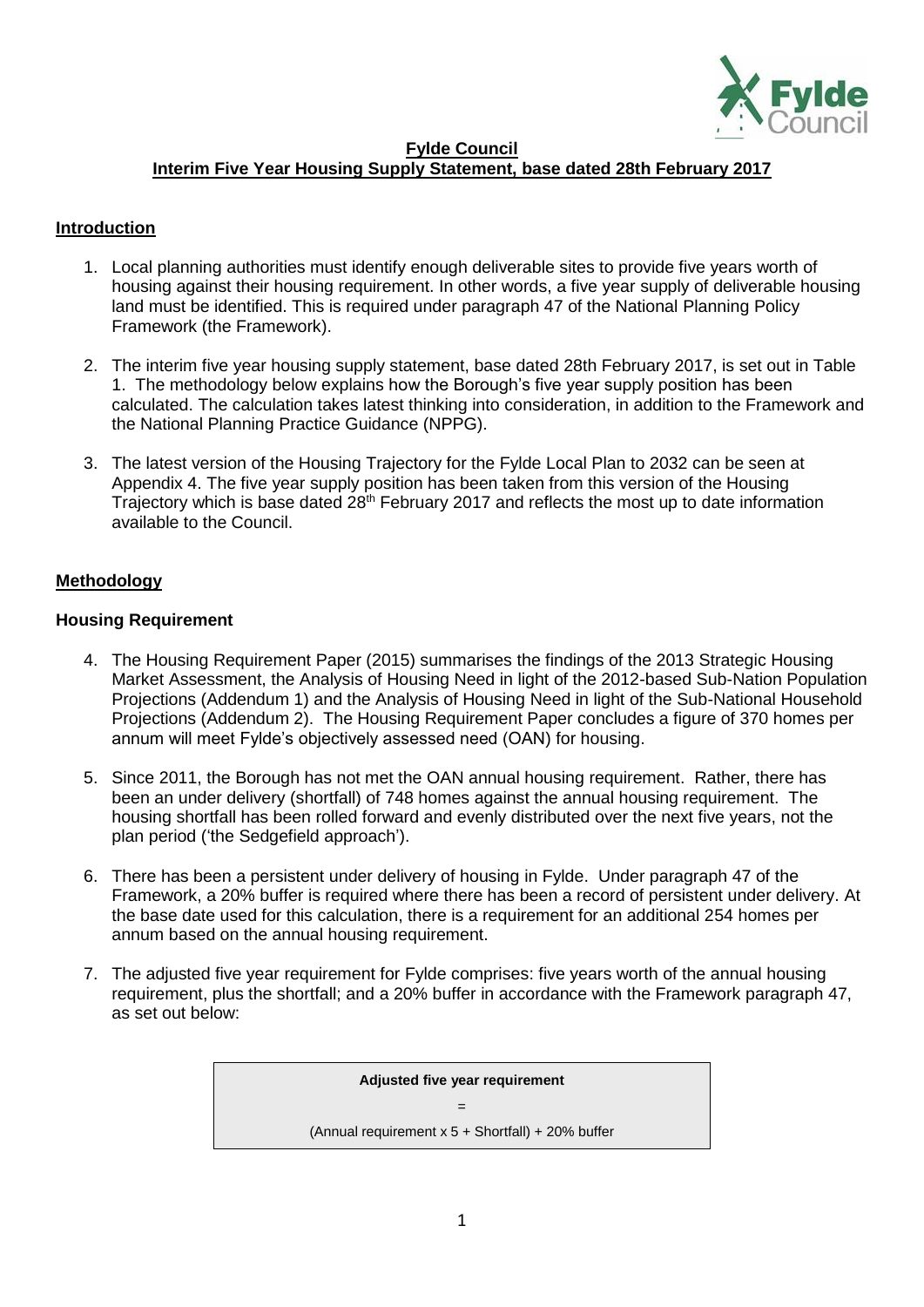

#### **Fylde Council**

#### **Interim Five Year Housing Supply Statement, base dated 28th February 2017**

#### **Introduction**

- 1. Local planning authorities must identify enough deliverable sites to provide five years worth of housing against their housing requirement. In other words, a five year supply of deliverable housing land must be identified. This is required under paragraph 47 of the National Planning Policy Framework (the Framework).
- 2. The interim five year housing supply statement, base dated 28th February 2017, is set out in Table 1. The methodology below explains how the Borough's five year supply position has been calculated. The calculation takes latest thinking into consideration, in addition to the Framework and the National Planning Practice Guidance (NPPG).
- 3. The latest version of the Housing Trajectory for the Fylde Local Plan to 2032 can be seen at Appendix 4. The five year supply position has been taken from this version of the Housing Trajectory which is base dated 28th February 2017 and reflects the most up to date information available to the Council.

#### **Methodology**

#### **Housing Requirement**

- 4. The Housing Requirement Paper (2015) summarises the findings of the 2013 Strategic Housing Market Assessment, the Analysis of Housing Need in light of the 2012-based Sub-Nation Population Projections (Addendum 1) and the Analysis of Housing Need in light of the Sub-National Household Projections (Addendum 2). The Housing Requirement Paper concludes a figure of 370 homes per annum will meet Fylde's objectively assessed need (OAN) for housing.
- 5. Since 2011, the Borough has not met the OAN annual housing requirement. Rather, there has been an under delivery (shortfall) of 748 homes against the annual housing requirement. The housing shortfall has been rolled forward and evenly distributed over the next five years, not the plan period ('the Sedgefield approach').
- 6. There has been a persistent under delivery of housing in Fylde. Under paragraph 47 of the Framework, a 20% buffer is required where there has been a record of persistent under delivery. At the base date used for this calculation, there is a requirement for an additional 254 homes per annum based on the annual housing requirement.
- 7. The adjusted five year requirement for Fylde comprises: five years worth of the annual housing requirement, plus the shortfall; and a 20% buffer in accordance with the Framework paragraph 47, as set out below:

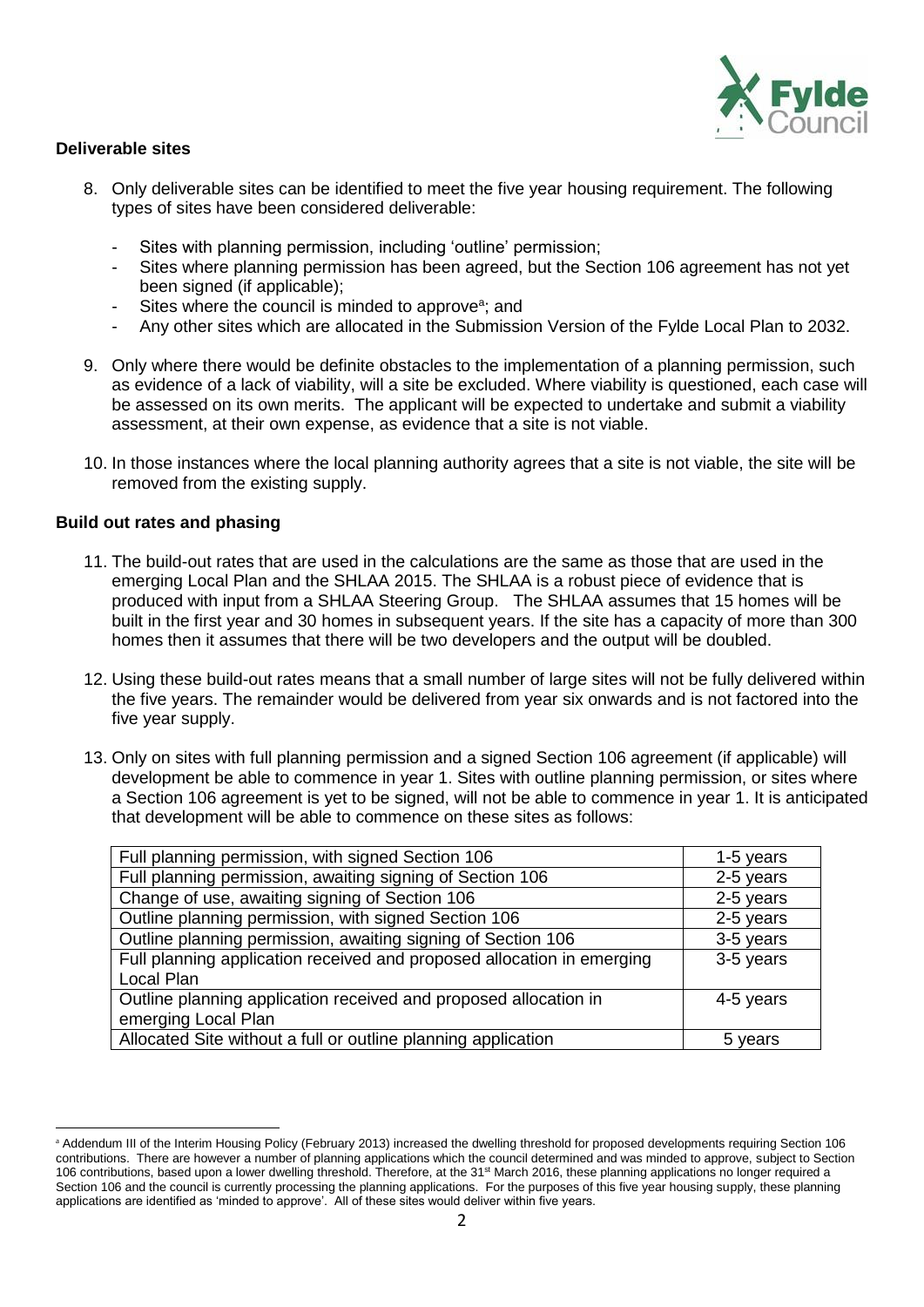

#### **Deliverable sites**

- 8. Only deliverable sites can be identified to meet the five year housing requirement. The following types of sites have been considered deliverable:
	- Sites with planning permission, including 'outline' permission;
	- Sites where planning permission has been agreed, but the Section 106 agreement has not yet been signed (if applicable);
	- Sites where the council is minded to approve<sup>a</sup>; and
	- Any other sites which are allocated in the Submission Version of the Fylde Local Plan to 2032.
- 9. Only where there would be definite obstacles to the implementation of a planning permission, such as evidence of a lack of viability, will a site be excluded. Where viability is questioned, each case will be assessed on its own merits. The applicant will be expected to undertake and submit a viability assessment, at their own expense, as evidence that a site is not viable.
- 10. In those instances where the local planning authority agrees that a site is not viable, the site will be removed from the existing supply.

#### **Build out rates and phasing**

<u>.</u>

- 11. The build-out rates that are used in the calculations are the same as those that are used in the emerging Local Plan and the SHLAA 2015. The SHLAA is a robust piece of evidence that is produced with input from a SHLAA Steering Group. The SHLAA assumes that 15 homes will be built in the first year and 30 homes in subsequent years. If the site has a capacity of more than 300 homes then it assumes that there will be two developers and the output will be doubled.
- 12. Using these build-out rates means that a small number of large sites will not be fully delivered within the five years. The remainder would be delivered from year six onwards and is not factored into the five year supply.
- 13. Only on sites with full planning permission and a signed Section 106 agreement (if applicable) will development be able to commence in year 1. Sites with outline planning permission, or sites where a Section 106 agreement is yet to be signed, will not be able to commence in year 1. It is anticipated that development will be able to commence on these sites as follows:

| Full planning permission, with signed Section 106                      | 1-5 years |  |  |  |  |
|------------------------------------------------------------------------|-----------|--|--|--|--|
| Full planning permission, awaiting signing of Section 106              | 2-5 years |  |  |  |  |
| Change of use, awaiting signing of Section 106                         | 2-5 years |  |  |  |  |
| Outline planning permission, with signed Section 106                   | 2-5 years |  |  |  |  |
| Outline planning permission, awaiting signing of Section 106           | 3-5 years |  |  |  |  |
| Full planning application received and proposed allocation in emerging | 3-5 years |  |  |  |  |
| Local Plan                                                             |           |  |  |  |  |
| Outline planning application received and proposed allocation in       | 4-5 years |  |  |  |  |
| emerging Local Plan                                                    |           |  |  |  |  |
| Allocated Site without a full or outline planning application          | 5 years   |  |  |  |  |

a Addendum III of the Interim Housing Policy (February 2013) increased the dwelling threshold for proposed developments requiring Section 106 contributions. There are however a number of planning applications which the council determined and was minded to approve, subject to Section 106 contributions, based upon a lower dwelling threshold. Therefore, at the 31st March 2016, these planning applications no longer required a Section 106 and the council is currently processing the planning applications. For the purposes of this five year housing supply, these planning applications are identified as 'minded to approve'. All of these sites would deliver within five years.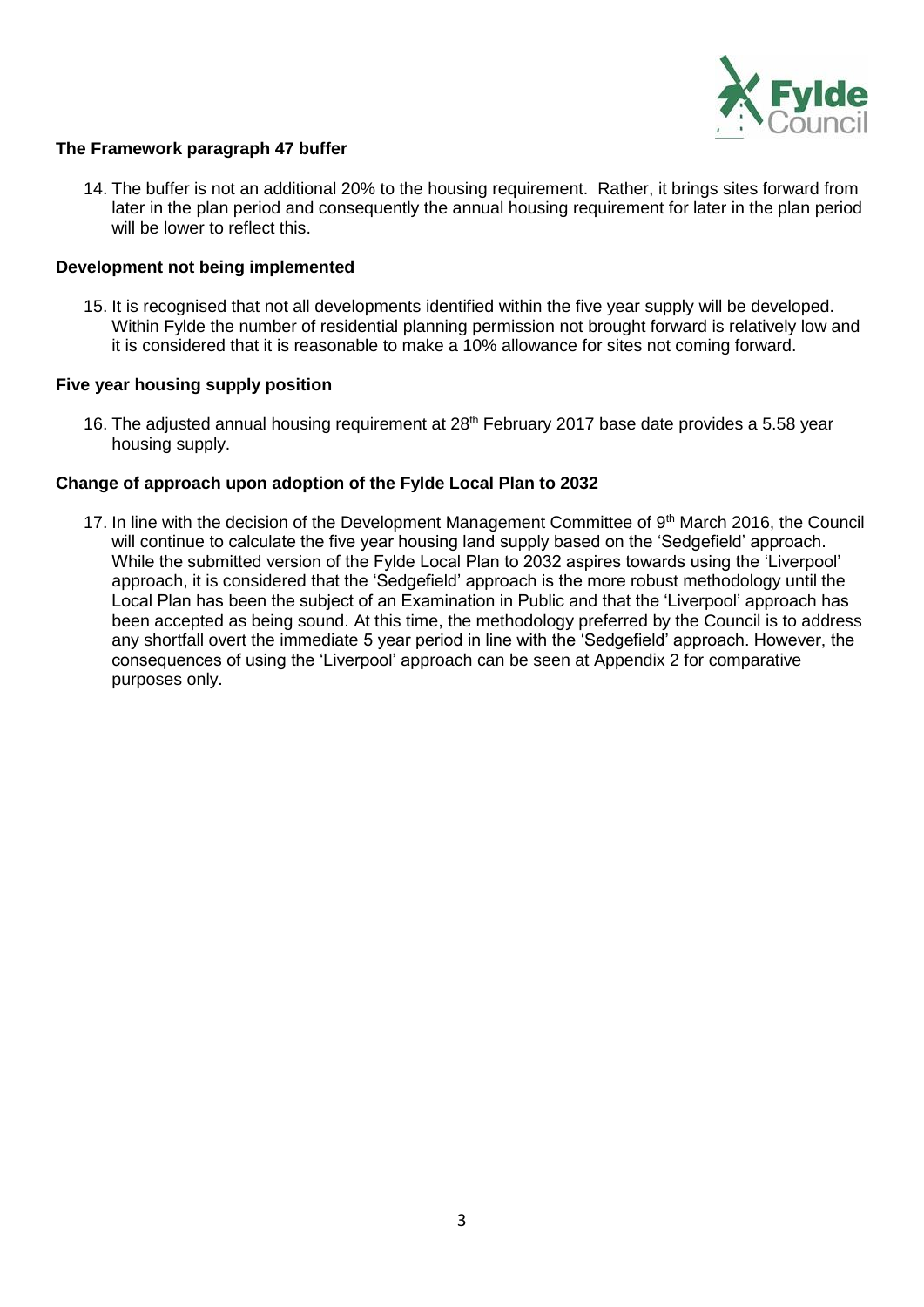

#### **The Framework paragraph 47 buffer**

14. The buffer is not an additional 20% to the housing requirement. Rather, it brings sites forward from later in the plan period and consequently the annual housing requirement for later in the plan period will be lower to reflect this.

#### **Development not being implemented**

15. It is recognised that not all developments identified within the five year supply will be developed. Within Fylde the number of residential planning permission not brought forward is relatively low and it is considered that it is reasonable to make a 10% allowance for sites not coming forward.

#### **Five year housing supply position**

16. The adjusted annual housing requirement at 28<sup>th</sup> February 2017 base date provides a 5.58 year housing supply.

#### **Change of approach upon adoption of the Fylde Local Plan to 2032**

17. In line with the decision of the Development Management Committee of  $9<sup>th</sup>$  March 2016, the Council will continue to calculate the five year housing land supply based on the 'Sedgefield' approach. While the submitted version of the Fylde Local Plan to 2032 aspires towards using the 'Liverpool' approach, it is considered that the 'Sedgefield' approach is the more robust methodology until the Local Plan has been the subject of an Examination in Public and that the 'Liverpool' approach has been accepted as being sound. At this time, the methodology preferred by the Council is to address any shortfall overt the immediate 5 year period in line with the 'Sedgefield' approach. However, the consequences of using the 'Liverpool' approach can be seen at Appendix 2 for comparative purposes only.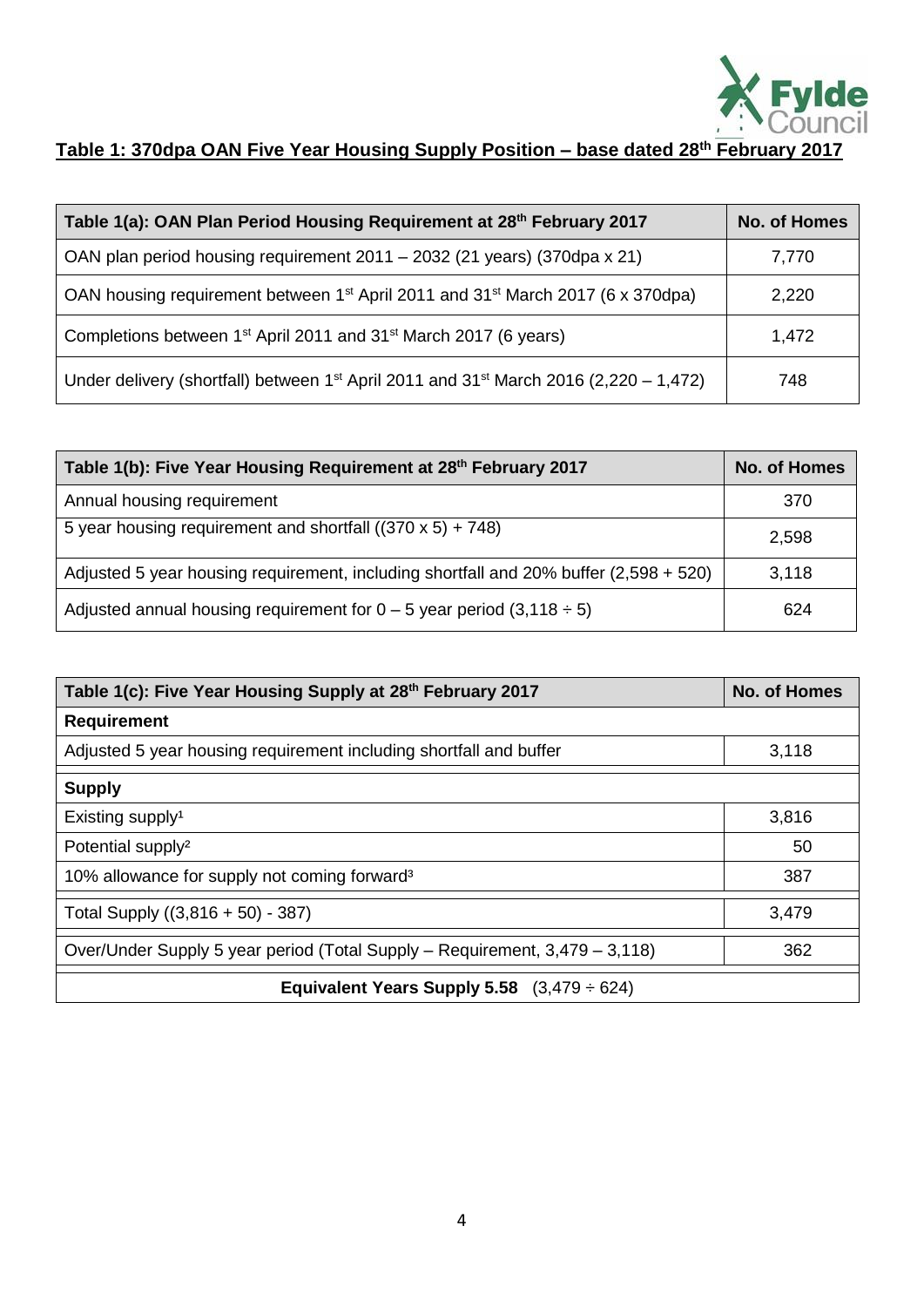

# **Table 1: 370dpa OAN Five Year Housing Supply Position – base dated 28th February 2017**

| Table 1(a): OAN Plan Period Housing Requirement at 28 <sup>th</sup> February 2017                             | <b>No. of Homes</b> |
|---------------------------------------------------------------------------------------------------------------|---------------------|
| OAN plan period housing requirement 2011 - 2032 (21 years) (370dpa x 21)                                      | 7,770               |
| OAN housing requirement between 1 <sup>st</sup> April 2011 and 31 <sup>st</sup> March 2017 (6 x 370dpa)       | 2,220               |
| Completions between 1 <sup>st</sup> April 2011 and 31 <sup>st</sup> March 2017 (6 years)                      | 1,472               |
| Under delivery (shortfall) between 1 <sup>st</sup> April 2011 and 31 <sup>st</sup> March 2016 (2,220 - 1,472) | 748                 |

| Table 1(b): Five Year Housing Requirement at 28th February 2017                       | <b>No. of Homes</b> |  |  |  |  |
|---------------------------------------------------------------------------------------|---------------------|--|--|--|--|
| Annual housing requirement                                                            | 370                 |  |  |  |  |
| 5 year housing requirement and shortfall $((370 \times 5) + 748)$                     | 2,598               |  |  |  |  |
| Adjusted 5 year housing requirement, including shortfall and 20% buffer (2,598 + 520) | 3,118               |  |  |  |  |
| Adjusted annual housing requirement for $0 - 5$ year period (3,118 $\div$ 5)          | 624                 |  |  |  |  |

| Table 1(c): Five Year Housing Supply at 28th February 2017                  | No. of Homes |  |  |  |  |  |  |  |
|-----------------------------------------------------------------------------|--------------|--|--|--|--|--|--|--|
| <b>Requirement</b>                                                          |              |  |  |  |  |  |  |  |
| Adjusted 5 year housing requirement including shortfall and buffer          | 3,118        |  |  |  |  |  |  |  |
| <b>Supply</b>                                                               |              |  |  |  |  |  |  |  |
| Existing supply <sup>1</sup>                                                | 3,816        |  |  |  |  |  |  |  |
| Potential supply <sup>2</sup>                                               | 50           |  |  |  |  |  |  |  |
| 10% allowance for supply not coming forward <sup>3</sup>                    | 387          |  |  |  |  |  |  |  |
| Total Supply $((3,816 + 50) - 387)$                                         | 3,479        |  |  |  |  |  |  |  |
| Over/Under Supply 5 year period (Total Supply – Requirement, 3,479 – 3,118) | 362          |  |  |  |  |  |  |  |
| Equivalent Years Supply 5.58 $(3,479 \div 624)$                             |              |  |  |  |  |  |  |  |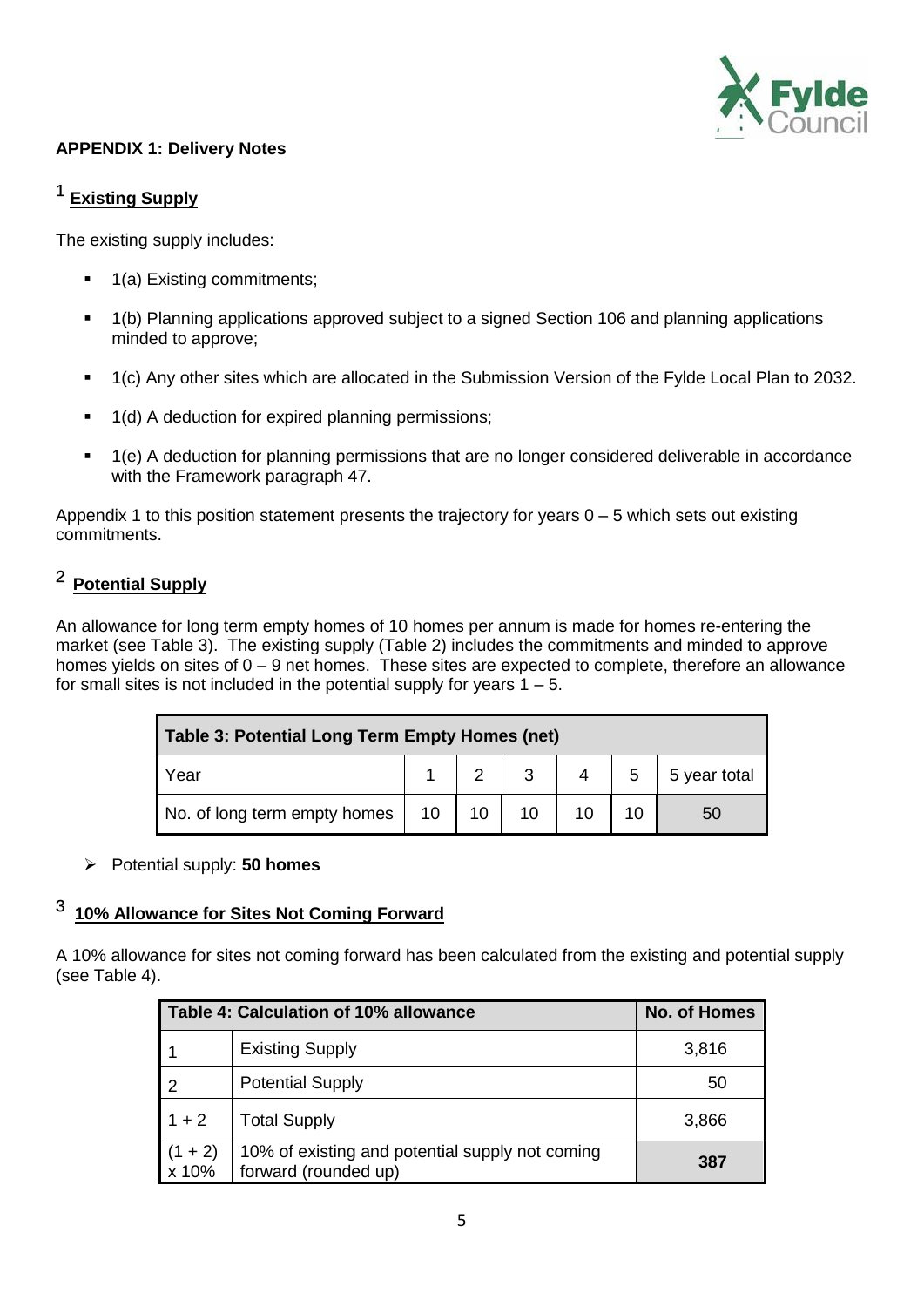

### **APPENDIX 1: Delivery Notes**

# <sup>1</sup> Existing Supply

The existing supply includes:

- 1(a) Existing commitments;
- 1(b) Planning applications approved subject to a signed Section 106 and planning applications minded to approve;
- <sup>1</sup> 1(c) Any other sites which are allocated in the Submission Version of the Fylde Local Plan to 2032.
- 1(d) A deduction for expired planning permissions;
- 1(e) A deduction for planning permissions that are no longer considered deliverable in accordance with the Framework paragraph 47.

Appendix 1 to this position statement presents the trajectory for years  $0 - 5$  which sets out existing commitments.

## ² **Potential Supply**

An allowance for long term empty homes of 10 homes per annum is made for homes re-entering the market (see Table 3). The existing supply (Table 2) includes the commitments and minded to approve homes yields on sites of  $0 - 9$  net homes. These sites are expected to complete, therefore an allowance for small sites is not included in the potential supply for years  $1 - 5$ .

| Table 3: Potential Long Term Empty Homes (net) |  |              |  |  |  |    |  |  |  |  |  |  |
|------------------------------------------------|--|--------------|--|--|--|----|--|--|--|--|--|--|
| 5 year total<br>3<br>5<br>Year                 |  |              |  |  |  |    |  |  |  |  |  |  |
| No. of long term empty homes                   |  | 10   10   10 |  |  |  | 50 |  |  |  |  |  |  |

Potential supply: **50 homes**

## ³ **10% Allowance for Sites Not Coming Forward**

A 10% allowance for sites not coming forward has been calculated from the existing and potential supply (see Table 4).

|                    | Table 4: Calculation of 10% allowance                                   |       |  |  |  |  |  |  |  |
|--------------------|-------------------------------------------------------------------------|-------|--|--|--|--|--|--|--|
|                    | <b>Existing Supply</b>                                                  | 3,816 |  |  |  |  |  |  |  |
| $\mathcal{P}$      | <b>Potential Supply</b>                                                 | 50    |  |  |  |  |  |  |  |
| $1 + 2$            | <b>Total Supply</b>                                                     | 3,866 |  |  |  |  |  |  |  |
| $(1 + 2)$<br>x 10% | 10% of existing and potential supply not coming<br>forward (rounded up) | 387   |  |  |  |  |  |  |  |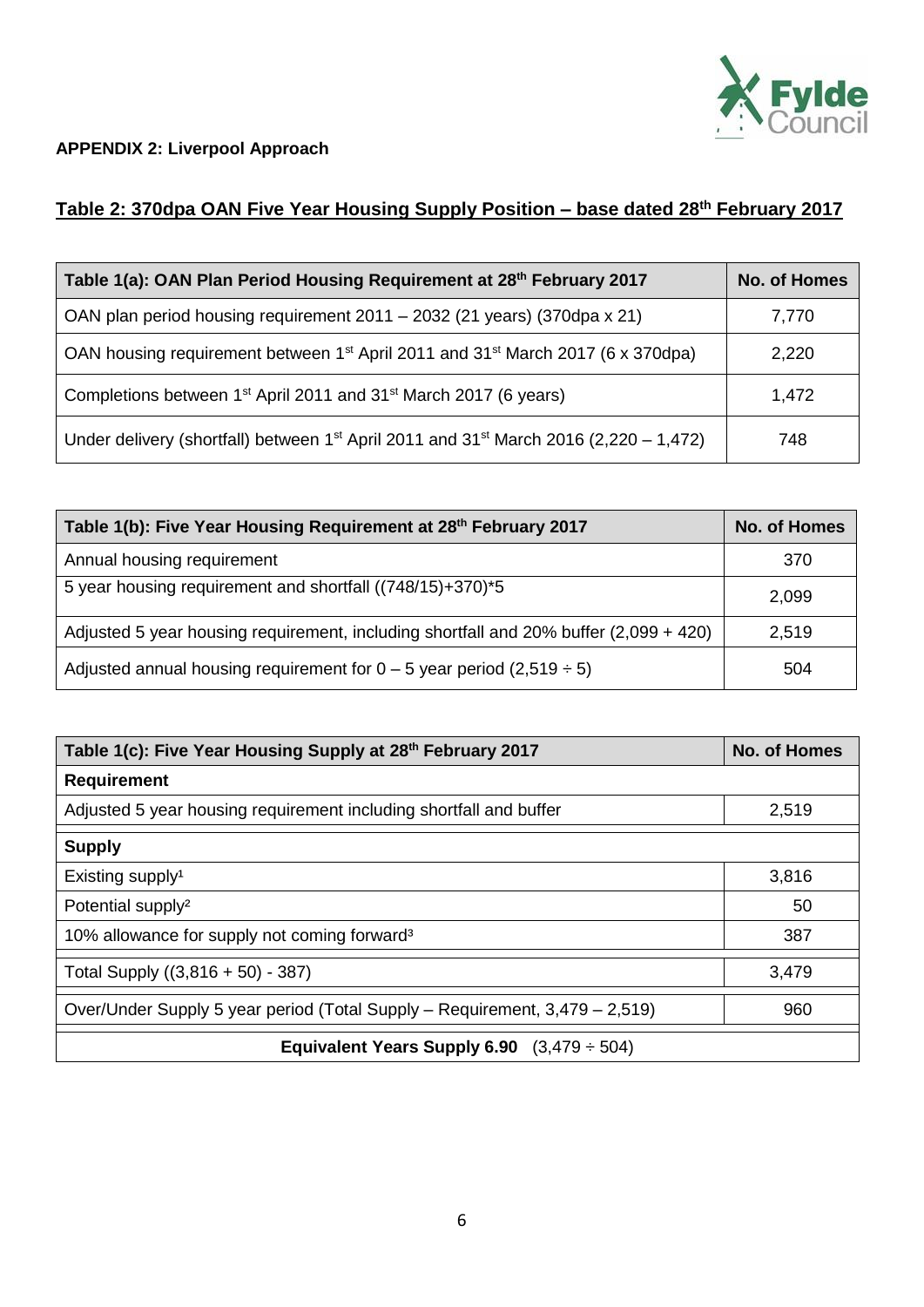

### **APPENDIX 2: Liverpool Approach**

## **Table 2: 370dpa OAN Five Year Housing Supply Position – base dated 28th February 2017**

| Table 1(a): OAN Plan Period Housing Requirement at 28 <sup>th</sup> February 2017                             | <b>No. of Homes</b> |  |  |  |  |
|---------------------------------------------------------------------------------------------------------------|---------------------|--|--|--|--|
| OAN plan period housing requirement 2011 - 2032 (21 years) (370dpa x 21)                                      | 7,770               |  |  |  |  |
| OAN housing requirement between 1 <sup>st</sup> April 2011 and 31 <sup>st</sup> March 2017 (6 x 370dpa)       | 2,220               |  |  |  |  |
| Completions between 1 <sup>st</sup> April 2011 and 31 <sup>st</sup> March 2017 (6 years)                      | 1,472               |  |  |  |  |
| Under delivery (shortfall) between 1 <sup>st</sup> April 2011 and 31 <sup>st</sup> March 2016 (2,220 – 1,472) | 748                 |  |  |  |  |

| Table 1(b): Five Year Housing Requirement at 28th February 2017                       | <b>No. of Homes</b> |  |  |  |  |
|---------------------------------------------------------------------------------------|---------------------|--|--|--|--|
| Annual housing requirement                                                            | 370                 |  |  |  |  |
| 5 year housing requirement and shortfall ((748/15)+370)*5                             | 2,099               |  |  |  |  |
| Adjusted 5 year housing requirement, including shortfall and 20% buffer (2,099 + 420) | 2,519               |  |  |  |  |
| Adjusted annual housing requirement for $0 - 5$ year period (2,519 $\div$ 5)          | 504                 |  |  |  |  |

| Table 1(c): Five Year Housing Supply at 28 <sup>th</sup> February 2017      | No. of Homes |  |  |  |  |  |  |  |  |
|-----------------------------------------------------------------------------|--------------|--|--|--|--|--|--|--|--|
| <b>Requirement</b>                                                          |              |  |  |  |  |  |  |  |  |
| Adjusted 5 year housing requirement including shortfall and buffer          | 2,519        |  |  |  |  |  |  |  |  |
| <b>Supply</b>                                                               |              |  |  |  |  |  |  |  |  |
| Existing supply <sup>1</sup>                                                | 3,816        |  |  |  |  |  |  |  |  |
| Potential supply <sup>2</sup>                                               | 50           |  |  |  |  |  |  |  |  |
| 10% allowance for supply not coming forward <sup>3</sup>                    | 387          |  |  |  |  |  |  |  |  |
| Total Supply $((3,816 + 50) - 387)$                                         | 3,479        |  |  |  |  |  |  |  |  |
| Over/Under Supply 5 year period (Total Supply – Requirement, 3,479 – 2,519) | 960          |  |  |  |  |  |  |  |  |
| Equivalent Years Supply 6.90 $(3,479 \div 504)$                             |              |  |  |  |  |  |  |  |  |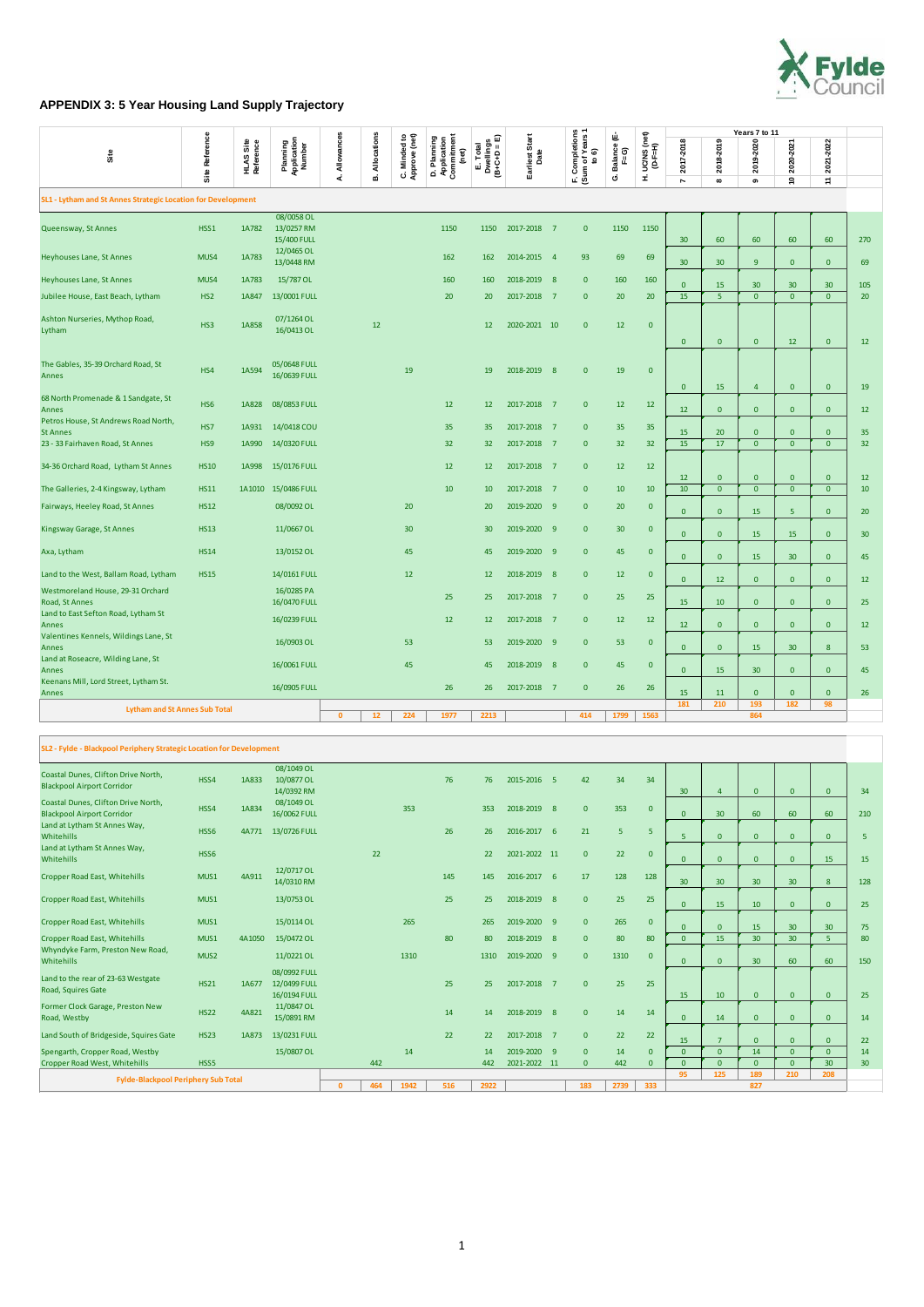

## **APPENDIX 3: 5 Year Housing Land Supply Trajectory**

|                                                              |                 |                               |                                         |                 |                  |                               |                                                   |                                      |                             |  |                                            |                          |                              |                 |                       | Years 7 to 11   |                           |                 |                 |
|--------------------------------------------------------------|-----------------|-------------------------------|-----------------------------------------|-----------------|------------------|-------------------------------|---------------------------------------------------|--------------------------------------|-----------------------------|--|--------------------------------------------|--------------------------|------------------------------|-----------------|-----------------------|-----------------|---------------------------|-----------------|-----------------|
| Site                                                         | Site Reference  | <b>HLAS Site</b><br>Reference | Planning<br>Application<br>Number       | Allowances<br>ፈ | Allocations<br>ø | C. Minded to<br>Approve (net) | D. Planning<br>Application<br>Commitment<br>(net) | E. Total<br>Dwellings<br>(B+C+D = E) | Start<br>Earliest S<br>Date |  | F. Completions<br>(Sum of Years 1<br>to 6) | Balance (E-<br>F=G)<br>Ġ | UC/NS (net)<br>(D-F=H)<br>Ĩ. | 2017-2018<br>r  | 2018-2019<br>$\infty$ | 2019-2020<br>o  | 2020-2021<br>$\mathsf{e}$ | 2021-2022<br>H, |                 |
| SL1 - Lytham and St Annes Strategic Location for Development |                 |                               |                                         |                 |                  |                               |                                                   |                                      |                             |  |                                            |                          |                              |                 |                       |                 |                           |                 |                 |
| Queensway, St Annes                                          | HSS1            | 1A782                         | 08/0058 OL<br>13/0257 RM<br>15/400 FULL |                 |                  |                               | 1150                                              | 1150                                 | 2017-2018 7                 |  | $\mathbf{0}$                               | 1150                     | 1150                         | 30 <sup>°</sup> | 60                    | 60              | 60                        | 60              | 270             |
| Heyhouses Lane, St Annes                                     | MUS4            | 1A783                         | 12/0465 OL<br>13/0448 RM                |                 |                  |                               | 162                                               | 162                                  | 2014-2015 4                 |  | 93                                         | 69                       | 69                           | 30 <sup>°</sup> | 30 <sup>°</sup>       | 9               | $\mathbf{0}$              | $\mathbf{0}$    | 69              |
| Heyhouses Lane, St Annes                                     | MUS4            | 1A783                         | 15/787 OL                               |                 |                  |                               | 160                                               | 160                                  | 2018-2019 8                 |  | $\mathbf{0}$                               | 160                      | 160                          | $\mathbf{0}$    | 15                    | 30              | 30 <sup>°</sup>           | 30              | 105             |
| Jubilee House, East Beach, Lytham                            | HS <sub>2</sub> | 1A847                         | 13/0001 FULL                            |                 |                  |                               | 20                                                | 20                                   | 2017-2018 7                 |  | $\mathbf{0}$                               | 20                       | 20                           | 15              | 5                     | $\Omega$        | $\overline{0}$            | $\overline{0}$  | 20              |
| Ashton Nurseries, Mythop Road,<br>Lytham                     | HS3             | 1A858                         | 07/1264 OL<br>16/0413 OL                |                 | 12               |                               |                                                   | 12                                   | 2020-2021 10                |  | $\mathbf{0}$                               | 12                       | $\overline{0}$               | $\mathbf{0}$    | $\mathbf{0}$          | $\mathbf{0}$    | 12                        | $\mathbf{0}$    | 12              |
| The Gables, 35-39 Orchard Road, St<br>Annes                  | HS4             | 1A594                         | 05/0648 FULL<br>16/0639 FULL            |                 |                  | 19                            |                                                   | 19                                   | 2018-2019 8                 |  | $\mathbf{0}$                               | 19                       | $\mathbf{0}$                 | $\mathbf{0}$    | <b>15</b>             | 4               | $\mathbf{0}$              | $\mathbf{0}$    | 19              |
| 68 North Promenade & 1 Sandgate, St<br>Annes                 | HS <sub>6</sub> | 1A828                         | 08/0853 FULL                            |                 |                  |                               | 12                                                | 12                                   | 2017-2018 7                 |  | $\mathbf{0}$                               | 12                       | 12                           | 12              | $\mathbf{0}$          | $\overline{0}$  | $\mathbf{0}$              | $\mathbf{0}$    | 12              |
| Petros House, St Andrews Road North,<br><b>St Annes</b>      | HS7             | 1A931                         | 14/0418 COU                             |                 |                  |                               | 35                                                | 35                                   | 2017-2018 7                 |  | $\mathbf{0}$                               | 35                       | 35                           | 15              | 20                    | $\mathbf{0}$    | $\mathbf{0}$              | $\mathbf{0}$    | 35              |
| 23 - 33 Fairhaven Road, St Annes                             | HS <sub>9</sub> | 1A990                         | 14/0320 FULL                            |                 |                  |                               | 32                                                | 32                                   | 2017-2018 7                 |  | $\mathbf{0}$                               | 32                       | 32                           | 15              | 17                    | $\Omega$        | $\overline{0}$            | $\overline{0}$  | 32 <sub>2</sub> |
| 34-36 Orchard Road, Lytham St Annes                          | <b>HS10</b>     | 1A998                         | 15/0176 FULL                            |                 |                  |                               | 12                                                | 12                                   | 2017-2018 7                 |  | $\mathbf{0}$                               | 12                       | 12                           | 12              | $\bf{0}$              | $\mathbf{0}$    | $\mathbf{0}$              | $\mathbf{0}$    | 12              |
| The Galleries, 2-4 Kingsway, Lytham                          | <b>HS11</b>     | 1A1010                        | 15/0486 FULL                            |                 |                  |                               | 10                                                | 10                                   | 2017-2018 7                 |  | $\mathbf{0}$                               | 10                       | 10                           | 10              | $\mathbf{0}$          | $\mathbf{0}$    | $\overline{0}$            | $\overline{0}$  | 10              |
| Fairways, Heeley Road, St Annes                              | <b>HS12</b>     |                               | 08/0092 OL                              |                 |                  | 20                            |                                                   | <b>20</b>                            | 2019-2020 9                 |  | $\mathbf{0}$                               | 20                       | $\overline{0}$               | $\mathbf{0}$    | $\mathbf{0}$          | 15              | 5                         | $\mathbf{0}$    | 20              |
| Kingsway Garage, St Annes                                    | <b>HS13</b>     |                               | 11/0667 OL                              |                 |                  | 30 <sup>°</sup>               |                                                   | 30                                   | 2019-2020 9                 |  | $\mathbf{0}$                               | 30                       | $\mathbf{0}$                 | $\mathbf{0}$    | $\mathbf{0}$          | 15              | 15                        | $\mathbf{0}$    | 30 <sup>°</sup> |
| Axa, Lytham                                                  | <b>HS14</b>     |                               | 13/0152 OL                              |                 |                  | 45                            |                                                   | 45                                   | 2019-2020 9                 |  | $\mathbf{0}$                               | 45                       | $\overline{0}$               | $\mathbf{0}$    | $\mathbf{0}$          | 15              | 30 <sup>°</sup>           | $\mathbf{0}$    | 45              |
| Land to the West, Ballam Road, Lytham                        | <b>HS15</b>     |                               | 14/0161 FULL                            |                 |                  | 12                            |                                                   | 12                                   | 2018-2019 8                 |  | $\mathbf{0}$                               | 12                       | $\mathbf{0}$                 | $\mathbf{0}$    | 12                    | $\mathbf{0}$    | $\mathbf{0}$              | $\mathbf{0}$    | 12              |
| Westmoreland House, 29-31 Orchard<br>Road, St Annes          |                 |                               | 16/0285 PA<br>16/0470 FULL              |                 |                  |                               | 25                                                | 25                                   | 2017-2018 7                 |  | $\mathbf{0}$                               | 25                       | 25                           | 15              | 10                    | $\mathbf{0}$    | $\mathbf{0}$              | $\mathbf{0}$    | 25              |
| Land to East Sefton Road, Lytham St<br>Annes                 |                 |                               | 16/0239 FULL                            |                 |                  |                               | 12                                                | 12                                   | 2017-2018 7                 |  | $\overline{0}$                             | 12                       | 12                           | 12              | $\mathbf{0}$          | $\mathbf{0}$    | $\mathbf{0}$              | $\mathbf{0}$    | 12              |
| Valentines Kennels, Wildings Lane, St<br>Annes               |                 |                               | 16/0903 OL                              |                 |                  | 53                            |                                                   | 53                                   | 2019-2020 9                 |  | $\mathbf{0}$                               | 53                       | $\overline{0}$               | $\mathbf{0}$    | $\mathbf{0}$          | 15              | 30 <sup>°</sup>           | 8               | 53              |
| Land at Roseacre, Wilding Lane, St<br>Annes                  |                 |                               | 16/0061 FULL                            |                 |                  | 45                            |                                                   | 45                                   | 2018-2019 8                 |  | $\overline{0}$                             | 45                       | $\mathbf{0}$                 | $\mathbf{0}$    | 15                    | 30 <sup>°</sup> | $\mathbf{0}$              | $\mathbf{0}$    | 45              |
| Keenans Mill, Lord Street, Lytham St.<br>Annes               |                 |                               | 16/0905 FULL                            |                 |                  |                               | 26                                                | 26                                   | 2017-2018 7                 |  | $\mathbf{0}$                               | 26                       | 26                           | 15              | <b>11</b>             | $\mathbf{0}$    | $\mathbf{0}$              | $\mathbf{0}$    | 26              |
| <b>Lytham and St Annes Sub Total</b>                         |                 |                               |                                         |                 |                  |                               |                                                   |                                      |                             |  |                                            | 181                      | 210                          | 193             | 182                   | 98              |                           |                 |                 |
|                                                              |                 |                               |                                         | $\mathbf{0}$    | 12               | 224                           | 1977                                              | 2213                                 |                             |  | 414                                        | 1799                     | 1563                         |                 |                       | 864             |                           |                 |                 |

|                                                                          | SL2 - Fylde - Blackpool Periphery Strategic Location for Development |        |                                              |              |     |      |     |      |              |  |              |      |                |                                |                        |              |                 |                 |                 |
|--------------------------------------------------------------------------|----------------------------------------------------------------------|--------|----------------------------------------------|--------------|-----|------|-----|------|--------------|--|--------------|------|----------------|--------------------------------|------------------------|--------------|-----------------|-----------------|-----------------|
| Coastal Dunes, Clifton Drive North,<br><b>Blackpool Airport Corridor</b> | HSS4                                                                 | 1A833  | 08/1049 OL<br>10/0877 OL<br>14/0392 RM       |              |     |      | 76  | 76   | 2015-2016 5  |  | 42           | 34   | 34             | 30 <sup>°</sup>                | $\boldsymbol{\Lambda}$ | $\Omega$     | $\mathbf{0}$    | $\Omega$        | 34              |
| Coastal Dunes, Clifton Drive North,<br><b>Blackpool Airport Corridor</b> | HSS4                                                                 | 1A834  | 08/1049 OL<br>16/0062 FULL                   |              |     | 353  |     | 353  | 2018-2019 8  |  | $\mathbf{0}$ | 353  | $\overline{0}$ | $\overline{0}$                 | 30                     | 60           | 60              | 60              | 210             |
| Land at Lytham St Annes Way,<br>Whitehills                               | HSS6                                                                 | 4A771  | 13/0726 FULL                                 |              |     |      | 26  | 26   | 2016-2017 6  |  | 21           | 5    | 5 <sup>5</sup> | 5                              | $\Omega$               | $\Omega$     | $\Omega$        | $\Omega$        | 5               |
| Land at Lytham St Annes Way,<br>Whitehills                               | HSS6                                                                 |        |                                              |              | 22  |      |     | 22   | 2021-2022 11 |  | $\mathbf{0}$ | 22   | $\mathbf{0}$   | $\overline{0}$                 | $\mathbf{0}$           | $\mathbf{0}$ | $\mathbf{0}$    | 15              | 15              |
| <b>Cropper Road East, Whitehills</b>                                     | MUS1                                                                 | 4A911  | 12/0717 OL<br>14/0310 RM                     |              |     |      | 145 | 145  | 2016-2017 6  |  | 17           | 128  | 128            | 30 <sup>°</sup>                | 30                     | 30           | 30 <sup>°</sup> | 8               | 128             |
| <b>Cropper Road East, Whitehills</b>                                     | MUS1                                                                 |        | 13/0753 OL                                   |              |     |      | 25  | 25   | 2018-2019 8  |  | $\mathbf{0}$ | 25   | 25             | $\mathbf{0}$                   | 15                     | 10           | $\mathbf{0}$    | $\overline{0}$  | 25              |
| <b>Cropper Road East, Whitehills</b>                                     | MUS1                                                                 |        | 15/0114 OL                                   |              |     | 265  |     | 265  | 2019-2020 9  |  | $\mathbf{0}$ | 265  | $\overline{0}$ | $\Omega$                       | $\Omega$               | 15           | 30 <sup>°</sup> | 30              | 75              |
| <b>Cropper Road East, Whitehills</b>                                     | MUS1                                                                 | 4A1050 | 15/0472 OL                                   |              |     |      | 80  | 80   | 2018-2019 8  |  | $\mathbf{0}$ | 80   | 80             | $\Omega$                       | 15                     | 30           | 30 <sup>°</sup> | 5               | 80              |
| Whyndyke Farm, Preston New Road,<br>Whitehills                           | MUS <sub>2</sub>                                                     |        | 11/0221 OL                                   |              |     | 1310 |     | 1310 | 2019-2020 9  |  | $\mathbf{0}$ | 1310 | $\mathbf{0}$   | $\mathbf{0}$                   | $\Omega$               | 30           | 60              | 60              | 150             |
| Land to the rear of 23-63 Westgate<br>Road, Squires Gate                 | <b>HS21</b>                                                          | 1A677  | 08/0992 FULL<br>12/0499 FULL<br>16/0194 FULL |              |     |      | 25  | 25   | 2017-2018 7  |  | $\mathbf{0}$ | 25   | 25             | 15                             | 10                     | $\mathbf{0}$ | $\overline{0}$  | $\Omega$        | 25              |
| Former Clock Garage, Preston New<br>Road, Westby                         | <b>HS22</b>                                                          | 4A821  | 11/0847 OL<br>15/0891 RM                     |              |     |      | 14  | 14   | 2018-2019 8  |  | $\mathbf{0}$ | 14   | 14             | $\overline{0}$                 | 14                     | $\mathbf{0}$ | $\mathbf{0}$    | $\overline{0}$  | 14              |
| Land South of Bridgeside, Squires Gate                                   | <b>HS23</b>                                                          | 1A873  | 13/0231 FULL                                 |              |     |      | 22  | 22   | 2017-2018 7  |  | $\mathbf{0}$ | 22   | 22             | 15                             | $\overline{7}$         | $\Omega$     | $\Omega$        | $\Omega$        | 22              |
| Spengarth, Cropper Road, Westby                                          |                                                                      |        | 15/0807 OL                                   |              |     | 14   |     | 14   | 2019-2020 9  |  | $\mathbf{0}$ | 14   | $\overline{0}$ | $\overline{0}$                 | $\mathbf{0}$           | 14           | $\overline{0}$  | $\overline{0}$  | 14              |
| <b>Cropper Road West, Whitehills</b>                                     | HSS5                                                                 |        |                                              |              | 442 |      |     | 442  | 2021-2022 11 |  | $\mathbf{0}$ | 442  | $\overline{0}$ | $\Omega$                       | $\Omega$               | $\Omega$     | $\Omega$        | 30 <sup>°</sup> | 30 <sup>°</sup> |
| <b>Fylde-Blackpool Periphery Sub Total</b>                               |                                                                      |        |                                              |              |     |      |     |      |              |  |              |      |                | 95<br>125<br>189<br>210<br>208 |                        |              |                 |                 |                 |
|                                                                          |                                                                      |        |                                              | $\mathbf{0}$ | 464 | 1942 | 516 | 2922 |              |  | 183          | 2739 | 333            |                                | 827                    |              |                 |                 |                 |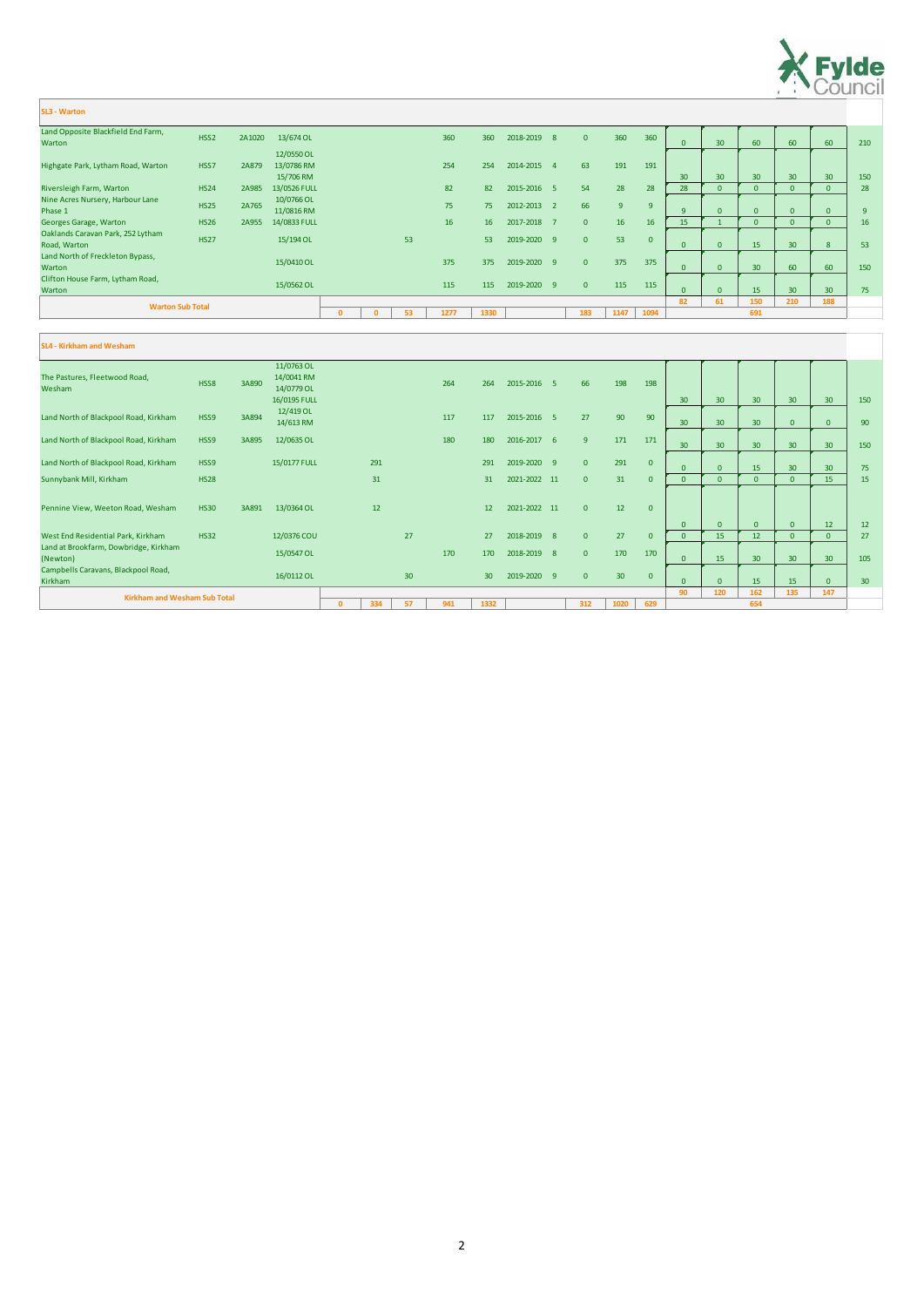|                                                   |                  |        |                                       | $\mathbf{0}$ | n | 53 | 1277 | 1330 |             | 183            | 1147 | 1094           |                 |          | 691             |                 |                 |     |
|---------------------------------------------------|------------------|--------|---------------------------------------|--------------|---|----|------|------|-------------|----------------|------|----------------|-----------------|----------|-----------------|-----------------|-----------------|-----|
| <b>Warton Sub Total</b>                           |                  |        |                                       |              |   |    |      |      |             |                |      |                | 82              | 61       | 150             | 210             | 188             |     |
| Clifton House Farm, Lytham Road,<br>Warton        |                  |        | 15/0562 OL                            |              |   |    | 115  | 115  | 2019-2020 9 | $\overline{0}$ | 115  | 115            | $\Omega$        | $\Omega$ | 15              | 30 <sup>°</sup> | 30 <sup>°</sup> | 75  |
| Land North of Freckleton Bypass,<br>Warton        |                  |        | 15/0410 OL                            |              |   |    | 375  | 375  | 2019-2020 9 | $\overline{0}$ | 375  | 375            |                 |          | 30              | 60              | 60              | 150 |
| Oaklands Caravan Park, 252 Lytham<br>Road, Warton | <b>HS27</b>      |        | 15/194 OL                             |              |   | 53 |      | 53   | 2019-2020 9 | $\mathbf{0}$   | 53   | $\overline{0}$ |                 |          | 15              | 30              | 8 <sup>°</sup>  | 53  |
| Georges Garage, Warton                            | <b>HS26</b>      | 2A955  | 14/0833 FULL                          |              |   |    | 16   | 16   | 2017-2018 7 | $\mathbf{0}$   | 16   | 16             | 15              |          |                 |                 | $\mathbf{0}$    | 16  |
| Nine Acres Nursery, Harbour Lane<br>Phase 1       | <b>HS25</b>      | 2A765  | 10/0766 OL<br>11/0816 RM              |              |   |    | 75   | 75   | 2012-2013 2 | 66             | 9    | 9              | Q               | $\Omega$ |                 |                 | $\mathbf{0}$    | 9   |
| Riversleigh Farm, Warton                          | <b>HS24</b>      | 2A985  | 13/0526 FULL                          |              |   |    | 82   | 82   | 2015-2016 5 | 54             | 28   | 28             | 28              | $\Omega$ |                 |                 | $\mathbf{0}$    | 28  |
| Highgate Park, Lytham Road, Warton                | HSS7             | 2A879  | 12/0550 OL<br>13/0786 RM<br>15/706 RM |              |   |    | 254  | 254  | 2014-2015 4 | 63             | 191  | 191            | 30 <sup>°</sup> | 30       | 30 <sup>°</sup> | 30              | 30 <sup>°</sup> | 150 |
| Land Opposite Blackfield End Farm,<br>Warton      | HSS <sub>2</sub> | 2A1020 | 13/674 OL                             |              |   |    | 360  | 360  | 2018-2019 8 | $\mathbf{0}$   | 360  | 360            |                 | 30       | 60              | 60              | 60              | 210 |
|                                                   |                  |        |                                       |              |   |    |      |      |             |                |      |                |                 |          |                 |                 |                 |     |



| <b>SL3 - Warton</b> |  |
|---------------------|--|
|                     |  |

#### The Pastures, Fleetwood Road, Wesham HSS8 3A890 11/0763 OL 14/0041 RM 14/0779 OL 16/0195 FULL 264 264 2015-2016 5 66 198 198 30 30 30 30 30 150 Land North of Blackpool Road, Kirkham HSS9 3A894 12/419 OL 117 117 2015-2016 5 27 90 90 30 30 30 0 0 90 Land North of Blackpool Road, Kirkham HSS9 3A895 12/0635 OL 180 180 180 2016-2017 6 9 171 171 30 30 30 30 30 150 Land North of Blackpool Road, Kirkham HSS9 15/0177 FULL 291 2019 291 2019-2020 9 0 291 0 0 0 15 30 30 75 Sunnybank Mill, Kirkham HS28 HS28 31 31 31 32021-2022 11 0 31 0 0 0 0 0 0 0 15 15 Pennine View, Weeton Road, Wesham HS30 3A891 13/0364 OL 12 12 12 12 12 2021-2022 11 0 12 0 0 0 0 0 12 12 West End Residential Park, Kirkham HS32 12/0376 COU 27 2018-2019 8 0 27 0 0 15 12 0 0 27 Land at Brookfarm, Dowbridge, Kirkham (Newton) 15/0547 OL <sup>170</sup> <sup>170</sup> 2018-2019 <sup>8</sup> <sup>0</sup> <sup>170</sup> <sup>170</sup> 0 15 30 30 30 105 Campbells Caravans, Blackpool Road,<br>Kirkham Kirkham 16/0112 OL <sup>30</sup> <sup>30</sup> 2019-2020 <sup>9</sup> <sup>0</sup> <sup>30</sup> <sup>0</sup> 0 0 15 15 0 30 **90 120 162 135 147 0 334 57 941 1332 312 1020 629 Kirkham and Wesham Sub Total 654 SL4 - Kirkham and Wesham**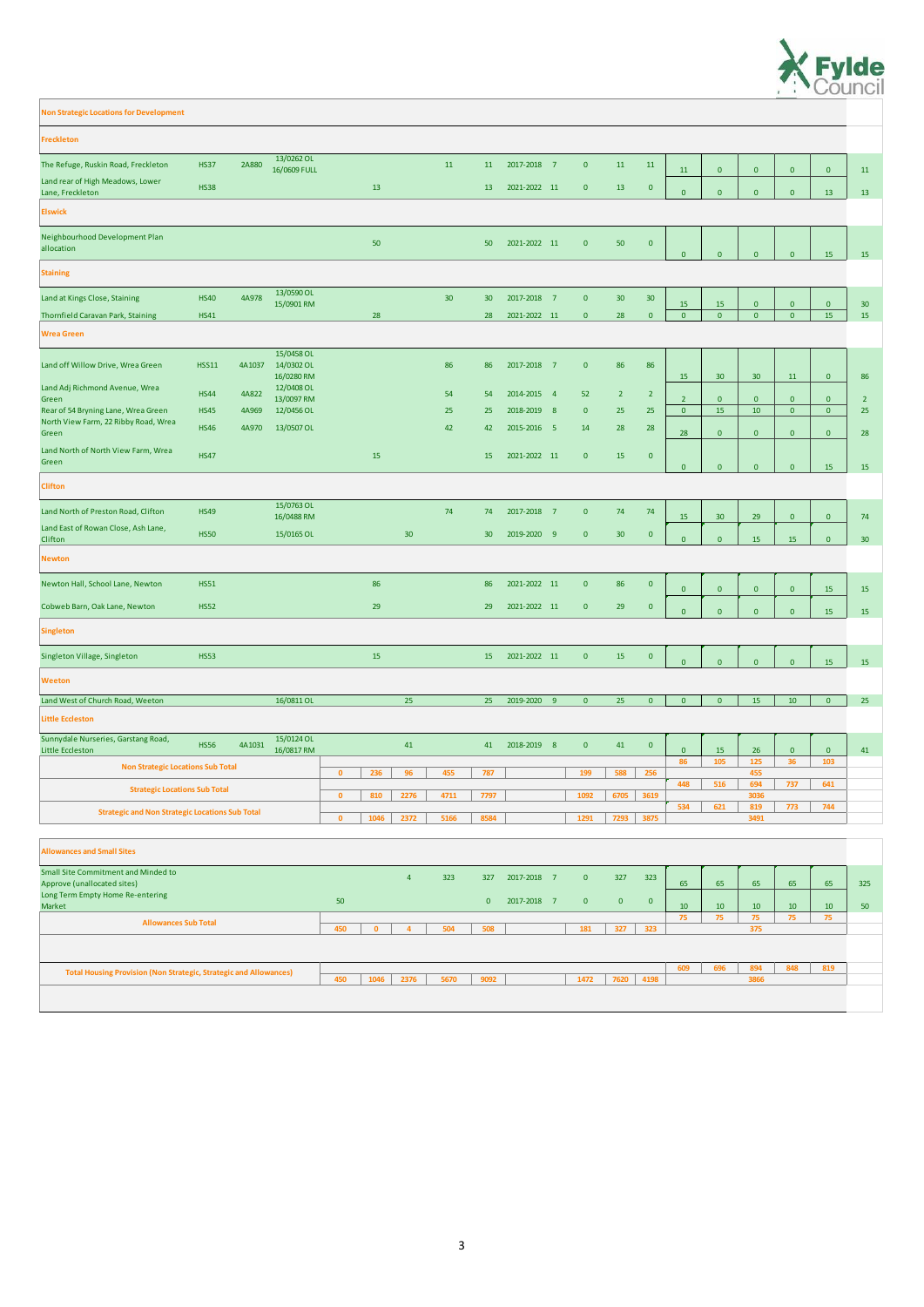| <b>Freckleton</b>                                                         |              |        |                                        |                      |                 |                 |                 |              |                            |                |                 |                 |                |                 |                 |              |                |                 |
|---------------------------------------------------------------------------|--------------|--------|----------------------------------------|----------------------|-----------------|-----------------|-----------------|--------------|----------------------------|----------------|-----------------|-----------------|----------------|-----------------|-----------------|--------------|----------------|-----------------|
| The Refuge, Ruskin Road, Freckleton                                       | <b>HS37</b>  | 2A880  | 13/0262 OL<br>16/0609 FULL             |                      |                 | 11              | 11              | 2017-2018 7  |                            | $\mathbf{0}$   | 11              | 11              | 11             | $\overline{0}$  | $\overline{0}$  | $\mathbf{0}$ | $\overline{0}$ | 11              |
| Land rear of High Meadows, Lower<br>Lane, Freckleton                      | <b>HS38</b>  |        |                                        | 13                   |                 |                 | 13              | 2021-2022 11 |                            | $\mathbf{0}$   | <b>13</b>       | $\mathbf{0}$    | $\mathbf{0}$   | $\overline{0}$  | $\mathbf{0}$    | $\mathbf{0}$ | 13             | 13              |
| <b>Elswick</b>                                                            |              |        |                                        |                      |                 |                 |                 |              |                            |                |                 |                 |                |                 |                 |              |                |                 |
| Neighbourhood Development Plan<br>allocation                              |              |        |                                        | 50                   |                 |                 | 50              | 2021-2022 11 |                            | $\mathbf{0}$   | 50              | $\mathbf{0}$    | $\mathbf{0}$   | $\overline{0}$  | $\mathbf{0}$    | $\mathbf{0}$ | 15             | 15              |
| <b>Staining</b>                                                           |              |        |                                        |                      |                 |                 |                 |              |                            |                |                 |                 |                |                 |                 |              |                |                 |
| Land at Kings Close, Staining                                             | <b>HS40</b>  | 4A978  | 13/0590 OL<br>15/0901 RM               |                      |                 | 30 <sup>°</sup> | 30              | 2017-2018 7  |                            | $\mathbf{0}$   | 30 <sup>°</sup> | 30 <sup>°</sup> | 15             | 15              | $\mathbf{0}$    | $\mathbf{0}$ | $\overline{0}$ | 30 <sup>°</sup> |
| Thornfield Caravan Park, Staining                                         | <b>HS41</b>  |        |                                        | 28                   |                 |                 | 28              | 2021-2022 11 |                            | $\mathbf{0}$   | 28              | $\overline{0}$  | $\overline{0}$ | $\overline{0}$  | $\overline{0}$  | $\mathbf{0}$ | 15             | 15              |
| <b>Wrea Green</b>                                                         |              |        |                                        |                      |                 |                 |                 |              |                            |                |                 |                 |                |                 |                 |              |                |                 |
| Land off Willow Drive, Wrea Green                                         | <b>HSS11</b> | 4A1037 | 15/0458 OL<br>14/0302 OL<br>16/0280 RM |                      |                 | 86              | 86              | 2017-2018 7  |                            | $\mathbf{0}$   | 86              | 86              | 15             | 30 <sup>°</sup> | 30 <sup>°</sup> | 11           | $\mathbf{0}$   | 86              |
| Land Adj Richmond Avenue, Wrea<br>Green                                   | <b>HS44</b>  | 4A822  | 12/0408 OL<br>13/0097 RM               |                      |                 | 54              | 54              | 2014-2015 4  |                            | 52             | $\overline{2}$  | $\overline{2}$  | $\overline{2}$ | $\mathbf{0}$    | $\mathbf{0}$    | $\mathbf{0}$ | $\mathbf{0}$   | 2 <sup>2</sup>  |
| Rear of 54 Bryning Lane, Wrea Green                                       | <b>HS45</b>  | 4A969  | 12/0456 OL                             |                      |                 | 25              | 25              | 2018-2019    | $\overline{\phantom{0}}$ 8 | $\mathbf{0}$   | 25              | 25              | $\overline{0}$ | 15              | 10              | $\mathbf{0}$ | $\overline{0}$ | 25              |
| North View Farm, 22 Ribby Road, Wrea<br>Green                             | <b>HS46</b>  | 4A970  | 13/0507 OL                             |                      |                 | 42              | 42              | 2015-2016 5  |                            | 14             | 28              | 28              | 28             | $\overline{0}$  | $\mathbf{0}$    | $\mathbf{0}$ | $\mathbf{0}$   | 28              |
| Land North of North View Farm, Wrea<br>Green                              | <b>HS47</b>  |        |                                        | 15                   |                 |                 | 15              | 2021-2022 11 |                            | $\mathbf{0}$   | 15              | $\mathbf{0}$    | $\mathbf{0}$   | $\overline{0}$  | $\mathbf{0}$    | $\mathbf{0}$ | 15             | 15              |
| <b>Clifton</b>                                                            |              |        |                                        |                      |                 |                 |                 |              |                            |                |                 |                 |                |                 |                 |              |                |                 |
| Land North of Preston Road, Clifton                                       | <b>HS49</b>  |        | 15/0763 OL<br>16/0488 RM               |                      |                 | 74              | 74              | 2017-2018 7  |                            | $\mathbf{0}$   | 74              | 74              | 15             | 30 <sup>°</sup> | 29              | $\mathbf{0}$ | $\overline{0}$ | 74              |
| Land East of Rowan Close, Ash Lane,<br>Clifton                            | <b>HS50</b>  |        | 15/0165 OL                             |                      | 30 <sup>°</sup> |                 | 30 <sup>°</sup> | 2019-2020 9  |                            | $\mathbf{0}$   | 30 <sup>°</sup> | $\mathbf{0}$    | $\Omega$       | $\overline{0}$  | 15              | 15           | $\mathbf{0}$   | 30 <sup>°</sup> |
| <b>Newton</b>                                                             |              |        |                                        |                      |                 |                 |                 |              |                            |                |                 |                 |                |                 |                 |              |                |                 |
| Newton Hall, School Lane, Newton                                          | <b>HS51</b>  |        |                                        | 86                   |                 |                 | 86              | 2021-2022 11 |                            | $\mathbf{0}$   | 86              | $\mathbf{0}$    | $\mathbf{0}$   | $\overline{0}$  | $\overline{0}$  | $\mathbf{0}$ | 15             | 15              |
| Cobweb Barn, Oak Lane, Newton                                             | <b>HS52</b>  |        |                                        | 29                   |                 |                 | 29              | 2021-2022 11 |                            | $\mathbf{0}$   | 29              | $\mathbf{0}$    | $\Omega$       | $\mathbf{0}$    | $\overline{0}$  | $\mathbf{0}$ | 15             | 15              |
| <b>Singleton</b>                                                          |              |        |                                        |                      |                 |                 |                 |              |                            |                |                 |                 |                |                 |                 |              |                |                 |
| Singleton Village, Singleton                                              | <b>HS53</b>  |        |                                        | 15                   |                 |                 | 15              | 2021-2022 11 |                            | $\overline{0}$ | 15              | $\mathbf{0}$    | $\mathbf{0}$   | $\overline{0}$  | $\mathbf{0}$    | $\mathbf{0}$ | 15             | 15              |
| <b>Weeton</b>                                                             |              |        |                                        |                      |                 |                 |                 |              |                            |                |                 |                 |                |                 |                 |              |                |                 |
| Land West of Church Road, Weeton                                          |              |        | 16/0811 OL                             |                      | 25              |                 | 25              | 2019-2020 9  |                            | $\overline{0}$ | 25              | $\overline{0}$  | $\overline{0}$ | $\overline{0}$  | 15              | 10           | $\overline{0}$ | 25              |
| Little Eccleston                                                          |              |        |                                        |                      |                 |                 |                 |              |                            |                |                 |                 |                |                 |                 |              |                |                 |
| Sunnydale Nurseries, Garstang Road,<br><b>Little Eccleston</b>            | <b>HS56</b>  | 4A1031 | 15/0124 OL<br>16/0817 RM               |                      | 41              |                 | 41              | 2018-2019 8  |                            | $\overline{0}$ | 41              | $\mathbf{0}$    | $\overline{0}$ | 15              | 26              | $\mathbf{0}$ | $\overline{0}$ | 41              |
| <b>Non Strategic Locations Sub Total</b>                                  |              |        |                                        | $\mathbf{0}$<br>236  | 96              | 455             | 787             |              |                            | 199            | 588             | 256             | 86             | 105             | 125<br>455      | 36           | 103            |                 |
| <b>Strategic Locations Sub Total</b>                                      |              |        |                                        | 810<br>$\mathbf{0}$  | 2276            | 4711            | 7797            |              |                            | 1092           | 6705            | 3619            | 448            | 516             | 694<br>3036     | 737          | 641            |                 |
| <b>Strategic and Non Strategic Locations Sub Total</b>                    |              |        |                                        | 1046<br>$\mathbf{0}$ | 2372            | 5166            | 8584            |              |                            | 1291           | 7293            | 3875            | 534            | 621             | 819<br>3491     | 773          | 744            |                 |
|                                                                           |              |        |                                        |                      |                 |                 |                 |              |                            |                |                 |                 |                |                 |                 |              |                |                 |
| <b>Allowances and Small Sites</b>                                         |              |        |                                        |                      |                 |                 |                 |              |                            |                |                 |                 |                |                 |                 |              |                |                 |
| <b>Small Site Commitment and Minded to</b><br>Approve (unallocated sites) |              |        |                                        |                      | $\overline{4}$  | 323             | 327             | 2017-2018 7  |                            | $\overline{0}$ | 327             | 323             | 65             | 65              | 65              | 65           | 65             | 325             |

**Non Strategic Locations for Development**

Long Term Empty Home Re-entering

Market <sup>50</sup> <sup>0</sup> 2017-2018 <sup>7</sup> <sup>0</sup> <sup>0</sup> <sup>0</sup>



10 10 10 10 10 50

**75 75 75 75 75**

**450 0 4 504 508 181 327 323**

**609 696 894 848 819 450 1046 2376 5670 9092 1472 7620 4198 Total Housing Provision (Non Strategic, Strategic and Allowances) 3866**

**Allowances Sub Total**

**375**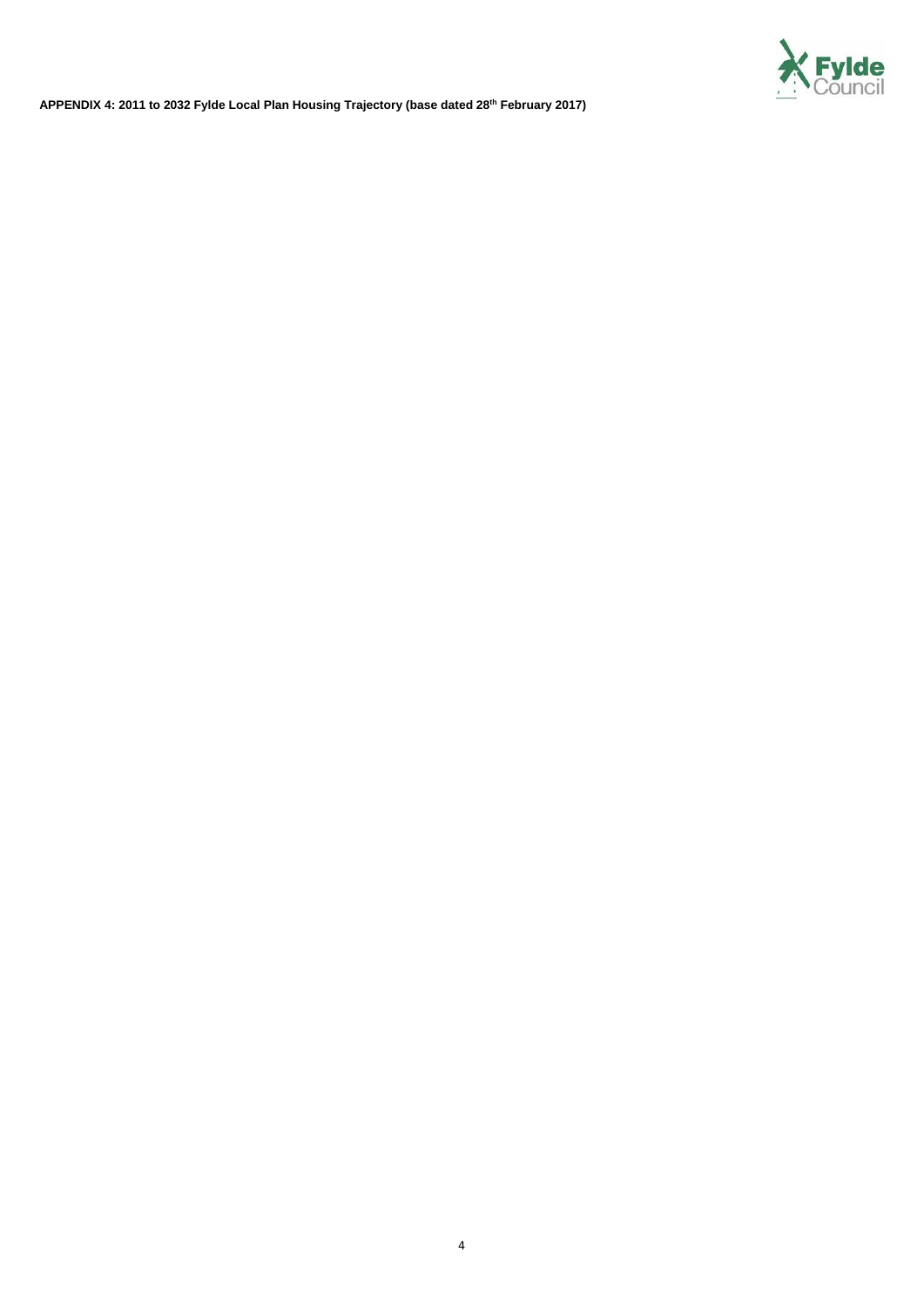

**APPENDIX 4: 2011 to 2032 Fylde Local Plan Housing Trajectory (base dated 28th February 2017)**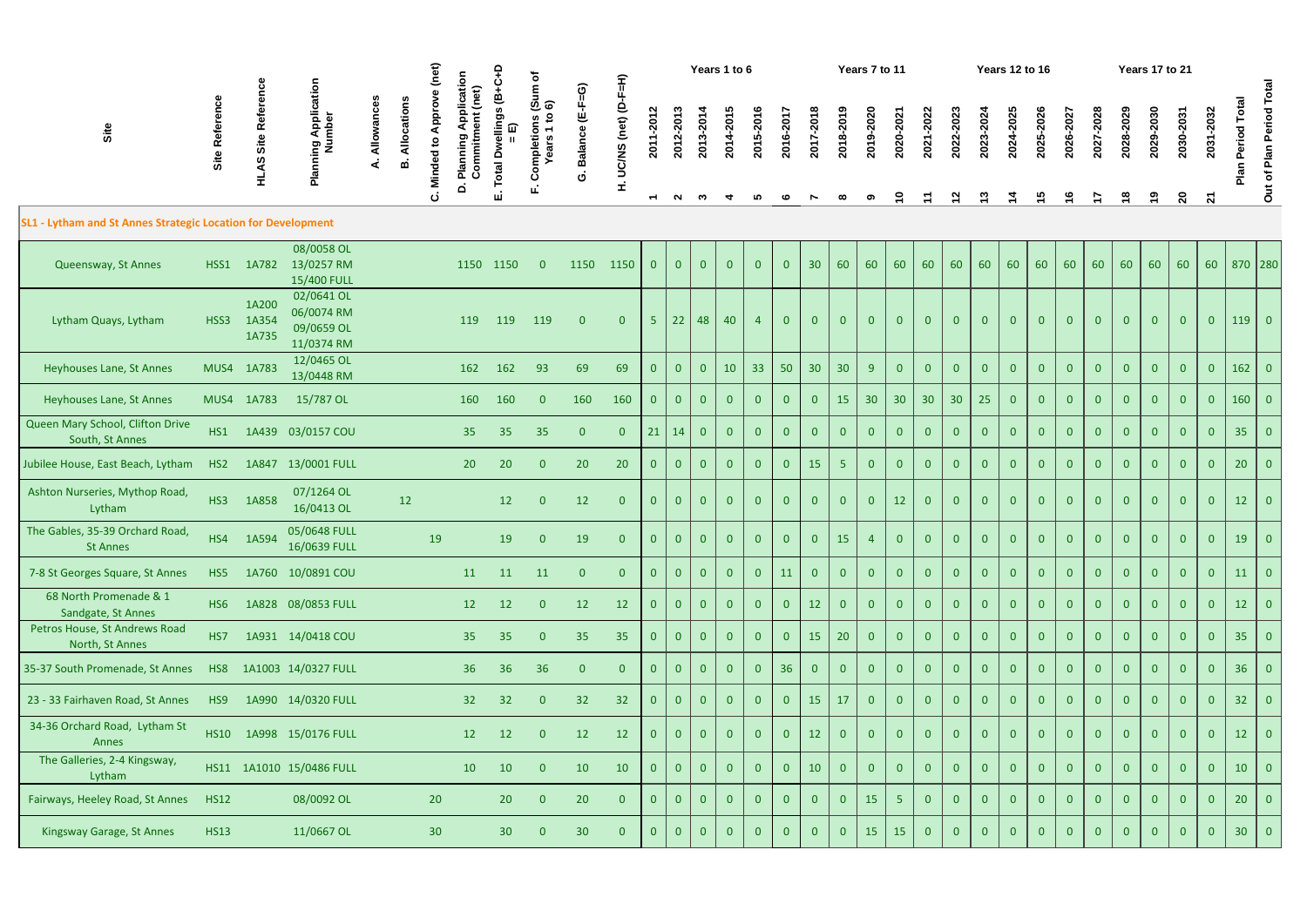|                                                              |                 |                         |                                                      | (net)<br>Years 1 to 6<br>Years 7 to 11<br>Δ<br>(Sum of 6)<br>(net) |            |                     |                           |                                  |                                                |                             |                          |                          |                |                       |                      | <b>Years 12 to 16</b> |                |                 |                 |                | Years 17 to 21  |                 |                |                |                |                |                |                |                |                |                |                |                 |                          |
|--------------------------------------------------------------|-----------------|-------------------------|------------------------------------------------------|--------------------------------------------------------------------|------------|---------------------|---------------------------|----------------------------------|------------------------------------------------|-----------------------------|--------------------------|--------------------------|----------------|-----------------------|----------------------|-----------------------|----------------|-----------------|-----------------|----------------|-----------------|-----------------|----------------|----------------|----------------|----------------|----------------|----------------|----------------|----------------|----------------|----------------|-----------------|--------------------------|
| Site                                                         | Site Refer      | Site<br>S.<br>로         | Planning Application<br>Number                       | Allowances                                                         | Allocation | Approv<br>Minded to | Application<br>Commitment | ellings (B+<br>ଢ<br><b>Total</b> | $\mathbf{S}$<br><b>ompletions</b><br>ears<br>Ŏ | e (E-F=G)<br><b>Balance</b> | UC/NS (net) (D-F=H)<br>H | 2011-2012                | 2012-2013      | 2013-2014             | 2014-2015            | 2015-2016             | 2016-2017      | 2017-2018       | 2018-2019       | 2019-2020      | 2020-2021       | 2021-2022       | 2022-2023      | 2023-2024      | 2024-2025      | 2025-2026      | 2026-2027      | 2027-2028      | 2028-2029      | 2029-2030      | 2030-2031      | 2031-2032      | Period Total    | Out of Plan Period Total |
|                                                              |                 |                         |                                                      |                                                                    |            | ن                   | $\dot{\mathbf{a}}$        | ய்                               |                                                |                             |                          | $\overline{\phantom{0}}$ | $\sim$         | $\boldsymbol{\omega}$ | $\blacktriangledown$ | 5                     | ဖ              |                 |                 | თ              | $\tilde{a}$     |                 | $\mathbf{z}$   | ှာ             | $\frac{4}{4}$  | 5              | $\frac{6}{1}$  | $\frac{1}{2}$  | $\frac{8}{1}$  | ဇ္             | $\mathbf{S}$   | $\mathbf{z}$   |                 |                          |
| SL1 - Lytham and St Annes Strategic Location for Development |                 |                         |                                                      |                                                                    |            |                     |                           |                                  |                                                |                             |                          |                          |                |                       |                      |                       |                |                 |                 |                |                 |                 |                |                |                |                |                |                |                |                |                |                |                 |                          |
| Queensway, St Annes                                          | HSS1            | 1A782                   | 08/0058 OL<br>13/0257 RM<br>15/400 FULL              |                                                                    |            |                     | 1150 1150                 |                                  | $\overline{0}$                                 | 1150                        | 1150                     | $\mathbf{0}$             | $\overline{0}$ | $\overline{0}$        | $\overline{0}$       | $\overline{0}$        | $\overline{0}$ | 30              | 60              | 60             | 60              | 60              | 60             | 60             | 60             | 60             | 60             | 60             | 60             | 60             | 60             | 60             |                 | 870 280                  |
| Lytham Quays, Lytham                                         | HSS3            | 1A200<br>1A354<br>1A735 | 02/0641 OL<br>06/0074 RM<br>09/0659 OL<br>11/0374 RM |                                                                    |            |                     | 119                       | 119                              | 119                                            | $\overline{0}$              | $\overline{0}$           | 5                        | 22             | 48                    | 40                   |                       | $\overline{0}$ | $\mathbf{0}$    | $\mathbf{0}$    | $\Omega$       | $\mathbf{0}$    | $\mathbf{0}$    | $\Omega$       | $\overline{0}$ | $\overline{0}$ | $\mathbf{0}$   | $\overline{0}$ | $\overline{0}$ | $\Omega$       | $\overline{0}$ | $\overline{0}$ | $\overline{0}$ | $119$ 0         |                          |
| <b>Heyhouses Lane, St Annes</b>                              |                 | MUS4 1A783              | 12/0465 OL<br>13/0448 RM                             |                                                                    |            |                     | 162                       | 162                              | 93                                             | 69                          | 69                       | $\mathbf{0}$             | $\overline{0}$ | $\mathbf{0}$          | 10                   | 33                    | 50             | 30 <sup>°</sup> | 30 <sup>°</sup> | 9              | $\overline{0}$  | $\overline{0}$  | $\bf{0}$       | $\overline{0}$ | $\overline{0}$ | $\overline{0}$ | $\overline{0}$ | $\overline{0}$ | $\overline{0}$ | $\overline{0}$ | $\overline{0}$ | $\mathbf{0}$   | $162$ 0         |                          |
| Heyhouses Lane, St Annes                                     |                 | MUS4 1A783              | 15/787 OL                                            |                                                                    |            |                     | 160                       | 160                              | $\mathbf{0}$                                   | 160                         | 160                      | $\mathbf{0}$             | $\overline{0}$ | $\Omega$              | $\overline{0}$       | $\mathbf{0}$          | $\overline{0}$ | $\overline{0}$  | 15              | 30             | 30              | 30 <sup>°</sup> | 30             | 25             | $\overline{0}$ | $\mathbf{0}$   |                | $\overline{0}$ |                |                | $\overline{0}$ | $\overline{0}$ | $160$ 0         |                          |
| Queen Mary School, Clifton Drive<br>South, St Annes          | HS1             |                         | 1A439 03/0157 COU                                    |                                                                    |            |                     | 35                        | 35                               | 35                                             | $\overline{0}$              | $\overline{0}$           | 21                       | 14             | $\mathbf{0}$          | $\overline{0}$       | $\mathbf{0}$          | $\mathbf{0}$   | $\overline{0}$  | $\overline{0}$  | $\overline{0}$ | $\overline{0}$  | $\mathbf{0}$    | $\overline{0}$ | $\overline{0}$ | $\overline{0}$ | $\overline{0}$ | $\overline{0}$ | $\overline{0}$ | $\Omega$       | $\overline{0}$ | $\mathbf{0}$   | $\mathbf{0}$   | 35              | $\overline{0}$           |
| Jubilee House, East Beach, Lytham                            | HS <sub>2</sub> |                         | 1A847 13/0001 FULL                                   |                                                                    |            |                     | 20                        | 20                               | $\overline{0}$                                 | 20                          | 20                       | $\mathbf{0}$             | $\overline{0}$ | $\mathbf{0}$          | $\overline{0}$       | $\overline{0}$        | $\overline{0}$ | 15              | 5 <sub>1</sub>  | $\Omega$       | $\overline{0}$  | $\overline{0}$  | $\overline{0}$ | $\overline{0}$ | $\overline{0}$ | $\overline{0}$ | $\overline{0}$ | $\overline{0}$ | $\Omega$       | $\overline{0}$ | $\overline{0}$ | $\overline{0}$ | 20              | $\overline{0}$           |
| Ashton Nurseries, Mythop Road,<br>Lytham                     | HS3             | 1A858                   | 07/1264 OL<br>16/0413 OL                             |                                                                    | 12         |                     |                           | 12                               | $\overline{0}$                                 | 12                          | $\overline{0}$           | $\mathbf{0}$             | $\overline{0}$ | $\mathbf{0}$          | $\overline{0}$       | $\mathbf{0}$          | $\overline{0}$ | $\overline{0}$  | $\mathbf{0}$    | $\bf{0}$       | 12 <sub>2</sub> | $\mathbf{0}$    | $\bf{0}$       | $\overline{0}$ | $\overline{0}$ | $\overline{0}$ | $\overline{0}$ | $\overline{0}$ |                | $\overline{0}$ | $\overline{0}$ | $\mathbf{0}$   | 12              | $\overline{0}$           |
| The Gables, 35-39 Orchard Road,<br><b>St Annes</b>           | HS4             | 1A594                   | 05/0648 FULL<br>16/0639 FULL                         |                                                                    |            | 19                  |                           | 19                               | $\overline{0}$                                 | 19                          | $\overline{0}$           | $\mathbf{0}$             | $\overline{0}$ | $\mathbf{0}$          | $\overline{0}$       | $\mathbf{0}$          | $\mathbf{0}$   | $\overline{0}$  | 15              |                | $\mathbf{0}$    | $\mathbf{0}$    | 0              | $\overline{0}$ | $\mathbf{0}$   | $\mathbf{0}$   |                | $\mathbf{0}$   |                | $\mathbf{0}$   | $\mathbf{0}$   | $\mathbf{0}$   | 19              | $\overline{0}$           |
| 7-8 St Georges Square, St Annes                              | HS5             |                         | 1A760 10/0891 COU                                    |                                                                    |            |                     | 11                        | 11                               | 11                                             | $\overline{0}$              | $\overline{\mathbf{0}}$  | $\overline{0}$           | $\overline{0}$ | $\mathbf{0}$          | $\overline{0}$       | $\overline{0}$        | 11             | $\overline{0}$  | $\overline{0}$  | $\mathbf{0}$   | $\mathbf{0}$    | $\overline{0}$  | $\mathbf{0}$   | $\overline{0}$ | $\overline{0}$ | $\overline{0}$ | $\mathbf{0}$   | $\overline{0}$ | $\mathbf{0}$   | $\overline{0}$ | $\overline{0}$ | $\overline{0}$ | 11              | $\overline{0}$           |
| 68 North Promenade & 1<br>Sandgate, St Annes                 | HS <sub>6</sub> |                         | 1A828 08/0853 FULL                                   |                                                                    |            |                     | 12                        | 12                               | $\overline{0}$                                 | 12                          | 12                       | $\mathbf{0}$             | $\overline{0}$ | $\mathbf{0}$          | $\overline{0}$       | $\mathbf{0}$          | $\overline{0}$ | 12              | $\overline{0}$  | $\bf{0}$       | $\overline{0}$  | $\mathbf{0}$    | $\bf{0}$       | $\overline{0}$ | $\overline{0}$ | $\overline{0}$ |                | $\overline{0}$ |                | $\overline{0}$ | $\overline{0}$ | $\mathbf{0}$   | 12              | $\overline{0}$           |
| Petros House, St Andrews Road<br>North, St Annes             | HS7             |                         | 1A931 14/0418 COU                                    |                                                                    |            |                     | 35                        | 35                               | $\overline{0}$                                 | 35                          | 35                       | $\overline{0}$           | $\overline{0}$ | $\overline{0}$        | $\overline{0}$       | $\mathbf{0}$          | $\overline{0}$ | 15              | 20              | $\overline{0}$ | $\overline{0}$  | $\mathbf{0}$    | $\overline{0}$ | $\overline{0}$ | $\overline{0}$ | $\overline{0}$ | $\overline{0}$ | $\mathbf{0}$   | $\Omega$       | $\overline{0}$ | $\mathbf{0}$   | $\mathbf{0}$   | 35              | $\overline{0}$           |
| 35-37 South Promenade, St Annes                              | HS8             |                         | 1A1003 14/0327 FULL                                  |                                                                    |            |                     | 36                        | 36                               | 36                                             | $\overline{0}$              | $\overline{0}$           | $\overline{0}$           | $\overline{0}$ | $\overline{0}$        | $\overline{0}$       | $\overline{0}$        | 36             | $\overline{0}$  | $\overline{0}$  | $\Omega$       | $\overline{0}$  | $\overline{0}$  | $\overline{0}$ | $\overline{0}$ | $\overline{0}$ | $\overline{0}$ | $\Omega$       | $\overline{0}$ |                | $\overline{0}$ | $\overline{0}$ | $\mathbf{0}$   | 36              | $\overline{0}$           |
| 23 - 33 Fairhaven Road, St Annes                             | HS9             |                         | 1A990 14/0320 FULL                                   |                                                                    |            |                     | 32                        | 32                               | $\overline{0}$                                 | 32                          | 32                       | $\mathbf{0}$             | $\overline{0}$ | $\mathbf{0}$          | $\overline{0}$       | $\mathbf{0}$          | $\mathbf{0}$   | 15              | 17              | $\mathbf{0}$   | $\overline{0}$  | $\overline{0}$  | $\mathbf{0}$   | $\overline{0}$ | $\mathbf{0}$   | $\overline{0}$ | $\overline{0}$ | $\overline{0}$ | $\mathbf{0}$   | $\overline{0}$ | $\overline{0}$ | $\mathbf{0}$   | 32              | $\overline{0}$           |
| 34-36 Orchard Road, Lytham St<br>Annes                       | <b>HS10</b>     |                         | 1A998 15/0176 FULL                                   |                                                                    |            |                     | 12                        | 12                               | $\mathbf{0}$                                   | 12                          | 12                       | $\mathbf{0}$             | $\overline{0}$ | $\overline{0}$        | $\overline{0}$       | $\overline{0}$        | $\overline{0}$ | 12              | $\overline{0}$  |                | $\overline{0}$  | $\overline{0}$  | $\overline{0}$ | $\overline{0}$ | $\overline{0}$ | $\overline{0}$ | $\Omega$       | $\overline{0}$ |                | $\overline{0}$ | $\overline{0}$ | $\overline{0}$ | 12 <sup>2</sup> | $\overline{0}$           |
| The Galleries, 2-4 Kingsway,<br>Lytham                       |                 |                         | HS11 1A1010 15/0486 FULL                             |                                                                    |            |                     | 10                        | 10                               | $\overline{0}$                                 | 10                          | 10                       | $\overline{0}$           | $\overline{0}$ | $\mathbf{0}$          | $\overline{0}$       | $\overline{0}$        | $\overline{0}$ | 10              | $\overline{0}$  | $\overline{0}$ | $\overline{0}$  | $\overline{0}$  | $\overline{0}$ | $\overline{0}$ | $\overline{0}$ | $\overline{0}$ | $\overline{0}$ | $\overline{0}$ | $\overline{0}$ | $\overline{0}$ | $\mathbf{0}$   | $\overline{0}$ | 10              | $\overline{0}$           |
| Fairways, Heeley Road, St Annes                              | <b>HS12</b>     |                         | 08/0092 OL                                           |                                                                    |            | 20                  |                           | 20                               | $\overline{0}$                                 | 20                          | $\overline{0}$           | $\overline{0}$           | $\overline{0}$ | $\overline{0}$        | $\overline{0}$       | $\overline{0}$        | $\overline{0}$ | $\overline{0}$  | $\overline{0}$  | 15             | 5 <sup>°</sup>  | $\overline{0}$  | $\overline{0}$ | $\overline{0}$ | $\overline{0}$ | $\overline{0}$ | $\Omega$       | $\overline{0}$ |                | $\overline{0}$ | $\overline{0}$ | $\mathbf{0}$   | 20              | $\overline{0}$           |
| Kingsway Garage, St Annes                                    | <b>HS13</b>     |                         | 11/0667 OL                                           |                                                                    |            | 30 <sup>°</sup>     |                           | 30 <sub>o</sub>                  | $\overline{0}$                                 | 30 <sup>°</sup>             | $\overline{0}$           | $\overline{0}$           | $\overline{0}$ | $\mathbf{0}$          | $\overline{0}$       | $\mathbf{0}$          | $\mathbf{0}$   | $\overline{0}$  | $\overline{0}$  | 15             | 15              | $\overline{0}$  | $\mathbf{0}$   | $\mathbf{0}$   | $\overline{0}$ | $\overline{0}$ | $\mathbf{0}$   | $\overline{0}$ | $\mathbf{0}$   | $\overline{0}$ | $\overline{0}$ | $\overline{0}$ | 30 <sup>°</sup> | $\overline{0}$           |

|      |                                                  |                  |                |        |        | ≎<br>こ                     | ≔<br>≏                    | ≏                                            |                               | $\widehat{\boldsymbol{\sigma}}$ |                                             |                                                                     |                                                            |                                                      | Years 1 to 6                                     |                                                             |                                                                           |                                                         |                                      | Years 7 to 11                                                                     |                                                    |                                  |                                          | Y                        |
|------|--------------------------------------------------|------------------|----------------|--------|--------|----------------------------|---------------------------|----------------------------------------------|-------------------------------|---------------------------------|---------------------------------------------|---------------------------------------------------------------------|------------------------------------------------------------|------------------------------------------------------|--------------------------------------------------|-------------------------------------------------------------|---------------------------------------------------------------------------|---------------------------------------------------------|--------------------------------------|-----------------------------------------------------------------------------------|----------------------------------------------------|----------------------------------|------------------------------------------|--------------------------|
| ູ້ຈັ | ω<br>o<br><b>Ref</b><br>$\mathbf{\omega}$<br>ູ້ລ | ≃<br>≔<br>ທ<br>ທ | ௨<br><b>යා</b> | o<br>= | ъ<br>മ | ω<br>O<br>ਠ<br>Φ<br>Σ<br>ပ | ං<br>≂<br>، م<br>$\Omega$ | ₾<br>ວາ<br>∽<br>ÎН<br>Ξ<br>◘<br>-<br>⊢<br>щі | (၁<br>(၁<br>(၁<br>O<br>ပ<br>щ | رت<br>ω<br>ပ<br>ala<br>മ<br>O   | ≏<br>$\check{ }$<br>≎<br>$\check{ }$<br>ပ္ဘ | N<br>$\overline{20}$<br>$\overline{20}$<br>$\overline{\phantom{0}}$ | ຕ<br>$\bullet$<br>$\mathbf{\Omega}$<br>N<br>$\bullet$<br>N | $\overline{20}$<br>∾<br>0<br>$\overline{\mathsf{N}}$ | $\bullet$<br>$\mathbf{\Omega}$<br>$\bullet$<br>N | co<br>$\bullet$<br>$\mathbf{\Omega}$<br>ທ<br>$\bullet$<br>N | ∼<br>$\overline{\mathbf{S}}$<br>ဖ<br>$\bullet$<br>$\overline{\mathbf{v}}$ | $\infty$<br>$\overline{20}$<br>r<br>$\bullet$<br>$\sim$ | $\overline{20}$<br>ထ<br>↽<br>0<br>ฺี | с<br>N<br>$\overline{5}$<br>ຶ<br>$\overline{\phantom{0}}$<br>$\overline{20}$<br>ຶ | 8<br>$\mathbf{\Omega}$<br>0<br>N<br>$\bullet$<br>N | 8<br>$\mathbf{\tilde{N}}$<br>202 | $\mathbf{S}$<br>N<br>202<br>$\mathbf{z}$ | $\bar{\mathbf{c}}$<br>57 |
|      |                                                  |                  |                |        |        |                            |                           |                                              |                               |                                 |                                             |                                                                     |                                                            |                                                      |                                                  |                                                             |                                                                           |                                                         |                                      |                                                                                   |                                                    | $\overline{\phantom{0}}$         |                                          |                          |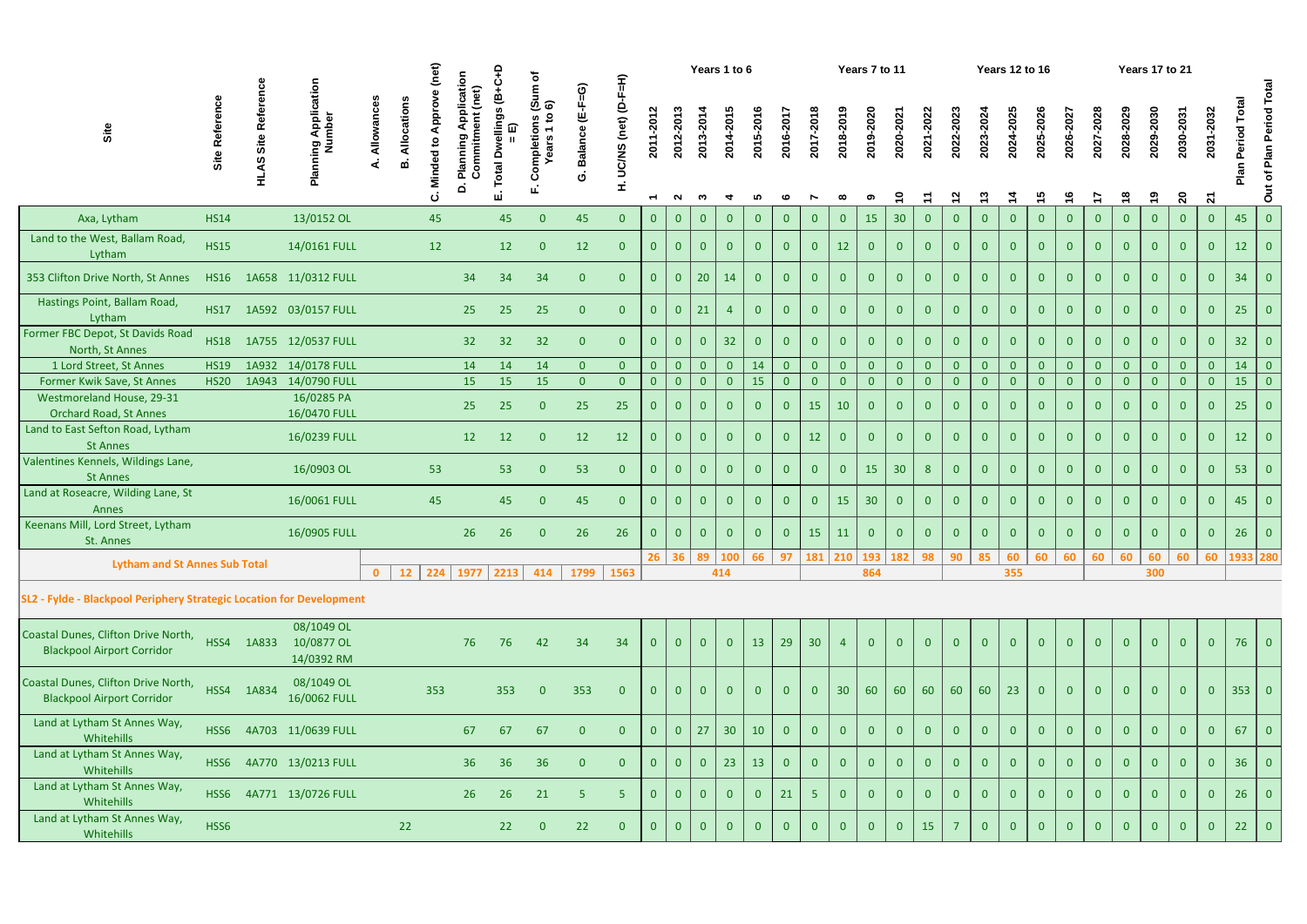|                                                                          |                  |                   |                                                      | (net)<br>Years 1 to 6<br>≏<br>Application<br>$\begin{array}{c} \text{(Sum of} \\ \text{6)} \end{array}$<br>$F=\overline{H}$<br>ပ<br>$(E-F=G)$<br>(net)<br>$\ddot{\mathbf{e}}$<br>ဇေ<br>Approv |                                |                                                      |            |                                |                             |                |                      |                             |                     |                |                 |                | Years 7 to 11  |                 |                 |                |                          | <b>Years 12 to 16</b> |                           |                  |                            |                 | Years 17 to 21             |                         |                            |                       |                           |                                                                                    |                 |                          |
|--------------------------------------------------------------------------|------------------|-------------------|------------------------------------------------------|-----------------------------------------------------------------------------------------------------------------------------------------------------------------------------------------------|--------------------------------|------------------------------------------------------|------------|--------------------------------|-----------------------------|----------------|----------------------|-----------------------------|---------------------|----------------|-----------------|----------------|----------------|-----------------|-----------------|----------------|--------------------------|-----------------------|---------------------------|------------------|----------------------------|-----------------|----------------------------|-------------------------|----------------------------|-----------------------|---------------------------|------------------------------------------------------------------------------------|-----------------|--------------------------|
| Site                                                                     | Site Reference   | Site<br>ဖာ့<br>Σ. | ing Application<br>Number<br>$\overline{\mathbf{a}}$ | Allowan                                                                                                                                                                                       | Allocation<br>മ്               | Minded to<br>Plannin<br>$\overline{\mathbf{a}}$<br>ن | Commitment | ellings<br>⋒<br>Total Dw<br>щі | ompletion:<br>Vars 1 t<br>Õ | Balance<br>Ġ   | UC/NS (net) (D-<br>Í | 2011-2012<br>$\overline{ }$ | 2012-2013<br>$\sim$ | 2013-2014<br>ო | 2014-2015       | 2015-2016<br>ທ | 2016-201<br>ဖ  | 2017-2018       | 2018-2019       | 2019-2020      | 2020-2021<br>$\tilde{=}$ | 2021-2022             | 2022-2023<br>$\mathbf{z}$ | 2023-2024<br>င္း | 2024-2025<br>$\frac{4}{7}$ | 2025-2026<br>45 | 2026-2027<br>$\frac{6}{1}$ | 2027-2028<br>$\ddot{ }$ | 2028-2029<br>$\frac{8}{1}$ | 2029-2030<br><u>ဇ</u> | 2030-2031<br>$\mathbf{S}$ | 2031-2032<br>$\mathbf{z}$                                                          | Total<br>eriod  | Out of Plan Period Total |
| Axa, Lytham                                                              | <b>HS14</b>      |                   | 13/0152 OL                                           |                                                                                                                                                                                               |                                | 45                                                   |            | 45                             | $\overline{0}$              | 45             | $\overline{0}$       | $\mathbf{0}$                | $\overline{0}$      | $\overline{0}$ | $\overline{0}$  | $\overline{0}$ | $\overline{0}$ | $\mathbf{0}$    | $\overline{0}$  | <b>15</b>      | 30 <sup>°</sup>          | $\mathbf{0}$          | $\overline{0}$            | $\overline{0}$   | $\overline{0}$             | $\mathbf{0}$    | $\overline{0}$             | $\overline{0}$          | $\overline{0}$             | $\overline{0}$        | $\overline{0}$            | $\mathbf{0}$                                                                       | 45              | $\vert 0 \vert$          |
| Land to the West, Ballam Road,<br>Lytham                                 | <b>HS15</b>      |                   | 14/0161 FULL                                         |                                                                                                                                                                                               |                                | 12                                                   |            | 12                             | $\overline{0}$              | 12             | $\overline{0}$       | $\mathbf{0}$                | $\overline{0}$      | $\overline{0}$ | $\mathbf{0}$    | $\overline{0}$ | $\mathbf{0}$   | $\overline{0}$  | 12              | $\overline{0}$ | $\mathbf{0}$             | $\overline{0}$        | $\overline{0}$            | $\overline{0}$   | $\overline{0}$             | $\mathbf{0}$    | $\overline{0}$             |                         | $\mathbf{0}$               | $\mathbf{0}$          | $\mathbf{0}$              | $\theta$                                                                           | 12              | $\overline{0}$           |
| 353 Clifton Drive North, St Annes                                        | <b>HS16</b>      |                   | 1A658 11/0312 FULL                                   |                                                                                                                                                                                               |                                |                                                      | 34         | 34                             | 34                          | $\overline{0}$ | $\overline{0}$       | $\mathbf{0}$                | $\overline{0}$      | $20$           | 14              | $\overline{0}$ | $\overline{0}$ | $\overline{0}$  | $\mathbf{0}$    | $\mathbf{0}$   | $\overline{0}$           | $\mathbf{0}$          | $\overline{0}$            | $\overline{0}$   | $\overline{0}$             | $\mathbf{0}$    | $\overline{0}$             | $\overline{0}$          | $\mathbf{0}$               | $\overline{0}$        | $\overline{0}$            | $\overline{0}$                                                                     | 34              | $\overline{0}$           |
| Hastings Point, Ballam Road,<br>Lytham                                   | <b>HS17</b>      |                   | 1A592 03/0157 FULL                                   |                                                                                                                                                                                               |                                |                                                      | 25         | 25                             | 25                          | $\overline{0}$ | $\mathbf{0}$         | $\mathbf{0}$                | $\overline{0}$      | $ 21\rangle$   | $\overline{4}$  | $\overline{0}$ | $\mathbf{0}$   | $\overline{0}$  | $\overline{0}$  | $\overline{0}$ | $\overline{0}$           | $\overline{0}$        | $\overline{0}$            | $\overline{0}$   | $\overline{0}$             | $\mathbf{0}$    | $\overline{0}$             | $\mathbf{0}$            | $\mathbf{0}$               | $\overline{0}$        | $\overline{0}$            | $\mathbf{0}$                                                                       | 25              | $\overline{0}$           |
| Former FBC Depot, St Davids Road<br>North, St Annes                      | <b>HS18</b>      |                   | 1A755 12/0537 FULL                                   |                                                                                                                                                                                               |                                |                                                      | 32         | 32                             | 32                          | $\overline{0}$ | $\mathbf{0}$         | $\mathbf{0}$                | $\overline{0}$      | $\overline{0}$ | 32 <sup>2</sup> | $\overline{0}$ | $\overline{0}$ | $\overline{0}$  | $\overline{0}$  | $\overline{0}$ | $\overline{0}$           | $\mathbf{0}$          | $\overline{0}$            | $\overline{0}$   | $\overline{0}$             | $\mathbf{0}$    | $\overline{0}$             | $\bf{0}$                | $\overline{0}$             | $\overline{0}$        | $\mathbf{0}$              | $\overline{0}$                                                                     | 32              | $\overline{0}$           |
| 1 Lord Street, St Annes                                                  | <b>HS19</b>      | 1A932             | 14/0178 FULL                                         |                                                                                                                                                                                               |                                |                                                      | 14         | 14                             | 14                          | $\overline{0}$ | $\overline{0}$       | $\mathbf{0}$                | $\overline{0}$      | $\overline{0}$ | $\overline{0}$  | 14             | $\mathbf{0}$   | $\overline{0}$  | $\overline{0}$  | $\overline{0}$ | $\overline{0}$           | $\overline{0}$        | $\overline{0}$            | $\mathbf{0}$     | $\mathbf{0}$               | $\mathbf{0}$    | $\overline{0}$             |                         | $\overline{0}$             | $\overline{0}$        | $\overline{0}$            | $\overline{0}$                                                                     | 14              | $\overline{0}$           |
| Former Kwik Save, St Annes                                               | <b>HS20</b>      | 1A943             | 14/0790 FULL                                         |                                                                                                                                                                                               |                                |                                                      | 15         | 15                             | 15                          | $\overline{0}$ | $\overline{0}$       | $\overline{0}$              | $\overline{0}$      | $\overline{0}$ | $\overline{0}$  | 15             | $\overline{0}$ | $\overline{0}$  | $\overline{0}$  | $\overline{0}$ | $\overline{0}$           | $\overline{0}$        | $\overline{0}$            | $\overline{0}$   | $\overline{0}$             | $\overline{0}$  | $\overline{0}$             | $\mathbf{0}$            | $\overline{0}$             | $\overline{0}$        | $\overline{0}$            | $\overline{0}$                                                                     | 15              | $\overline{0}$           |
| Westmoreland House, 29-31<br><b>Orchard Road, St Annes</b>               |                  |                   | 16/0285 PA<br>16/0470 FULL                           |                                                                                                                                                                                               |                                |                                                      | 25         | 25                             | $\overline{0}$              | 25             | 25                   | $\mathbf{0}$                | $\overline{0}$      | $\overline{0}$ | $\mathbf{0}$    | $\mathbf{0}$   | $\bf{0}$       | 15              | 10              | $\overline{0}$ |                          | $\overline{0}$        | 0                         | $\overline{0}$   | $\overline{0}$             | $\bf{0}$        | $\overline{0}$             |                         | $\overline{0}$             |                       | $\mathbf{0}$              | $\Omega$                                                                           | 25              | $\overline{0}$           |
| Land to East Sefton Road, Lytham<br><b>St Annes</b>                      |                  |                   | 16/0239 FULL                                         |                                                                                                                                                                                               |                                |                                                      | 12         | 12                             | $\overline{0}$              | 12             | 12                   | $\mathbf{0}$                | $\overline{0}$      | $\overline{0}$ | $\overline{0}$  | $\overline{0}$ |                | 12              | $\mathbf{0}$    | $\overline{0}$ | $\mathbf{0}$             | $\Omega$              | $\overline{0}$            | $\overline{0}$   | $\overline{0}$             |                 | $\overline{0}$             |                         | $\overline{0}$             | $\overline{0}$        | $\overline{0}$            | $\Omega$                                                                           | 12 <sub>2</sub> | $\overline{0}$           |
| Valentines Kennels, Wildings Lane,<br><b>St Annes</b>                    |                  |                   | 16/0903 OL                                           |                                                                                                                                                                                               |                                | 53                                                   |            | 53                             | $\overline{0}$              | 53             | $\overline{0}$       | $\mathbf{0}$                | $\overline{0}$      | $\overline{0}$ | $\overline{0}$  | $\overline{0}$ | $\mathbf{0}$   | $\overline{0}$  | $\overline{0}$  | 15             | 30 <sup>°</sup>          | 8                     | $\overline{0}$            | $\overline{0}$   | $\overline{0}$             | $\overline{0}$  | $\overline{0}$             | $\mathbf{0}$            | $\mathbf{0}$               | $\overline{0}$        | $\overline{0}$            | $\overline{0}$                                                                     | 53              | $\overline{0}$           |
| Land at Roseacre, Wilding Lane, St<br>Annes                              |                  |                   | 16/0061 FULL                                         |                                                                                                                                                                                               |                                | 45                                                   |            | 45                             | $\overline{0}$              | 45             | $\overline{0}$       | $\mathbf{0}$                | $\overline{0}$      | $\overline{0}$ | $\overline{0}$  | $\overline{0}$ | $\overline{0}$ | $\overline{0}$  | 15              | 30             | $\overline{0}$           | $\mathbf{0}$          | $\overline{0}$            | $\overline{0}$   | $\overline{0}$             | $\bf{0}$        | $\overline{0}$             | $\overline{0}$          | $\overline{0}$             | $\overline{0}$        | $\overline{0}$            | $\overline{0}$                                                                     | 45              | $\overline{0}$           |
| Keenans Mill, Lord Street, Lytham<br>St. Annes                           |                  |                   | 16/0905 FULL                                         |                                                                                                                                                                                               |                                |                                                      | 26         | 26                             | $\mathbf{0}$                | 26             | 26                   | $\mathbf{0}$                | $\overline{0}$      | $\overline{0}$ | $\mathbf{0}$    | $\mathbf{0}$   |                | 15              | 11              | $\mathbf{0}$   | $\overline{0}$           | $\mathbf{0}$          | $\overline{0}$            | $\overline{0}$   | $\overline{0}$             | $\mathbf{0}$    | $\mathbf{0}$               | $\mathbf{0}$            | $\mathbf{0}$               | $\overline{0}$        | $\mathbf{0}$              | $\mathbf{0}$                                                                       | 26              | $\overline{0}$           |
| <b>Lytham and St Annes Sub Total</b>                                     |                  |                   |                                                      | 0                                                                                                                                                                                             | $12$   224   1977   2213   414 |                                                      |            |                                |                             | 1799           | 1563                 |                             |                     |                | 414             |                |                |                 |                 | 864            |                          |                       |                           |                  | 355                        |                 |                            |                         |                            | 300                   |                           | 26 36 89 100 66 97 181 210 193 182 98 90 85 60 60 60 60 60 60 60 60 60 60 1933 280 |                 |                          |
| SL2 - Fylde - Blackpool Periphery Strategic Location for Development     |                  |                   |                                                      |                                                                                                                                                                                               |                                |                                                      |            |                                |                             |                |                      |                             |                     |                |                 |                |                |                 |                 |                |                          |                       |                           |                  |                            |                 |                            |                         |                            |                       |                           |                                                                                    |                 |                          |
| Coastal Dunes, Clifton Drive North,<br><b>Blackpool Airport Corridor</b> |                  | HSS4 1A833        | 08/1049 OL<br>10/0877 OL<br>14/0392 RM               |                                                                                                                                                                                               |                                |                                                      | 76         | 76                             | 42                          | 34             | 34                   | $\overline{0}$              | $\overline{0}$      | $\overline{0}$ | $\overline{0}$  | 13             | 29             | 30 <sup>°</sup> | $\overline{4}$  | $\overline{0}$ | $\Omega$                 | $\mathbf{0}$          | $\overline{0}$            | $\overline{0}$   | $\overline{0}$             | $\Omega$        | $\overline{0}$             | $\overline{0}$          | $\Omega$                   | $\overline{0}$        | $\overline{0}$            | $\overline{0}$                                                                     | 76              | $\overline{0}$           |
| Coastal Dunes, Clifton Drive North,<br><b>Blackpool Airport Corridor</b> | HSS4             | 1A834             | 08/1049 OL<br>16/0062 FULL                           |                                                                                                                                                                                               |                                | 353                                                  |            | 353                            | $\overline{0}$              | 353            | $\mathbf{0}$         | $\mathbf{0}$                | $\overline{0}$      | $\overline{0}$ | $\overline{0}$  | $\overline{0}$ | $\mathbf{0}$   | $\mathbf{0}$    | 30 <sup>°</sup> | 60             | 60                       | 60                    | 60                        | 60               | 23                         | $\mathbf{0}$    | $\overline{0}$             | $\mathbf{0}$            | $\mathbf{0}$               | $\overline{0}$        | $\overline{0}$            | $\overline{0}$                                                                     | $353$ 0         |                          |
| Land at Lytham St Annes Way,<br>Whitehills                               | HSS <sub>6</sub> |                   | 4A703 11/0639 FULL                                   |                                                                                                                                                                                               |                                |                                                      | 67         | 67                             | 67                          | $\overline{0}$ | $\overline{0}$       | $\mathbf{0}$                | $\overline{0}$      | $\vert$ 27     | 30              | 10             | $\mathbf{0}$   | $\overline{0}$  | $\mathbf{0}$    | $\overline{0}$ | $\overline{0}$           | $\mathbf{0}$          | $\overline{0}$            | $\overline{0}$   | $\overline{0}$             | $\bf{0}$        | $\overline{0}$             | $\mathbf{0}$            | $\overline{0}$             | $\overline{0}$        | $\overline{0}$            | $\overline{0}$                                                                     | 67              | $\overline{0}$           |
| Land at Lytham St Annes Way,<br>Whitehills                               | HSS6             |                   | 4A770 13/0213 FULL                                   |                                                                                                                                                                                               |                                |                                                      | 36         | 36                             | 36                          | $\overline{0}$ | $\overline{0}$       | $\mathbf{0}$                | $\overline{0}$      | $\overline{0}$ | 23              | 13             |                | $\mathbf{0}$    | $\overline{0}$  | $\overline{0}$ | $\overline{0}$           | $\mathbf{0}$          | $\overline{0}$            | $\overline{0}$   | $\overline{0}$             | $\mathbf{0}$    | $\mathbf{0}$               |                         | $\mathbf{0}$               | $\overline{0}$        | $\overline{0}$            | $\mathbf{0}$                                                                       | 36              | $\overline{0}$           |
| Land at Lytham St Annes Way,<br>Whitehills                               | HSS <sub>6</sub> |                   | 4A771 13/0726 FULL                                   |                                                                                                                                                                                               |                                |                                                      | 26         | 26                             | 21                          | 5              | -5                   | $\overline{0}$              | $\overline{0}$      | $\overline{0}$ | $\mathbf{0}$    | $\overline{0}$ | 21             | 5 <sup>1</sup>  | $\overline{0}$  | $\mathbf{0}$   | $\overline{0}$           | $\overline{0}$        | $\overline{0}$            | $\overline{0}$   | $\overline{0}$             | $\bf{0}$        | $\overline{0}$             |                         | $\overline{0}$             | $\mathbf{0}$          | $\mathbf{0}$              | $\mathbf{0}$                                                                       | 26              | $\overline{0}$           |
| Land at Lytham St Annes Way,<br>Whitehills                               | HSS6             |                   |                                                      |                                                                                                                                                                                               | 22                             |                                                      |            | 22                             | $\mathbf{0}$                | 22             | $\mathbf{0}$         | $\overline{0}$              | $\overline{0}$      | $\overline{0}$ | $\overline{0}$  | $\overline{0}$ |                | $\mathbf{0}$    | $\mathbf{0}$    | $\mathbf{0}$   | $\overline{0}$           | 15                    |                           | $\overline{0}$   | $\overline{0}$             |                 | $\overline{0}$             |                         | $\mathbf{0}$               | $\mathbf{0}$          | $\overline{0}$            | $\overline{0}$                                                                     | 22              | $\overline{0}$           |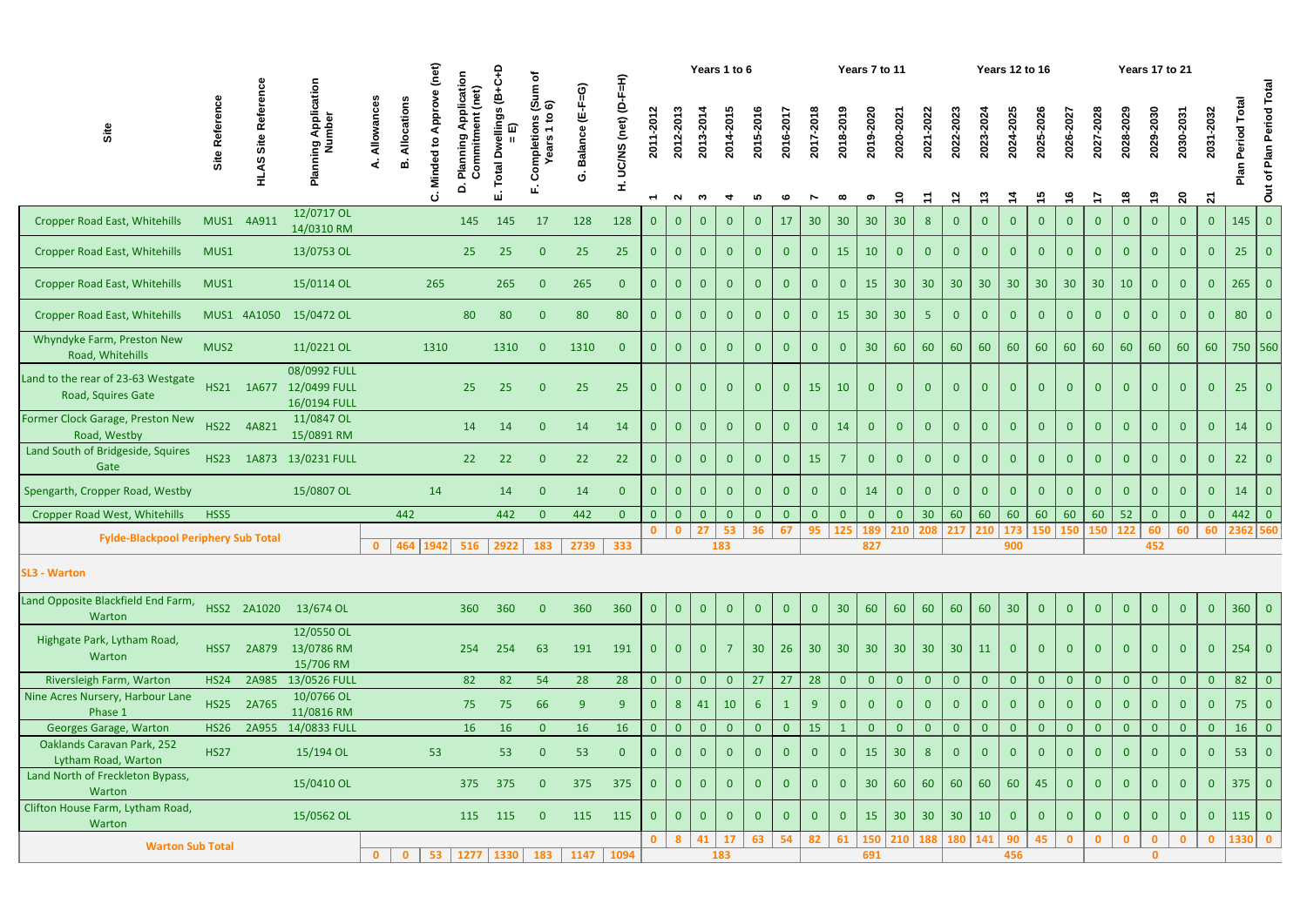| Out of Plan Period Total<br>ဖ ့် ေ<br>2012-2013<br>2011-2012<br>2013-2014<br>2014-2015<br>2015-2016<br>2029-2030<br>2031-2032<br>2017-2018<br>2018-2019<br>2025-2026<br>cation<br>2019-2020<br>2022-2023<br>2027-2028<br>2024-2025<br>2023-2024<br>2028-2029<br>2021-2022<br>2030-2031<br>2020-202<br>2026-202<br>Commitment<br>$\overline{a}$<br>2016-2017<br>Allowan<br>mpletions<br>Site Refer<br>Site<br>⋒<br><b>Period</b><br>Balance<br>Site<br>$rac{1}{4}$<br>ears<br>$\overline{6}$<br>Minded<br>≃<br>otal<br>ပ္ပြ<br>륖<br>$\overline{\mathbf{a}}$<br>I.<br>္င<br>15<br>$\frac{6}{1}$<br>$\frac{8}{1}$<br>$\overline{\mathbf{S}}$<br>$\mathbf{z}$<br><u>ლ</u><br>$\frac{4}{4}$<br>$\mathbf{z}$<br>Ξ<br>$\ddot{ }$<br>$\sim$<br>ო<br>ທ<br>$\overline{\phantom{0}}$<br>12/0717 OL<br>$\overline{0}$<br>128<br>128<br>17<br>30 <sup>°</sup><br>30<br>30<br>145<br><b>Cropper Road East, Whitehills</b><br>MUS1 4A911<br>145<br>145<br>17<br>$\overline{0}$<br>$\mathbf{0}$<br>30<br>$\overline{0}$<br>$\theta$<br>$\mathbf{0}$<br>8 <sup>°</sup><br>$\mathbf{0}$<br>$\overline{0}$<br>$\overline{0}$<br>$\overline{0}$<br>$\mathbf{0}$<br>$\overline{0}$<br>$\mathbf{0}$<br>$\mathbf{0}$<br>$\mathbf{0}$<br>14/0310 RM<br>25<br>25<br>15<br>10<br>25<br>25<br>25<br>$\overline{0}$<br>$\mathbf{0}$<br>$\overline{0}$<br>$\overline{0}$<br>$\overline{0}$<br><b>Cropper Road East, Whitehills</b><br>MUS1<br>13/0753 OL<br>$\overline{0}$<br>$\overline{0}$<br>$\overline{0}$<br>$\overline{0}$<br>$\overline{0}$<br>$\mathbf{0}$<br>$\overline{0}$<br>$\mathbf{0}$<br>$\mathbf{0}$<br>$\theta$<br>$\overline{0}$<br>$\mathbf{0}$<br>$\overline{0}$<br>$\overline{0}$<br>$\Omega$<br>265<br>15<br>30<br>30<br>30 <sup>°</sup><br>30 <sup>°</sup><br>30<br>265<br>$\overline{0}$<br><b>Cropper Road East, Whitehills</b><br>15/0114 OL<br>265<br>265<br>$\overline{0}$<br>$\overline{0}$<br>$\overline{0}$<br>$\mathbf{0}$<br>30<br>30<br>30<br>10<br>MUS1<br>$\mathbf{0}$<br>$\overline{0}$<br>$\overline{0}$<br>$\mathbf{0}$<br>$\overline{0}$<br>$\overline{0}$<br>$\mathbf{0}$<br>$\mathbf{0}$<br>$\mathbf{0}$<br>30<br>80<br>80<br>80<br>80<br>30<br>$\overline{0}$<br>MUS1 4A1050 15/0472 OL<br>80<br>$\overline{0}$<br>15<br>$\overline{0}$<br>$\overline{0}$<br>$\overline{0}$<br>$\overline{0}$<br><b>Cropper Road East, Whitehills</b><br>$\overline{0}$<br>$\mathbf{0}$<br>5 <sup>5</sup><br>$\overline{0}$<br>$\mathbf{0}$<br>$\mathbf{0}$<br>$\mathbf{0}$<br>$\mathbf{0}$<br>$\mathbf{0}$<br>$\mathbf{0}$<br>$\overline{0}$<br>$\overline{0}$<br>$\mathbf{0}$<br>$\bf{0}$<br>Whyndyke Farm, Preston New<br>MUS2<br>30 <sup>°</sup><br>60<br>60<br>60<br>60<br>60<br>11/0221 OL<br>1310<br>60<br>60<br>60<br>60<br>60<br>60<br>1310<br>1310<br>$\overline{0}$<br>$\overline{0}$<br>$\overline{0}$<br>$\mathbf{0}$<br>$\overline{0}$<br>$\overline{0}$<br>60<br>$\overline{0}$<br>$\mathbf{0}$<br>$\mathbf{0}$<br>$\mathbf{0}$<br>Road, Whitehills<br>08/0992 FULL<br>HS21 1A677 12/0499 FULL<br>25<br>25<br>25<br>25<br>15<br>10<br>$\overline{0}$<br>25<br>$\overline{0}$<br>$\overline{0}$<br>$\overline{0}$<br>$\overline{0}$<br>$\overline{0}$<br>$\mathbf{0}$<br>$\overline{0}$<br>$\overline{0}$<br>$\overline{0}$<br>$\mathbf{0}$<br>$\mathbf{0}$<br>$\mathbf{0}$<br>$\mathbf{0}$<br>$\overline{0}$<br>$\overline{0}$<br>$\overline{0}$<br>$\overline{0}$<br>$\bf{0}$<br>$\overline{0}$<br>Road, Squires Gate<br>16/0194 FULL<br>11/0847 OL<br>HS22 4A821<br>14<br>14<br>14<br>14<br>$\overline{0}$<br>$\overline{0}$<br>14<br>$\overline{0}$<br>$\overline{0}$<br>$\overline{0}$<br>14<br>$\overline{0}$<br>$\overline{0}$<br>$\overline{0}$<br>$\overline{0}$<br>$\overline{0}$<br>$\overline{0}$<br>$\overline{0}$<br>$\overline{0}$<br>$\overline{0}$<br>$\overline{0}$<br>$\overline{0}$<br>$\overline{0}$<br>$\mathbf{0}$<br>$\mathbf{0}$<br>$\overline{0}$<br>$\mathbf{0}$<br>$\mathbf{0}$<br>Road, Westby<br>15/0891 RM<br>22<br><b>HS23</b><br>1A873 13/0231 FULL<br>22<br>22<br>22<br>22<br>$\overline{0}$<br>15<br>$\overline{0}$<br>$\overline{0}$<br>$\overline{0}$<br>$\overline{0}$<br>$\overline{0}$<br>$\overline{0}$<br>$\overline{0}$<br>$\overline{0}$<br>$\overline{0}$<br>$\overline{0}$<br>$\overline{0}$<br>$\overline{0}$<br>$\mathbf{0}$<br>$\mathbf{0}$<br>$\mathbf{0}$<br>$\mathbf{0}$<br><sup>7</sup><br>$\overline{0}$<br>$\overline{0}$<br>$\mathbf{0}$<br>$\mathbf{0}$<br>Gate<br>15/0807 OL<br>14<br>$\overline{0}$<br>14<br>14<br>14<br>14<br>$\overline{0}$<br>$\theta$<br>$\overline{0}$<br>$\overline{0}$<br>$\overline{0}$<br>$\overline{0}$<br>$\overline{0}$<br>$\overline{0}$<br>$\overline{0}$<br>$\overline{0}$<br>$\overline{0}$<br>$\overline{0}$<br>$\Omega$<br>$\mathbf{0}$<br>$\mathbf{0}$<br>$\mathbf{0}$<br>$\overline{0}$<br>$\mathbf{0}$<br>$\mathbf{0}$<br>442<br>60<br>60<br>60<br>52<br>$\overline{0}$<br><b>Cropper Road West, Whitehills</b><br>HSS5<br>442<br>442<br>$\overline{0}$<br>30<br>60<br>60<br>$\overline{0}$<br>442<br>$\overline{0}$<br>$\overline{0}$<br>$\overline{0}$<br>60<br>$\mathbf{0}$<br>$\mathbf{0}$<br>$\mathbf{0}$<br>$\mathbf{0}$<br>$\mathbf{0}$<br>$\mathbf{0}$<br>$\mathbf{0}$<br>$\mathbf{0}$<br>$\mathbf{0}$<br>$\mathbf{0}$<br>53<br>27<br>36<br>95<br>210<br>60<br>60<br>$\mathbf{0}$<br>67<br>125<br>189<br>210<br>208<br>173<br>150<br>122<br>60<br>$\Omega$<br>217<br>150<br>150<br><b>Fylde-Blackpool Periphery Sub Total</b><br>464   1942  <br>2739<br>333<br>516<br>2922<br>183<br>183<br>$\mathbf{0}$<br>827<br>900<br>452<br>$360$ 0<br>HSS2 2A1020 13/674 OL<br>360<br>30 <sup>°</sup><br>60<br>60<br>60<br>60<br>30<br>360<br>360<br>360<br>$\overline{0}$<br>$\overline{0}$<br>$\overline{0}$<br>60<br>$\overline{0}$<br>$\overline{0}$<br>$\overline{0}$<br>$\mathbf{0}$<br>$\overline{0}$<br>$\overline{0}$<br>$\overline{0}$<br>$\overline{0}$<br>$\overline{0}$<br>$\overline{0}$<br>$\theta$<br>Warton<br>12/0550 OL<br>Highgate Park, Lytham Road,<br>13/0786 RM<br>$254$ 0<br>HSS7<br>2A879<br>254<br>191<br>30 <sup>°</sup><br>26<br>30 <sup>°</sup><br>30 <sup>°</sup><br>30<br>30<br>254<br>63<br>191<br>$\overline{7}$<br>30 <sup>°</sup><br>$\mathbf{0}$<br>$\mathbf{0}$<br>$\mathbf{0}$<br>30<br>11<br>$\mathbf{0}$<br>$\mathbf{0}$<br>$\bf{0}$<br>$\mathbf{0}$<br>$\mathbf{0}$<br>$\mathbf{0}$<br>$\mathbf{0}$<br>Warton<br>15/706 RM<br>27<br>28<br>82<br>82<br>27<br>$\overline{0}$<br>$\overline{0}$<br>$\overline{0}$<br>Riversleigh Farm, Warton<br>2A985<br>13/0526 FULL<br>82<br>54<br>28<br>28<br>$\overline{0}$<br>$\mathbf{0}$<br>$\overline{0}$<br>$\overline{0}$<br>$\overline{0}$<br><b>HS24</b><br>$\overline{0}$<br>$\overline{0}$<br>$\overline{0}$<br>$\mathbf{0}$<br>$\overline{0}$<br>$\mathbf{0}$<br>$\mathbf{0}$<br>$\overline{0}$<br>$\Omega$<br>$\overline{0}$<br>$\overline{0}$<br>10/0766 OL<br><b>HS25</b><br>75<br>66<br>75<br>$\overline{0}$<br>2A765<br>75<br>9<br>8 <sup>°</sup><br>41<br>10<br>$\overline{0}$<br>$\overline{0}$<br>$\overline{0}$<br>$\overline{0}$<br>-9<br>$\mathbf{0}$<br>-6<br>-9<br>$\mathbf{0}$<br>$\overline{0}$<br>$\mathbf{0}$<br>$\mathbf{0}$<br>$\mathbf{0}$<br>$\mathbf{0}$<br>$\Omega$<br>$\mathbf{0}$<br>$\bf{0}$<br>$\bf{0}$<br>11/0816 RM<br>Phase 1<br>16<br>$\overline{0}$<br>15<br>Georges Garage, Warton<br>14/0833 FULL<br>16<br><b>16</b><br>16<br>$\overline{0}$<br>$\overline{0}$<br>$\overline{0}$<br>$\overline{0}$<br>$\overline{0}$<br>$\overline{0}$<br>$\overline{0}$<br>$\overline{0}$<br>$\overline{0}$<br><b>HS26</b><br>2A955<br>16<br>$\mathbf{0}$<br>$\overline{0}$<br>$\overline{0}$<br>$\overline{0}$<br>$\mathbf{0}$<br>$\mathbf{0}$<br>$\overline{0}$<br>$\mathbf{0}$<br>$\mathbf{0}$<br>$\mathbf{0}$<br>$\mathbf{0}$<br>$\mathbf{1}$<br>Oaklands Caravan Park, 252<br>53<br><b>HS27</b><br>15/194 OL<br>53<br>53<br>53<br>15<br>30<br>8 <sup>°</sup><br>$\overline{0}$<br>$\mathbf{0}$<br>$\overline{0}$<br>$\mathbf{0}$<br>$\mathbf{0}$<br>$\overline{0}$<br>$\Omega$<br>$\overline{0}$<br>$\overline{0}$<br>$\mathbf{0}$<br>$\mathbf{0}$<br>$\mathbf{0}$<br>$\mathbf{0}$<br>$\bf{0}$<br>$\overline{0}$<br>$\mathbf{0}$<br>$\overline{0}$<br>$\overline{0}$<br>$\bf{0}$<br>Lytham Road, Warton<br>30<br>60<br>60<br>375<br>$\overline{0}$<br>15/0410 OL<br>375<br>375<br>375<br>60<br>60<br>60<br>45<br>$\overline{0}$<br>375<br>$\overline{0}$<br>$\overline{0}$<br>$\Omega$<br>$\overline{0}$<br>$\overline{0}$<br>$\mathbf{0}$<br>$\overline{0}$<br>$\mathbf{0}$<br>$\mathbf{0}$<br>$\overline{0}$<br>$\mathbf{0}$<br>$\mathbf{0}$<br>$\overline{0}$<br>$\Omega$<br>Warton<br>15/0562 OL<br>30<br>$115$ 0<br>115<br>115<br>115<br>15<br>30 <sup>°</sup><br>30<br>10<br>$\overline{0}$<br>115<br>$\overline{0}$<br>$\overline{0}$<br>$\overline{0}$<br>$\mathbf{0}$<br>$\mathbf{0}$<br>$\overline{0}$<br>$\mathbf{0}$<br>$\mathbf{0}$<br>$\mathbf{0}$<br>$\overline{0}$<br>$\mathbf{0}$<br>$\mathbf{0}$<br>$\mathbf{0}$<br>$\mathbf{0}$<br>$\overline{0}$<br>$\bf{0}$<br>Warton<br>8<br> 41<br>17<br>63<br>54<br>82<br>61<br>150 210 188<br>$180$ 141<br>90<br>45<br>$\mathbf{0}$<br>$\mathbf{0}$<br>$\mathbf{0}$<br>$\mathbf{0}$<br>$\mathbf{0}$<br>$\mathbf 0$<br>$\mathbf{0}$<br><b>Warton Sub Total</b><br>$1147$ 1094<br>$1277$ 1330<br>183<br>53<br>183<br>691<br>456<br>$\mathbf{0}$<br>$\mathbf{0}$<br>$\bf{0}$ |                                    |  |                                |               | plication |             | um of | $F=G$ |                     |  | Years 1 to 6 |  |  | Years 7 to 11 |  |  | <b>Years 12 to 16</b> |  |  | Years 17 to 21 |  |       |  |
|--------------------------------------------------------------------------------------------------------------------------------------------------------------------------------------------------------------------------------------------------------------------------------------------------------------------------------------------------------------------------------------------------------------------------------------------------------------------------------------------------------------------------------------------------------------------------------------------------------------------------------------------------------------------------------------------------------------------------------------------------------------------------------------------------------------------------------------------------------------------------------------------------------------------------------------------------------------------------------------------------------------------------------------------------------------------------------------------------------------------------------------------------------------------------------------------------------------------------------------------------------------------------------------------------------------------------------------------------------------------------------------------------------------------------------------------------------------------------------------------------------------------------------------------------------------------------------------------------------------------------------------------------------------------------------------------------------------------------------------------------------------------------------------------------------------------------------------------------------------------------------------------------------------------------------------------------------------------------------------------------------------------------------------------------------------------------------------------------------------------------------------------------------------------------------------------------------------------------------------------------------------------------------------------------------------------------------------------------------------------------------------------------------------------------------------------------------------------------------------------------------------------------------------------------------------------------------------------------------------------------------------------------------------------------------------------------------------------------------------------------------------------------------------------------------------------------------------------------------------------------------------------------------------------------------------------------------------------------------------------------------------------------------------------------------------------------------------------------------------------------------------------------------------------------------------------------------------------------------------------------------------------------------------------------------------------------------------------------------------------------------------------------------------------------------------------------------------------------------------------------------------------------------------------------------------------------------------------------------------------------------------------------------------------------------------------------------------------------------------------------------------------------------------------------------------------------------------------------------------------------------------------------------------------------------------------------------------------------------------------------------------------------------------------------------------------------------------------------------------------------------------------------------------------------------------------------------------------------------------------------------------------------------------------------------------------------------------------------------------------------------------------------------------------------------------------------------------------------------------------------------------------------------------------------------------------------------------------------------------------------------------------------------------------------------------------------------------------------------------------------------------------------------------------------------------------------------------------------------------------------------------------------------------------------------------------------------------------------------------------------------------------------------------------------------------------------------------------------------------------------------------------------------------------------------------------------------------------------------------------------------------------------------------------------------------------------------------------------------------------------------------------------------------------------------------------------------------------------------------------------------------------------------------------------------------------------------------------------------------------------------------------------------------------------------------------------------------------------------------------------------------------------------------------------------------------------------------------------------------------------------------------------------------------------------------------------------------------------------------------------------------------------------------------------------------------------------------------------------------------------------------------------------------------------------------------------------------------------------------------------------------------------------------------------------------------------------------------------------------------------------------------------------------------------------------------------------------------------------------------------------------------------------------------------------------------------------------------------------------------------------------------------------------------------------------------------------------------------------------------------------------------------------------------------------------------------------------------------------------------------------------------------------------------------------------------------------------------------------------------------------------------------------------------------------------------------------------------------------------------------------------------------------------------------------------------------------------------------------------------------------------------------------------------------------------------------------------------------------------------------------------------------------------------------------------------------------------------------------------------------------------------------------------------------------------------------------------------------------------------------------------------------------------------------------------------------------------------------------------------------------------------------------------------------------------------------------------------------------------------------------------------------------------------------------------------------------------------------------------------------------------------------------------------------------------------------------------------------------------------------------------------------------------------------------------------------------------------------------------------------------------------------------------------------------------------------------------------------------------------------------------------------------------------------------------------------------------------------------------------------------------------------------------------------------------------------------------------------------------------------------------------------------------------------------------------------------------------------------------------------------------------------------------------------------------------------------------------------------------------------------------------------------------------------------------------------------------------------------------------------------------------------------------------------------------------------------------------------------------------------------------------------------------------------------------------------------------------------------------------------------------------------------------------------------------------------------------------------------------|------------------------------------|--|--------------------------------|---------------|-----------|-------------|-------|-------|---------------------|--|--------------|--|--|---------------|--|--|-----------------------|--|--|----------------|--|-------|--|
|                                                                                                                                                                                                                                                                                                                                                                                                                                                                                                                                                                                                                                                                                                                                                                                                                                                                                                                                                                                                                                                                                                                                                                                                                                                                                                                                                                                                                                                                                                                                                                                                                                                                                                                                                                                                                                                                                                                                                                                                                                                                                                                                                                                                                                                                                                                                                                                                                                                                                                                                                                                                                                                                                                                                                                                                                                                                                                                                                                                                                                                                                                                                                                                                                                                                                                                                                                                                                                                                                                                                                                                                                                                                                                                                                                                                                                                                                                                                                                                                                                                                                                                                                                                                                                                                                                                                                                                                                                                                                                                                                                                                                                                                                                                                                                                                                                                                                                                                                                                                                                                                                                                                                                                                                                                                                                                                                                                                                                                                                                                                                                                                                                                                                                                                                                                                                                                                                                                                                                                                                                                                                                                                                                                                                                                                                                                                                                                                                                                                                                                                                                                                                                                                                                                                                                                                                                                                                                                                                                                                                                                                                                                                                                                                                                                                                                                                                                                                                                                                                                                                                                                                                                                                                                                                                                                                                                                                                                                                                                                                                                                                                                                                                                                                                                                                                                                                                                                                                                                                                                                                                                                                                                                                                                                                                                                                                                                                                                                                                                                                                                                                                                                                                                                                                                                                                                                                                              |                                    |  | Planning Application<br>Number | <b>Approv</b> | (net)     | ellings (B+ |       |       | UC/NS (net) (D-F=H) |  |              |  |  |               |  |  |                       |  |  |                |  | Total |  |
|                                                                                                                                                                                                                                                                                                                                                                                                                                                                                                                                                                                                                                                                                                                                                                                                                                                                                                                                                                                                                                                                                                                                                                                                                                                                                                                                                                                                                                                                                                                                                                                                                                                                                                                                                                                                                                                                                                                                                                                                                                                                                                                                                                                                                                                                                                                                                                                                                                                                                                                                                                                                                                                                                                                                                                                                                                                                                                                                                                                                                                                                                                                                                                                                                                                                                                                                                                                                                                                                                                                                                                                                                                                                                                                                                                                                                                                                                                                                                                                                                                                                                                                                                                                                                                                                                                                                                                                                                                                                                                                                                                                                                                                                                                                                                                                                                                                                                                                                                                                                                                                                                                                                                                                                                                                                                                                                                                                                                                                                                                                                                                                                                                                                                                                                                                                                                                                                                                                                                                                                                                                                                                                                                                                                                                                                                                                                                                                                                                                                                                                                                                                                                                                                                                                                                                                                                                                                                                                                                                                                                                                                                                                                                                                                                                                                                                                                                                                                                                                                                                                                                                                                                                                                                                                                                                                                                                                                                                                                                                                                                                                                                                                                                                                                                                                                                                                                                                                                                                                                                                                                                                                                                                                                                                                                                                                                                                                                                                                                                                                                                                                                                                                                                                                                                                                                                                                                                              |                                    |  |                                |               |           |             |       |       |                     |  |              |  |  |               |  |  |                       |  |  |                |  |       |  |
|                                                                                                                                                                                                                                                                                                                                                                                                                                                                                                                                                                                                                                                                                                                                                                                                                                                                                                                                                                                                                                                                                                                                                                                                                                                                                                                                                                                                                                                                                                                                                                                                                                                                                                                                                                                                                                                                                                                                                                                                                                                                                                                                                                                                                                                                                                                                                                                                                                                                                                                                                                                                                                                                                                                                                                                                                                                                                                                                                                                                                                                                                                                                                                                                                                                                                                                                                                                                                                                                                                                                                                                                                                                                                                                                                                                                                                                                                                                                                                                                                                                                                                                                                                                                                                                                                                                                                                                                                                                                                                                                                                                                                                                                                                                                                                                                                                                                                                                                                                                                                                                                                                                                                                                                                                                                                                                                                                                                                                                                                                                                                                                                                                                                                                                                                                                                                                                                                                                                                                                                                                                                                                                                                                                                                                                                                                                                                                                                                                                                                                                                                                                                                                                                                                                                                                                                                                                                                                                                                                                                                                                                                                                                                                                                                                                                                                                                                                                                                                                                                                                                                                                                                                                                                                                                                                                                                                                                                                                                                                                                                                                                                                                                                                                                                                                                                                                                                                                                                                                                                                                                                                                                                                                                                                                                                                                                                                                                                                                                                                                                                                                                                                                                                                                                                                                                                                                                                              |                                    |  |                                |               |           |             |       |       |                     |  |              |  |  |               |  |  |                       |  |  |                |  |       |  |
| 750 560<br>2362 560<br>$1330$ 0                                                                                                                                                                                                                                                                                                                                                                                                                                                                                                                                                                                                                                                                                                                                                                                                                                                                                                                                                                                                                                                                                                                                                                                                                                                                                                                                                                                                                                                                                                                                                                                                                                                                                                                                                                                                                                                                                                                                                                                                                                                                                                                                                                                                                                                                                                                                                                                                                                                                                                                                                                                                                                                                                                                                                                                                                                                                                                                                                                                                                                                                                                                                                                                                                                                                                                                                                                                                                                                                                                                                                                                                                                                                                                                                                                                                                                                                                                                                                                                                                                                                                                                                                                                                                                                                                                                                                                                                                                                                                                                                                                                                                                                                                                                                                                                                                                                                                                                                                                                                                                                                                                                                                                                                                                                                                                                                                                                                                                                                                                                                                                                                                                                                                                                                                                                                                                                                                                                                                                                                                                                                                                                                                                                                                                                                                                                                                                                                                                                                                                                                                                                                                                                                                                                                                                                                                                                                                                                                                                                                                                                                                                                                                                                                                                                                                                                                                                                                                                                                                                                                                                                                                                                                                                                                                                                                                                                                                                                                                                                                                                                                                                                                                                                                                                                                                                                                                                                                                                                                                                                                                                                                                                                                                                                                                                                                                                                                                                                                                                                                                                                                                                                                                                                                                                                                                                                              |                                    |  |                                |               |           |             |       |       |                     |  |              |  |  |               |  |  |                       |  |  |                |  |       |  |
|                                                                                                                                                                                                                                                                                                                                                                                                                                                                                                                                                                                                                                                                                                                                                                                                                                                                                                                                                                                                                                                                                                                                                                                                                                                                                                                                                                                                                                                                                                                                                                                                                                                                                                                                                                                                                                                                                                                                                                                                                                                                                                                                                                                                                                                                                                                                                                                                                                                                                                                                                                                                                                                                                                                                                                                                                                                                                                                                                                                                                                                                                                                                                                                                                                                                                                                                                                                                                                                                                                                                                                                                                                                                                                                                                                                                                                                                                                                                                                                                                                                                                                                                                                                                                                                                                                                                                                                                                                                                                                                                                                                                                                                                                                                                                                                                                                                                                                                                                                                                                                                                                                                                                                                                                                                                                                                                                                                                                                                                                                                                                                                                                                                                                                                                                                                                                                                                                                                                                                                                                                                                                                                                                                                                                                                                                                                                                                                                                                                                                                                                                                                                                                                                                                                                                                                                                                                                                                                                                                                                                                                                                                                                                                                                                                                                                                                                                                                                                                                                                                                                                                                                                                                                                                                                                                                                                                                                                                                                                                                                                                                                                                                                                                                                                                                                                                                                                                                                                                                                                                                                                                                                                                                                                                                                                                                                                                                                                                                                                                                                                                                                                                                                                                                                                                                                                                                                                              |                                    |  |                                |               |           |             |       |       |                     |  |              |  |  |               |  |  |                       |  |  |                |  |       |  |
|                                                                                                                                                                                                                                                                                                                                                                                                                                                                                                                                                                                                                                                                                                                                                                                                                                                                                                                                                                                                                                                                                                                                                                                                                                                                                                                                                                                                                                                                                                                                                                                                                                                                                                                                                                                                                                                                                                                                                                                                                                                                                                                                                                                                                                                                                                                                                                                                                                                                                                                                                                                                                                                                                                                                                                                                                                                                                                                                                                                                                                                                                                                                                                                                                                                                                                                                                                                                                                                                                                                                                                                                                                                                                                                                                                                                                                                                                                                                                                                                                                                                                                                                                                                                                                                                                                                                                                                                                                                                                                                                                                                                                                                                                                                                                                                                                                                                                                                                                                                                                                                                                                                                                                                                                                                                                                                                                                                                                                                                                                                                                                                                                                                                                                                                                                                                                                                                                                                                                                                                                                                                                                                                                                                                                                                                                                                                                                                                                                                                                                                                                                                                                                                                                                                                                                                                                                                                                                                                                                                                                                                                                                                                                                                                                                                                                                                                                                                                                                                                                                                                                                                                                                                                                                                                                                                                                                                                                                                                                                                                                                                                                                                                                                                                                                                                                                                                                                                                                                                                                                                                                                                                                                                                                                                                                                                                                                                                                                                                                                                                                                                                                                                                                                                                                                                                                                                                                              |                                    |  |                                |               |           |             |       |       |                     |  |              |  |  |               |  |  |                       |  |  |                |  |       |  |
|                                                                                                                                                                                                                                                                                                                                                                                                                                                                                                                                                                                                                                                                                                                                                                                                                                                                                                                                                                                                                                                                                                                                                                                                                                                                                                                                                                                                                                                                                                                                                                                                                                                                                                                                                                                                                                                                                                                                                                                                                                                                                                                                                                                                                                                                                                                                                                                                                                                                                                                                                                                                                                                                                                                                                                                                                                                                                                                                                                                                                                                                                                                                                                                                                                                                                                                                                                                                                                                                                                                                                                                                                                                                                                                                                                                                                                                                                                                                                                                                                                                                                                                                                                                                                                                                                                                                                                                                                                                                                                                                                                                                                                                                                                                                                                                                                                                                                                                                                                                                                                                                                                                                                                                                                                                                                                                                                                                                                                                                                                                                                                                                                                                                                                                                                                                                                                                                                                                                                                                                                                                                                                                                                                                                                                                                                                                                                                                                                                                                                                                                                                                                                                                                                                                                                                                                                                                                                                                                                                                                                                                                                                                                                                                                                                                                                                                                                                                                                                                                                                                                                                                                                                                                                                                                                                                                                                                                                                                                                                                                                                                                                                                                                                                                                                                                                                                                                                                                                                                                                                                                                                                                                                                                                                                                                                                                                                                                                                                                                                                                                                                                                                                                                                                                                                                                                                                                                              | Land to the rear of 23-63 Westgate |  |                                |               |           |             |       |       |                     |  |              |  |  |               |  |  |                       |  |  |                |  |       |  |
|                                                                                                                                                                                                                                                                                                                                                                                                                                                                                                                                                                                                                                                                                                                                                                                                                                                                                                                                                                                                                                                                                                                                                                                                                                                                                                                                                                                                                                                                                                                                                                                                                                                                                                                                                                                                                                                                                                                                                                                                                                                                                                                                                                                                                                                                                                                                                                                                                                                                                                                                                                                                                                                                                                                                                                                                                                                                                                                                                                                                                                                                                                                                                                                                                                                                                                                                                                                                                                                                                                                                                                                                                                                                                                                                                                                                                                                                                                                                                                                                                                                                                                                                                                                                                                                                                                                                                                                                                                                                                                                                                                                                                                                                                                                                                                                                                                                                                                                                                                                                                                                                                                                                                                                                                                                                                                                                                                                                                                                                                                                                                                                                                                                                                                                                                                                                                                                                                                                                                                                                                                                                                                                                                                                                                                                                                                                                                                                                                                                                                                                                                                                                                                                                                                                                                                                                                                                                                                                                                                                                                                                                                                                                                                                                                                                                                                                                                                                                                                                                                                                                                                                                                                                                                                                                                                                                                                                                                                                                                                                                                                                                                                                                                                                                                                                                                                                                                                                                                                                                                                                                                                                                                                                                                                                                                                                                                                                                                                                                                                                                                                                                                                                                                                                                                                                                                                                                                              | Former Clock Garage, Preston New   |  |                                |               |           |             |       |       |                     |  |              |  |  |               |  |  |                       |  |  |                |  |       |  |
|                                                                                                                                                                                                                                                                                                                                                                                                                                                                                                                                                                                                                                                                                                                                                                                                                                                                                                                                                                                                                                                                                                                                                                                                                                                                                                                                                                                                                                                                                                                                                                                                                                                                                                                                                                                                                                                                                                                                                                                                                                                                                                                                                                                                                                                                                                                                                                                                                                                                                                                                                                                                                                                                                                                                                                                                                                                                                                                                                                                                                                                                                                                                                                                                                                                                                                                                                                                                                                                                                                                                                                                                                                                                                                                                                                                                                                                                                                                                                                                                                                                                                                                                                                                                                                                                                                                                                                                                                                                                                                                                                                                                                                                                                                                                                                                                                                                                                                                                                                                                                                                                                                                                                                                                                                                                                                                                                                                                                                                                                                                                                                                                                                                                                                                                                                                                                                                                                                                                                                                                                                                                                                                                                                                                                                                                                                                                                                                                                                                                                                                                                                                                                                                                                                                                                                                                                                                                                                                                                                                                                                                                                                                                                                                                                                                                                                                                                                                                                                                                                                                                                                                                                                                                                                                                                                                                                                                                                                                                                                                                                                                                                                                                                                                                                                                                                                                                                                                                                                                                                                                                                                                                                                                                                                                                                                                                                                                                                                                                                                                                                                                                                                                                                                                                                                                                                                                                                              | Land South of Bridgeside, Squires  |  |                                |               |           |             |       |       |                     |  |              |  |  |               |  |  |                       |  |  |                |  |       |  |
|                                                                                                                                                                                                                                                                                                                                                                                                                                                                                                                                                                                                                                                                                                                                                                                                                                                                                                                                                                                                                                                                                                                                                                                                                                                                                                                                                                                                                                                                                                                                                                                                                                                                                                                                                                                                                                                                                                                                                                                                                                                                                                                                                                                                                                                                                                                                                                                                                                                                                                                                                                                                                                                                                                                                                                                                                                                                                                                                                                                                                                                                                                                                                                                                                                                                                                                                                                                                                                                                                                                                                                                                                                                                                                                                                                                                                                                                                                                                                                                                                                                                                                                                                                                                                                                                                                                                                                                                                                                                                                                                                                                                                                                                                                                                                                                                                                                                                                                                                                                                                                                                                                                                                                                                                                                                                                                                                                                                                                                                                                                                                                                                                                                                                                                                                                                                                                                                                                                                                                                                                                                                                                                                                                                                                                                                                                                                                                                                                                                                                                                                                                                                                                                                                                                                                                                                                                                                                                                                                                                                                                                                                                                                                                                                                                                                                                                                                                                                                                                                                                                                                                                                                                                                                                                                                                                                                                                                                                                                                                                                                                                                                                                                                                                                                                                                                                                                                                                                                                                                                                                                                                                                                                                                                                                                                                                                                                                                                                                                                                                                                                                                                                                                                                                                                                                                                                                                                              | Spengarth, Cropper Road, Westby    |  |                                |               |           |             |       |       |                     |  |              |  |  |               |  |  |                       |  |  |                |  |       |  |
|                                                                                                                                                                                                                                                                                                                                                                                                                                                                                                                                                                                                                                                                                                                                                                                                                                                                                                                                                                                                                                                                                                                                                                                                                                                                                                                                                                                                                                                                                                                                                                                                                                                                                                                                                                                                                                                                                                                                                                                                                                                                                                                                                                                                                                                                                                                                                                                                                                                                                                                                                                                                                                                                                                                                                                                                                                                                                                                                                                                                                                                                                                                                                                                                                                                                                                                                                                                                                                                                                                                                                                                                                                                                                                                                                                                                                                                                                                                                                                                                                                                                                                                                                                                                                                                                                                                                                                                                                                                                                                                                                                                                                                                                                                                                                                                                                                                                                                                                                                                                                                                                                                                                                                                                                                                                                                                                                                                                                                                                                                                                                                                                                                                                                                                                                                                                                                                                                                                                                                                                                                                                                                                                                                                                                                                                                                                                                                                                                                                                                                                                                                                                                                                                                                                                                                                                                                                                                                                                                                                                                                                                                                                                                                                                                                                                                                                                                                                                                                                                                                                                                                                                                                                                                                                                                                                                                                                                                                                                                                                                                                                                                                                                                                                                                                                                                                                                                                                                                                                                                                                                                                                                                                                                                                                                                                                                                                                                                                                                                                                                                                                                                                                                                                                                                                                                                                                                                              |                                    |  |                                |               |           |             |       |       |                     |  |              |  |  |               |  |  |                       |  |  |                |  |       |  |
|                                                                                                                                                                                                                                                                                                                                                                                                                                                                                                                                                                                                                                                                                                                                                                                                                                                                                                                                                                                                                                                                                                                                                                                                                                                                                                                                                                                                                                                                                                                                                                                                                                                                                                                                                                                                                                                                                                                                                                                                                                                                                                                                                                                                                                                                                                                                                                                                                                                                                                                                                                                                                                                                                                                                                                                                                                                                                                                                                                                                                                                                                                                                                                                                                                                                                                                                                                                                                                                                                                                                                                                                                                                                                                                                                                                                                                                                                                                                                                                                                                                                                                                                                                                                                                                                                                                                                                                                                                                                                                                                                                                                                                                                                                                                                                                                                                                                                                                                                                                                                                                                                                                                                                                                                                                                                                                                                                                                                                                                                                                                                                                                                                                                                                                                                                                                                                                                                                                                                                                                                                                                                                                                                                                                                                                                                                                                                                                                                                                                                                                                                                                                                                                                                                                                                                                                                                                                                                                                                                                                                                                                                                                                                                                                                                                                                                                                                                                                                                                                                                                                                                                                                                                                                                                                                                                                                                                                                                                                                                                                                                                                                                                                                                                                                                                                                                                                                                                                                                                                                                                                                                                                                                                                                                                                                                                                                                                                                                                                                                                                                                                                                                                                                                                                                                                                                                                                                              |                                    |  |                                |               |           |             |       |       |                     |  |              |  |  |               |  |  |                       |  |  |                |  |       |  |
|                                                                                                                                                                                                                                                                                                                                                                                                                                                                                                                                                                                                                                                                                                                                                                                                                                                                                                                                                                                                                                                                                                                                                                                                                                                                                                                                                                                                                                                                                                                                                                                                                                                                                                                                                                                                                                                                                                                                                                                                                                                                                                                                                                                                                                                                                                                                                                                                                                                                                                                                                                                                                                                                                                                                                                                                                                                                                                                                                                                                                                                                                                                                                                                                                                                                                                                                                                                                                                                                                                                                                                                                                                                                                                                                                                                                                                                                                                                                                                                                                                                                                                                                                                                                                                                                                                                                                                                                                                                                                                                                                                                                                                                                                                                                                                                                                                                                                                                                                                                                                                                                                                                                                                                                                                                                                                                                                                                                                                                                                                                                                                                                                                                                                                                                                                                                                                                                                                                                                                                                                                                                                                                                                                                                                                                                                                                                                                                                                                                                                                                                                                                                                                                                                                                                                                                                                                                                                                                                                                                                                                                                                                                                                                                                                                                                                                                                                                                                                                                                                                                                                                                                                                                                                                                                                                                                                                                                                                                                                                                                                                                                                                                                                                                                                                                                                                                                                                                                                                                                                                                                                                                                                                                                                                                                                                                                                                                                                                                                                                                                                                                                                                                                                                                                                                                                                                                                                              | <b>SL3 - Warton</b>                |  |                                |               |           |             |       |       |                     |  |              |  |  |               |  |  |                       |  |  |                |  |       |  |
|                                                                                                                                                                                                                                                                                                                                                                                                                                                                                                                                                                                                                                                                                                                                                                                                                                                                                                                                                                                                                                                                                                                                                                                                                                                                                                                                                                                                                                                                                                                                                                                                                                                                                                                                                                                                                                                                                                                                                                                                                                                                                                                                                                                                                                                                                                                                                                                                                                                                                                                                                                                                                                                                                                                                                                                                                                                                                                                                                                                                                                                                                                                                                                                                                                                                                                                                                                                                                                                                                                                                                                                                                                                                                                                                                                                                                                                                                                                                                                                                                                                                                                                                                                                                                                                                                                                                                                                                                                                                                                                                                                                                                                                                                                                                                                                                                                                                                                                                                                                                                                                                                                                                                                                                                                                                                                                                                                                                                                                                                                                                                                                                                                                                                                                                                                                                                                                                                                                                                                                                                                                                                                                                                                                                                                                                                                                                                                                                                                                                                                                                                                                                                                                                                                                                                                                                                                                                                                                                                                                                                                                                                                                                                                                                                                                                                                                                                                                                                                                                                                                                                                                                                                                                                                                                                                                                                                                                                                                                                                                                                                                                                                                                                                                                                                                                                                                                                                                                                                                                                                                                                                                                                                                                                                                                                                                                                                                                                                                                                                                                                                                                                                                                                                                                                                                                                                                                                              | Land Opposite Blackfield End Farm, |  |                                |               |           |             |       |       |                     |  |              |  |  |               |  |  |                       |  |  |                |  |       |  |
|                                                                                                                                                                                                                                                                                                                                                                                                                                                                                                                                                                                                                                                                                                                                                                                                                                                                                                                                                                                                                                                                                                                                                                                                                                                                                                                                                                                                                                                                                                                                                                                                                                                                                                                                                                                                                                                                                                                                                                                                                                                                                                                                                                                                                                                                                                                                                                                                                                                                                                                                                                                                                                                                                                                                                                                                                                                                                                                                                                                                                                                                                                                                                                                                                                                                                                                                                                                                                                                                                                                                                                                                                                                                                                                                                                                                                                                                                                                                                                                                                                                                                                                                                                                                                                                                                                                                                                                                                                                                                                                                                                                                                                                                                                                                                                                                                                                                                                                                                                                                                                                                                                                                                                                                                                                                                                                                                                                                                                                                                                                                                                                                                                                                                                                                                                                                                                                                                                                                                                                                                                                                                                                                                                                                                                                                                                                                                                                                                                                                                                                                                                                                                                                                                                                                                                                                                                                                                                                                                                                                                                                                                                                                                                                                                                                                                                                                                                                                                                                                                                                                                                                                                                                                                                                                                                                                                                                                                                                                                                                                                                                                                                                                                                                                                                                                                                                                                                                                                                                                                                                                                                                                                                                                                                                                                                                                                                                                                                                                                                                                                                                                                                                                                                                                                                                                                                                                                              |                                    |  |                                |               |           |             |       |       |                     |  |              |  |  |               |  |  |                       |  |  |                |  |       |  |
|                                                                                                                                                                                                                                                                                                                                                                                                                                                                                                                                                                                                                                                                                                                                                                                                                                                                                                                                                                                                                                                                                                                                                                                                                                                                                                                                                                                                                                                                                                                                                                                                                                                                                                                                                                                                                                                                                                                                                                                                                                                                                                                                                                                                                                                                                                                                                                                                                                                                                                                                                                                                                                                                                                                                                                                                                                                                                                                                                                                                                                                                                                                                                                                                                                                                                                                                                                                                                                                                                                                                                                                                                                                                                                                                                                                                                                                                                                                                                                                                                                                                                                                                                                                                                                                                                                                                                                                                                                                                                                                                                                                                                                                                                                                                                                                                                                                                                                                                                                                                                                                                                                                                                                                                                                                                                                                                                                                                                                                                                                                                                                                                                                                                                                                                                                                                                                                                                                                                                                                                                                                                                                                                                                                                                                                                                                                                                                                                                                                                                                                                                                                                                                                                                                                                                                                                                                                                                                                                                                                                                                                                                                                                                                                                                                                                                                                                                                                                                                                                                                                                                                                                                                                                                                                                                                                                                                                                                                                                                                                                                                                                                                                                                                                                                                                                                                                                                                                                                                                                                                                                                                                                                                                                                                                                                                                                                                                                                                                                                                                                                                                                                                                                                                                                                                                                                                                                                              |                                    |  |                                |               |           |             |       |       |                     |  |              |  |  |               |  |  |                       |  |  |                |  |       |  |
|                                                                                                                                                                                                                                                                                                                                                                                                                                                                                                                                                                                                                                                                                                                                                                                                                                                                                                                                                                                                                                                                                                                                                                                                                                                                                                                                                                                                                                                                                                                                                                                                                                                                                                                                                                                                                                                                                                                                                                                                                                                                                                                                                                                                                                                                                                                                                                                                                                                                                                                                                                                                                                                                                                                                                                                                                                                                                                                                                                                                                                                                                                                                                                                                                                                                                                                                                                                                                                                                                                                                                                                                                                                                                                                                                                                                                                                                                                                                                                                                                                                                                                                                                                                                                                                                                                                                                                                                                                                                                                                                                                                                                                                                                                                                                                                                                                                                                                                                                                                                                                                                                                                                                                                                                                                                                                                                                                                                                                                                                                                                                                                                                                                                                                                                                                                                                                                                                                                                                                                                                                                                                                                                                                                                                                                                                                                                                                                                                                                                                                                                                                                                                                                                                                                                                                                                                                                                                                                                                                                                                                                                                                                                                                                                                                                                                                                                                                                                                                                                                                                                                                                                                                                                                                                                                                                                                                                                                                                                                                                                                                                                                                                                                                                                                                                                                                                                                                                                                                                                                                                                                                                                                                                                                                                                                                                                                                                                                                                                                                                                                                                                                                                                                                                                                                                                                                                                                              | Nine Acres Nursery, Harbour Lane   |  |                                |               |           |             |       |       |                     |  |              |  |  |               |  |  |                       |  |  |                |  |       |  |
|                                                                                                                                                                                                                                                                                                                                                                                                                                                                                                                                                                                                                                                                                                                                                                                                                                                                                                                                                                                                                                                                                                                                                                                                                                                                                                                                                                                                                                                                                                                                                                                                                                                                                                                                                                                                                                                                                                                                                                                                                                                                                                                                                                                                                                                                                                                                                                                                                                                                                                                                                                                                                                                                                                                                                                                                                                                                                                                                                                                                                                                                                                                                                                                                                                                                                                                                                                                                                                                                                                                                                                                                                                                                                                                                                                                                                                                                                                                                                                                                                                                                                                                                                                                                                                                                                                                                                                                                                                                                                                                                                                                                                                                                                                                                                                                                                                                                                                                                                                                                                                                                                                                                                                                                                                                                                                                                                                                                                                                                                                                                                                                                                                                                                                                                                                                                                                                                                                                                                                                                                                                                                                                                                                                                                                                                                                                                                                                                                                                                                                                                                                                                                                                                                                                                                                                                                                                                                                                                                                                                                                                                                                                                                                                                                                                                                                                                                                                                                                                                                                                                                                                                                                                                                                                                                                                                                                                                                                                                                                                                                                                                                                                                                                                                                                                                                                                                                                                                                                                                                                                                                                                                                                                                                                                                                                                                                                                                                                                                                                                                                                                                                                                                                                                                                                                                                                                                                              |                                    |  |                                |               |           |             |       |       |                     |  |              |  |  |               |  |  |                       |  |  |                |  |       |  |
|                                                                                                                                                                                                                                                                                                                                                                                                                                                                                                                                                                                                                                                                                                                                                                                                                                                                                                                                                                                                                                                                                                                                                                                                                                                                                                                                                                                                                                                                                                                                                                                                                                                                                                                                                                                                                                                                                                                                                                                                                                                                                                                                                                                                                                                                                                                                                                                                                                                                                                                                                                                                                                                                                                                                                                                                                                                                                                                                                                                                                                                                                                                                                                                                                                                                                                                                                                                                                                                                                                                                                                                                                                                                                                                                                                                                                                                                                                                                                                                                                                                                                                                                                                                                                                                                                                                                                                                                                                                                                                                                                                                                                                                                                                                                                                                                                                                                                                                                                                                                                                                                                                                                                                                                                                                                                                                                                                                                                                                                                                                                                                                                                                                                                                                                                                                                                                                                                                                                                                                                                                                                                                                                                                                                                                                                                                                                                                                                                                                                                                                                                                                                                                                                                                                                                                                                                                                                                                                                                                                                                                                                                                                                                                                                                                                                                                                                                                                                                                                                                                                                                                                                                                                                                                                                                                                                                                                                                                                                                                                                                                                                                                                                                                                                                                                                                                                                                                                                                                                                                                                                                                                                                                                                                                                                                                                                                                                                                                                                                                                                                                                                                                                                                                                                                                                                                                                                                              |                                    |  |                                |               |           |             |       |       |                     |  |              |  |  |               |  |  |                       |  |  |                |  |       |  |
|                                                                                                                                                                                                                                                                                                                                                                                                                                                                                                                                                                                                                                                                                                                                                                                                                                                                                                                                                                                                                                                                                                                                                                                                                                                                                                                                                                                                                                                                                                                                                                                                                                                                                                                                                                                                                                                                                                                                                                                                                                                                                                                                                                                                                                                                                                                                                                                                                                                                                                                                                                                                                                                                                                                                                                                                                                                                                                                                                                                                                                                                                                                                                                                                                                                                                                                                                                                                                                                                                                                                                                                                                                                                                                                                                                                                                                                                                                                                                                                                                                                                                                                                                                                                                                                                                                                                                                                                                                                                                                                                                                                                                                                                                                                                                                                                                                                                                                                                                                                                                                                                                                                                                                                                                                                                                                                                                                                                                                                                                                                                                                                                                                                                                                                                                                                                                                                                                                                                                                                                                                                                                                                                                                                                                                                                                                                                                                                                                                                                                                                                                                                                                                                                                                                                                                                                                                                                                                                                                                                                                                                                                                                                                                                                                                                                                                                                                                                                                                                                                                                                                                                                                                                                                                                                                                                                                                                                                                                                                                                                                                                                                                                                                                                                                                                                                                                                                                                                                                                                                                                                                                                                                                                                                                                                                                                                                                                                                                                                                                                                                                                                                                                                                                                                                                                                                                                                                              | Land North of Freckleton Bypass,   |  |                                |               |           |             |       |       |                     |  |              |  |  |               |  |  |                       |  |  |                |  |       |  |
|                                                                                                                                                                                                                                                                                                                                                                                                                                                                                                                                                                                                                                                                                                                                                                                                                                                                                                                                                                                                                                                                                                                                                                                                                                                                                                                                                                                                                                                                                                                                                                                                                                                                                                                                                                                                                                                                                                                                                                                                                                                                                                                                                                                                                                                                                                                                                                                                                                                                                                                                                                                                                                                                                                                                                                                                                                                                                                                                                                                                                                                                                                                                                                                                                                                                                                                                                                                                                                                                                                                                                                                                                                                                                                                                                                                                                                                                                                                                                                                                                                                                                                                                                                                                                                                                                                                                                                                                                                                                                                                                                                                                                                                                                                                                                                                                                                                                                                                                                                                                                                                                                                                                                                                                                                                                                                                                                                                                                                                                                                                                                                                                                                                                                                                                                                                                                                                                                                                                                                                                                                                                                                                                                                                                                                                                                                                                                                                                                                                                                                                                                                                                                                                                                                                                                                                                                                                                                                                                                                                                                                                                                                                                                                                                                                                                                                                                                                                                                                                                                                                                                                                                                                                                                                                                                                                                                                                                                                                                                                                                                                                                                                                                                                                                                                                                                                                                                                                                                                                                                                                                                                                                                                                                                                                                                                                                                                                                                                                                                                                                                                                                                                                                                                                                                                                                                                                                                              | Clifton House Farm, Lytham Road,   |  |                                |               |           |             |       |       |                     |  |              |  |  |               |  |  |                       |  |  |                |  |       |  |
|                                                                                                                                                                                                                                                                                                                                                                                                                                                                                                                                                                                                                                                                                                                                                                                                                                                                                                                                                                                                                                                                                                                                                                                                                                                                                                                                                                                                                                                                                                                                                                                                                                                                                                                                                                                                                                                                                                                                                                                                                                                                                                                                                                                                                                                                                                                                                                                                                                                                                                                                                                                                                                                                                                                                                                                                                                                                                                                                                                                                                                                                                                                                                                                                                                                                                                                                                                                                                                                                                                                                                                                                                                                                                                                                                                                                                                                                                                                                                                                                                                                                                                                                                                                                                                                                                                                                                                                                                                                                                                                                                                                                                                                                                                                                                                                                                                                                                                                                                                                                                                                                                                                                                                                                                                                                                                                                                                                                                                                                                                                                                                                                                                                                                                                                                                                                                                                                                                                                                                                                                                                                                                                                                                                                                                                                                                                                                                                                                                                                                                                                                                                                                                                                                                                                                                                                                                                                                                                                                                                                                                                                                                                                                                                                                                                                                                                                                                                                                                                                                                                                                                                                                                                                                                                                                                                                                                                                                                                                                                                                                                                                                                                                                                                                                                                                                                                                                                                                                                                                                                                                                                                                                                                                                                                                                                                                                                                                                                                                                                                                                                                                                                                                                                                                                                                                                                                                                              |                                    |  |                                |               |           |             |       |       |                     |  |              |  |  |               |  |  |                       |  |  |                |  |       |  |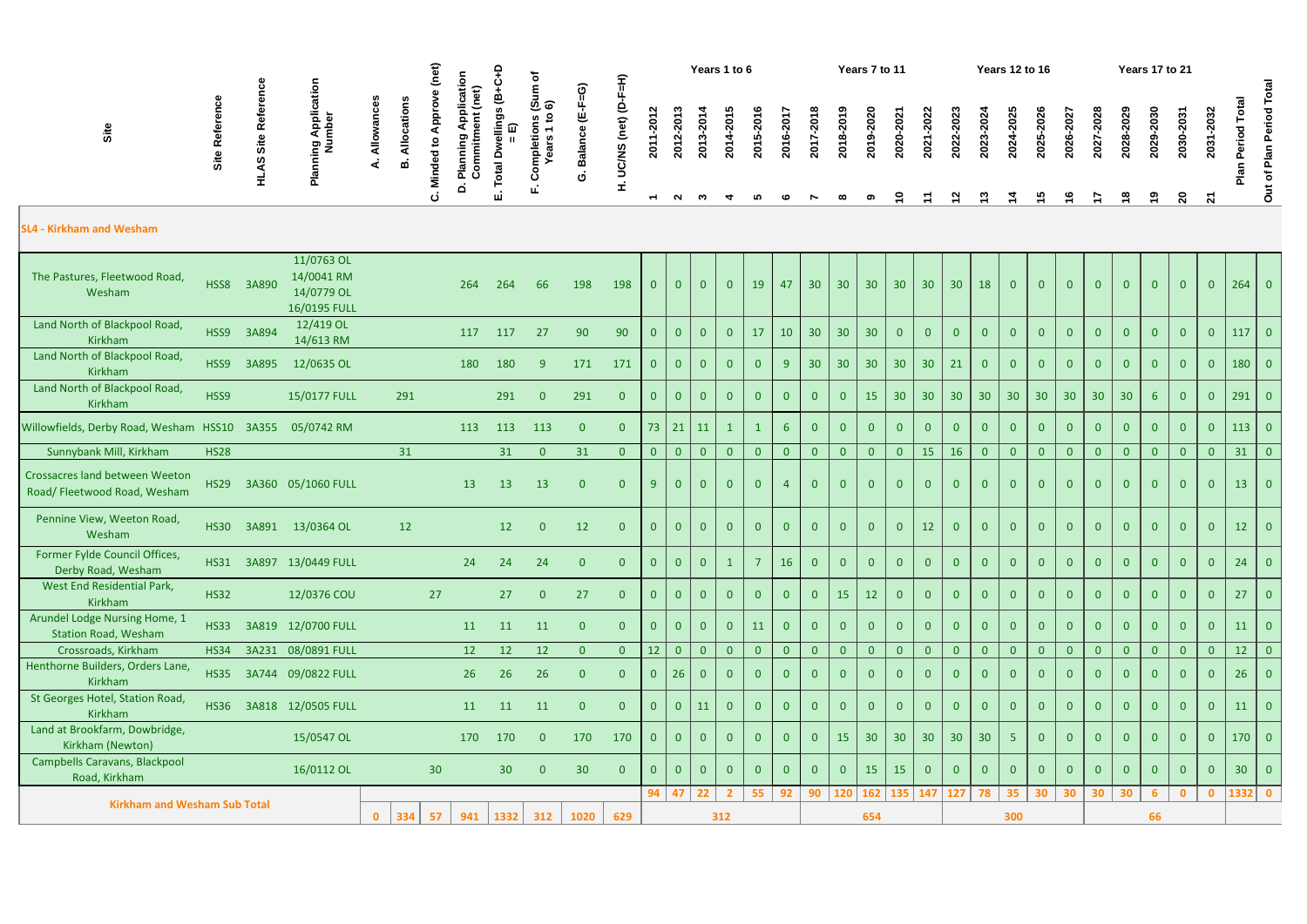| ≏<br>C<br>ত<br>≘<br>ミ                                                                                                                                                                                                                                                                                                                                                              | Years 1 to 6                                                                                                                                                                                                                                                  | Years 7 to 11                                                                                                                                                                                                                                                                                                                                           | Ye                                                                          |
|------------------------------------------------------------------------------------------------------------------------------------------------------------------------------------------------------------------------------------------------------------------------------------------------------------------------------------------------------------------------------------|---------------------------------------------------------------------------------------------------------------------------------------------------------------------------------------------------------------------------------------------------------------|---------------------------------------------------------------------------------------------------------------------------------------------------------------------------------------------------------------------------------------------------------------------------------------------------------------------------------------------------------|-----------------------------------------------------------------------------|
| ි<br>⊕<br>ഗ<br><u> ທີ່ ຣ</u><br>4<br>o<br>ə<br>N<br>ຕ<br>电<br>ഗ<br>ਛ<br>o<br>$\widehat{t}$<br>o<br>흐<br>$\mathbf{S}$<br>$\mathsf{S}$<br>≃<br>-<br>ω<br>⋍<br>$\overline{\sigma}$<br>こ<br>Ñ<br>ᅮ<br>œ<br>5<br>문로<br>⋚<br>ပ္ဘ<br>ala<br>$\overline{a}$<br>$\overline{20}$<br>ъ<br>ഋ<br>≏<br>ທ<br>ູ້ທ<br>≃<br>മ<br>τ<br>ပ<br>--<br>Σ<br>$\Omega$<br>щ<br>ш<br>ပ<br>$\overline{ }$<br>N | ഥ<br>ڡ<br>œ<br>$\overline{\mathbf{S}}$<br>$\overline{\mathbf{S}}$<br>$\overline{20}$<br>$\mathbf{S}$<br>ຊ<br>ഹ<br>ڡ<br>ო<br>┳<br>r<br>$\overline{2}$<br>$\bullet$<br>ຊ<br>$\boldsymbol{S}$<br>$\bullet$<br>ิ<br>$\mathbf{\tilde{N}}$<br>ო<br>ഹ<br>؈<br>┳<br>~ | 2023<br>o<br>ຶ<br>ี<br>ิ<br>N<br>$\bullet$<br>$\overline{20}$<br>$\overline{20}$<br>ន<br>$\mathbf{\Omega}$<br>œ<br>2022<br>$\bullet$<br>တ<br>$\sim$<br>$\sim$<br>$\overline{\phantom{0}}$<br>$\overline{\phantom{0}}$<br>$\overline{20}$<br>0<br>$\overline{20}$<br>$\bullet$<br>$\mathbf{\Omega}$<br>$\mathbf{\Omega}$<br>$\sim$<br>o<br>$\infty$<br>ග | $\mathbf{z}$<br>$\mathbf{\tilde{N}}$<br>$\mathbf{\tilde{N}}$<br>$\sim$<br>ొ |

|                                                                       |                | ence                  | (net)<br>Years 1 to 6<br>Years 7 to 11<br>≏<br>plication<br>$(Sum of$<br>$6)$ |              |            |                          |                                                             |                          |                                                                       |                             |                           |                                       |                |                |                    |                |                |                 | <b>Years 12 to 16</b> |                 |                                       |                |                           | Years 17 to 21             |                     |                 |                            |                 |                            |                      |                           |                           |                 |                          |
|-----------------------------------------------------------------------|----------------|-----------------------|-------------------------------------------------------------------------------|--------------|------------|--------------------------|-------------------------------------------------------------|--------------------------|-----------------------------------------------------------------------|-----------------------------|---------------------------|---------------------------------------|----------------|----------------|--------------------|----------------|----------------|-----------------|-----------------------|-----------------|---------------------------------------|----------------|---------------------------|----------------------------|---------------------|-----------------|----------------------------|-----------------|----------------------------|----------------------|---------------------------|---------------------------|-----------------|--------------------------|
| Site                                                                  | Site Reference | Refer<br>AS Site<br>륖 | Planning Application<br>Number                                                | Allowance    | Allocation | Approv<br>Minded to<br>ن | (net)<br>Commitment<br>Apr<br>Plannin<br>$\dot{\mathbf{a}}$ | ellings (B+<br>⋒<br>otal | $\mathbf{S}$<br>Completions<br>$\overline{\phantom{0}}$<br>ears<br>ட் | $(E-F=G)$<br><b>Balance</b> | UC/NS (net) (D-F=H)<br>£, | 2011-2012<br>$\overline{\phantom{0}}$ | 2012-2013<br>N | 2013-2014<br>ຕ | 2014-2015          | 2015-2016      | 2016-201       | 2017-2018       | 2018-2019             | 2019-2020       | 2020-2021<br>S                        | 2021-2022      | 2022-2023<br>$\mathbf{z}$ | 2023-2024<br>$\frac{3}{2}$ | 2024-202            | 2025-2026<br>15 | 2026-2027<br>$\frac{6}{1}$ | 2027-202        | 2028-2029<br>$\frac{8}{1}$ | 2029-2030<br>စ္      | 2030-2031<br>$\mathbf{S}$ | 2031-2032<br>$\mathbf{z}$ | Total<br>Period | Out of Plan Period Total |
| <b>SL4 - Kirkham and Wesham</b>                                       |                |                       |                                                                               |              |            |                          |                                                             |                          |                                                                       |                             |                           |                                       |                |                |                    |                |                |                 |                       |                 |                                       |                |                           |                            |                     |                 |                            |                 |                            |                      |                           |                           |                 |                          |
| The Pastures, Fleetwood Road,<br>Wesham                               | HSS8           | 3A890                 | 11/0763 OL<br>14/0041 RM<br>14/0779 OL<br>16/0195 FULL                        |              |            |                          | 264                                                         | 264                      | 66                                                                    | 198                         | 198                       | $\mathbf{0}$                          | $\overline{0}$ | $\overline{0}$ | $\overline{0}$     | 19             | 47             | 30              | 30 <sup>°</sup>       | 30 <sup>°</sup> | 30 <sup>°</sup>                       | 30             | 30                        | 18                         | $\overline{0}$      | $\overline{0}$  | $\overline{0}$             | $\overline{0}$  | $\overline{0}$             | $\overline{0}$       | $\overline{0}$            | $\overline{0}$            |                 | $264$ 0                  |
| Land North of Blackpool Road,<br>Kirkham                              | HSS9           | 3A894                 | 12/419 OL<br>14/613 RM                                                        |              |            |                          | 117                                                         | 117                      | 27                                                                    | 90                          | 90                        | $\mathbf{0}$                          | $\overline{0}$ | $\Omega$       | $\overline{0}$     | 17             | 10             | 30 <sup>°</sup> | 30 <sub>2</sub>       | 30 <sub>2</sub> | $\overline{0}$                        | $\mathbf{0}$   | $\Omega$                  | $\overline{0}$             |                     | $\overline{0}$  | $\overline{0}$             | $\overline{0}$  | $\overline{0}$             | $\overline{0}$       | $\overline{0}$            |                           | 117             | $\overline{0}$           |
| Land North of Blackpool Road,<br>Kirkham                              | HSS9           | 3A895                 | 12/0635 OL                                                                    |              |            |                          | 180                                                         | 180                      | 9                                                                     | 171                         | 171                       | $\mathbf{0}$                          | $\overline{0}$ | $\bf{0}$       | $\overline{0}$     | $\overline{0}$ | 9              | 30              | 30                    | 30              | 30 <sup>°</sup>                       | 30             | 21                        | $\overline{0}$             | $\mathbf{0}$        | $\overline{0}$  | $\overline{0}$             | $\overline{0}$  | $\overline{0}$             | $\overline{0}$       | $\overline{0}$            | $\Omega$                  | 180             | $\overline{0}$           |
| Land North of Blackpool Road,<br><b>Kirkham</b>                       | HSS9           |                       | 15/0177 FULL                                                                  |              | 291        |                          |                                                             | 291                      | $\overline{0}$                                                        | 291                         | $\overline{0}$            | $\overline{0}$                        | $\overline{0}$ | $\mathbf{0}$   | $\overline{0}$     | $\overline{0}$ | $\overline{0}$ | $\overline{0}$  | $\overline{0}$        | 15              | 30 <sup>°</sup>                       | 30             | 30                        | 30                         | 30                  | 30              | 30 <sup>°</sup>            | 30 <sup>°</sup> | 30 <sup>°</sup>            | 6 <sup>1</sup>       | $\overline{0}$            | $\Omega$                  | 291             | $\overline{0}$           |
| Willowfields, Derby Road, Wesham HSS10 3A355 05/0742 RM               |                |                       |                                                                               |              |            |                          | 113                                                         | 113                      | 113                                                                   | $\overline{0}$              | $\overline{0}$            | 73                                    |                | 21   11        | $\mathbf{1}$       | $\mathbf{1}$   | $6^{\circ}$    | $\mathbf{0}$    | $\overline{0}$        | $\overline{0}$  | $\overline{0}$                        | $\overline{0}$ | $\mathbf{0}$              | $\overline{0}$             | $\overline{0}$      | $\overline{0}$  | $\overline{0}$             | $\overline{0}$  | $\overline{0}$             | $\overline{0}$       | $\overline{0}$            | $\overline{0}$            | 113             | $\overline{0}$           |
| Sunnybank Mill, Kirkham                                               | <b>HS28</b>    |                       |                                                                               |              | 31         |                          |                                                             | 31                       | $\overline{0}$                                                        | 31                          | $\overline{0}$            | $\overline{0}$                        | $\overline{0}$ | $\overline{0}$ | $\overline{0}$     | $\overline{0}$ | $\overline{0}$ | $\overline{0}$  | $\overline{0}$        | $\overline{0}$  | $\overline{0}$                        | 15             | 16                        | $\overline{0}$             | $\overline{0}$      | $\overline{0}$  | $\overline{0}$             | $\overline{0}$  | $\overline{0}$             | $\overline{0}$       | $\overline{0}$            | $\overline{0}$            | 31              | $\vert 0 \vert$          |
| <b>Crossacres land between Weeton</b><br>Road/ Fleetwood Road, Wesham | <b>HS29</b>    |                       | 3A360 05/1060 FULL                                                            |              |            |                          | 13                                                          | 13                       | 13                                                                    | $\overline{0}$              | $\overline{0}$            | 9                                     | $\overline{0}$ | $\overline{0}$ | $\overline{0}$     | $\overline{0}$ | $\overline{4}$ | $\mathbf{0}$    | $\overline{0}$        | $\overline{0}$  | $\overline{0}$                        | $\overline{0}$ | $\bf{0}$                  | $\overline{0}$             | $\overline{0}$      | $\overline{0}$  | $\overline{0}$             | $\overline{0}$  | $\overline{0}$             | $\Omega$             | $\overline{0}$            |                           | 13              | $\overline{0}$           |
| Pennine View, Weeton Road,<br>Wesham                                  | <b>HS30</b>    |                       | 3A891 13/0364 OL                                                              |              | 12         |                          |                                                             | 12                       | $\overline{0}$                                                        | 12                          | $\overline{0}$            | $\overline{0}$                        | $\overline{0}$ | $\overline{0}$ | $\overline{0}$     | $\overline{0}$ | $\overline{0}$ | $\Omega$        | $\overline{0}$        | $\overline{0}$  | $\overline{0}$                        | 12             | $\overline{0}$            | $\overline{0}$             | $\overline{0}$      | $\overline{0}$  | $\overline{0}$             | $\overline{0}$  | $\mathbf{0}$               | $\overline{0}$       | $\overline{0}$            |                           | 12              | $\overline{0}$           |
| Former Fylde Council Offices,<br>Derby Road, Wesham                   |                |                       | HS31 3A897 13/0449 FULL                                                       |              |            |                          | 24                                                          | 24                       | 24                                                                    | $\Omega$                    | $\overline{0}$            | $\overline{0}$                        | $\overline{0}$ | $\overline{0}$ |                    | 7              | 16             | $\mathbf{0}$    | $\overline{0}$        | $\overline{0}$  | $\overline{0}$                        | $\mathbf{0}$   | $\mathbf{0}$              | $\overline{0}$             | $\mathbf{0}$        | $\overline{0}$  | $\overline{0}$             | $\mathbf{0}$    | $\mathbf{0}$               | $\overline{0}$       | $\overline{0}$            | $\overline{0}$            | 24              | $\overline{0}$           |
| West End Residential Park,<br>Kirkham                                 | <b>HS32</b>    |                       | 12/0376 COU                                                                   |              |            | 27                       |                                                             | 27                       | $\overline{0}$                                                        | 27                          | $\overline{0}$            | $\overline{0}$                        | $\overline{0}$ | $\overline{0}$ | $\overline{0}$     | $\bf{0}$       | $\mathbf{0}$   | $\overline{0}$  | 15                    | 12              | $\overline{0}$                        | $\overline{0}$ |                           | $\overline{0}$             |                     | $\overline{0}$  | $\overline{0}$             | $\overline{0}$  | $\overline{0}$             | $\overline{0}$       | $\overline{0}$            |                           | 27              | $\overline{0}$           |
| Arundel Lodge Nursing Home, 1<br><b>Station Road, Wesham</b>          | <b>HS33</b>    |                       | 3A819 12/0700 FULL                                                            |              |            |                          | 11                                                          | 11                       | 11                                                                    | $\overline{0}$              | $\overline{0}$            | $\overline{0}$                        | $\overline{0}$ | $\overline{0}$ | $\overline{0}$     | 11             | $\overline{0}$ | $\Omega$        | $\overline{0}$        | $\overline{0}$  | $\overline{0}$                        | $\overline{0}$ | $\overline{0}$            | $\overline{0}$             | $\Omega$            | $\overline{0}$  | $\overline{0}$             | $\mathbf{0}$    | $\overline{0}$             | $\overline{0}$       | $\overline{0}$            | $\Omega$                  | 11              | $\overline{0}$           |
| Crossroads, Kirkham                                                   | <b>HS34</b>    |                       | 3A231 08/0891 FULL                                                            |              |            |                          | 12                                                          | 12                       | 12                                                                    | $\overline{0}$              | $\overline{0}$            | 12                                    | $\overline{0}$ | $\overline{0}$ | $\overline{0}$     | $\overline{0}$ | $\overline{0}$ | $\mathbf{0}$    | $\overline{0}$        | $\mathbf{0}$    | $\overline{0}$                        | $\overline{0}$ | $\overline{0}$            | $\overline{0}$             | $\mathbf{0}$        | $\overline{0}$  | $\overline{0}$             | $\overline{0}$  | $\overline{0}$             | $\overline{0}$       | $\overline{0}$            | $\overline{0}$            | 12              | $\overline{0}$           |
| Henthorne Builders, Orders Lane,<br>Kirkham                           | <b>HS35</b>    |                       | 3A744 09/0822 FULL                                                            |              |            |                          | 26                                                          | 26                       | 26                                                                    | $\overline{0}$              | $\overline{0}$            | $\mathbf{0}$                          | 26             | 0              | $\overline{0}$     | $\bf{0}$       | $\overline{0}$ |                 | $\overline{0}$        |                 | $\mathbf{0}$                          | $\overline{0}$ |                           | $\overline{0}$             |                     |                 | $\overline{0}$             | $\overline{0}$  | $\overline{0}$             |                      |                           |                           | 26              | $\overline{0}$           |
| St Georges Hotel, Station Road,<br><b>Kirkham</b>                     | <b>HS36</b>    |                       | 3A818 12/0505 FULL                                                            |              |            |                          | 11                                                          | 11                       | 11                                                                    | $\overline{0}$              | $\overline{0}$            | $\overline{0}$                        | $\overline{0}$ | 11             | $\overline{0}$     | $\Omega$       | $\overline{0}$ | $\Omega$        | $\overline{0}$        |                 | $\overline{0}$                        | $\overline{0}$ |                           | $\overline{0}$             |                     | $\Omega$        | $\overline{0}$             | $\overline{0}$  | $\overline{0}$             | $\Omega$             | $\overline{0}$            |                           | 11              | $\overline{0}$           |
| Land at Brookfarm, Dowbridge,<br>Kirkham (Newton)                     |                |                       | 15/0547 OL                                                                    |              |            |                          | 170                                                         | 170                      | $\overline{0}$                                                        | 170                         | 170                       | $\overline{0}$                        | $\overline{0}$ | $\overline{0}$ | $\overline{0}$     | $\mathbf{0}$   | $\mathbf{0}$   | $\overline{0}$  | 15                    | 30 <sup>°</sup> | 30 <sup>°</sup>                       | 30             | 30 <sup>°</sup>           | 30 <sup>°</sup>            | 5 <sup>5</sup>      | $\overline{0}$  | $\overline{0}$             | $\overline{0}$  | $\mathbf{0}$               | $\overline{0}$       | $\overline{0}$            | $\mathbf{0}$              |                 | $170$ 0                  |
| Campbells Caravans, Blackpool<br>Road, Kirkham                        |                |                       | 16/0112 OL                                                                    |              |            | 30 <sup>°</sup>          |                                                             | 30 <sup>°</sup>          | $\overline{0}$                                                        | 30                          | $\overline{0}$            | $\overline{0}$                        | $\overline{0}$ | $\overline{0}$ | $\overline{0}$     | $\mathbf{0}$   | $\overline{0}$ | $\overline{0}$  | $\overline{0}$        | 15              | 15                                    | $\overline{0}$ | $\bf{0}$                  | $\overline{0}$             | $\overline{0}$      | $\overline{0}$  | $\overline{0}$             | $\overline{0}$  | $\mathbf{0}$               | $\overline{0}$       | $\overline{0}$            |                           | 30 <sup>°</sup> | $\overline{0}$           |
| <b>Kirkham and Wesham Sub Total</b>                                   |                |                       |                                                                               | $\mathbf{0}$ | 334        | 57                       | 941                                                         |                          | 312                                                                   | 1020                        | 629                       |                                       |                | 94   47   22   | $2^{\circ}$<br>312 | 55             | 92             |                 |                       | 654             | 90   120   162   135   147   127   78 |                |                           |                            | $35 \mid 30$<br>300 |                 | 30                         | 30              | 30 <sub>o</sub>            | 6 <sup>1</sup><br>66 | $\overline{\mathbf{0}}$   | $\mathbf{0}$              |                 | $1332$ 0                 |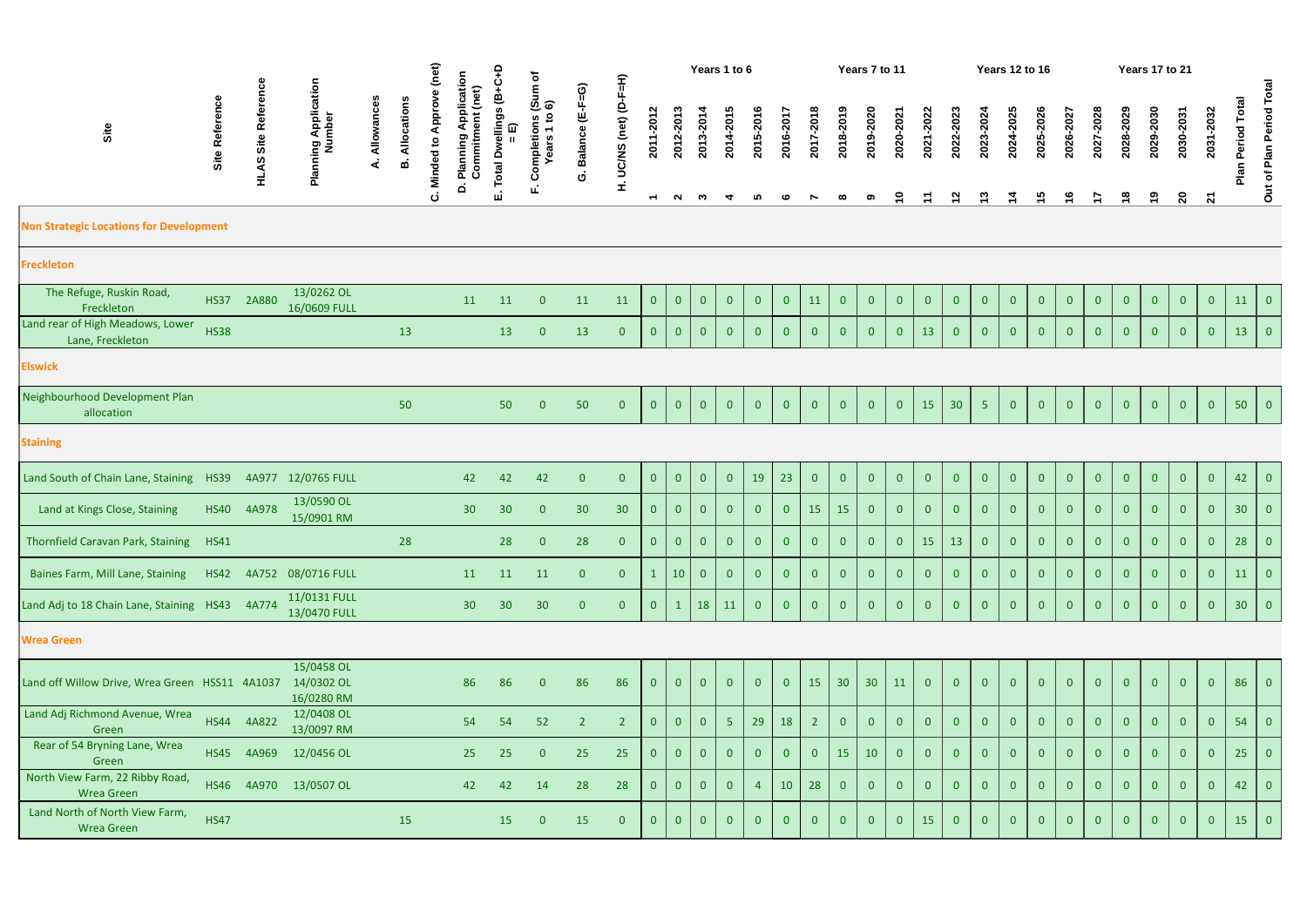|                                                      |                |                            |                                        |                 |                 | (net)<br>Φ                   |                                                   | ۽                                               |                                           |                      | Years 1 to 6             |                                       |                     |                |                |                |                |                |                 | Years 7 to 11   |                |                            |                           |                            | <b>Years 12 to 16</b>      |                            |                            |                         |                             | Years 17 to 21 |                                      |                           |                         |                          |
|------------------------------------------------------|----------------|----------------------------|----------------------------------------|-----------------|-----------------|------------------------------|---------------------------------------------------|-------------------------------------------------|-------------------------------------------|----------------------|--------------------------|---------------------------------------|---------------------|----------------|----------------|----------------|----------------|----------------|-----------------|-----------------|----------------|----------------------------|---------------------------|----------------------------|----------------------------|----------------------------|----------------------------|-------------------------|-----------------------------|----------------|--------------------------------------|---------------------------|-------------------------|--------------------------|
| Site                                                 | Site Reference | <b>HLAS Site Reference</b> | Planning Application<br>Number         | Allowances<br>∢ | Allocation<br>ø | <b>Minded to Approv</b><br>ن | Application<br>(net)<br>Commitment<br>D. Planning | vellings (B+C+<br>= E)<br>ó<br><b>otal</b><br>ш | Completions (Sum of<br>Years 1 to 6)<br>ш | Balance (E-F=G)<br>Ġ | UC/NS (net) (D-F=H)<br>£ | 2011-2012<br>$\overline{\phantom{0}}$ | 2012-2013<br>$\sim$ | 2013-2014<br>ო | 2014-2015      | 2015-2016<br>ທ | 2016-2017      | 2017-2018      | 2018-2019       | 2019-2020       | 2020-2021<br>ဍ | 2021-2022<br>$\mathcal{L}$ | 2022-2023<br>$\mathbf{z}$ | 2023-2024<br>$\frac{1}{2}$ | 2024-2025<br>$\frac{4}{4}$ | 2025-2026<br>$\frac{5}{1}$ | 2026-2027<br>$\frac{6}{1}$ | 2027-2028<br>$\ddot{ }$ | 2028-2029<br>$\frac{8}{18}$ | 2029-2030<br>္ | 2030-2031<br>$\overline{\mathbf{S}}$ | 2031-2032<br>$\mathbf{z}$ | Total<br>Period<br>Plan | Out of Plan Period Total |
| <b>Non Strategic Locations for Development</b>       |                |                            |                                        |                 |                 |                              |                                                   |                                                 |                                           |                      |                          |                                       |                     |                |                |                |                |                |                 |                 |                |                            |                           |                            |                            |                            |                            |                         |                             |                |                                      |                           |                         |                          |
| <b>Freckleton</b>                                    |                |                            |                                        |                 |                 |                              |                                                   |                                                 |                                           |                      |                          |                                       |                     |                |                |                |                |                |                 |                 |                |                            |                           |                            |                            |                            |                            |                         |                             |                |                                      |                           |                         |                          |
| The Refuge, Ruskin Road,<br>Freckleton               | <b>HS37</b>    | 2A880                      | 13/0262 OL<br>16/0609 FULL             |                 |                 |                              | 11                                                | 11                                              | $\overline{0}$                            | 11                   | 11                       | $\overline{0}$                        | $\overline{0}$      | $\overline{0}$ | $\overline{0}$ | $\overline{0}$ | $\overline{0}$ | 11             | $\overline{0}$  | $\overline{0}$  | $\overline{0}$ | $\overline{0}$             | $\mathbf{0}$              | $\overline{0}$             | $\overline{0}$             | $\overline{0}$             | $\overline{0}$             | $\overline{0}$          | $\overline{0}$              | $\overline{0}$ | $\overline{0}$                       | $\overline{0}$            | 11                      | $\overline{0}$           |
| Land rear of High Meadows, Lower<br>Lane, Freckleton | <b>HS38</b>    |                            |                                        |                 | 13              |                              |                                                   | 13                                              | $\overline{0}$                            | 13                   | $\overline{0}$           | $\bf{0}$                              | $\overline{0}$      | $\overline{0}$ | $\overline{0}$ | $\overline{0}$ | $\overline{0}$ | $\overline{0}$ | $\mathbf{0}$    | $\overline{0}$  | $\overline{0}$ | 13                         | $\mathbf{0}$              | $\overline{0}$             | $\overline{0}$             | $\mathbf{0}$               | $\overline{0}$             | $\mathbf{0}$            | $\overline{0}$              | $\mathbf{0}$   | $\overline{0}$                       | $\theta$                  | 13                      | $\overline{0}$           |
| <b>Elswick</b>                                       |                |                            |                                        |                 |                 |                              |                                                   |                                                 |                                           |                      |                          |                                       |                     |                |                |                |                |                |                 |                 |                |                            |                           |                            |                            |                            |                            |                         |                             |                |                                      |                           |                         |                          |
| Neighbourhood Development Plan<br>allocation         |                |                            |                                        |                 | 50              |                              |                                                   | 50                                              | $\overline{0}$                            | 50                   | $\overline{0}$           | $\bf{0}$                              | $\overline{0}$      | $\overline{0}$ | $\overline{0}$ | $\overline{0}$ | $\overline{0}$ | $\overline{0}$ | $\overline{0}$  | $\overline{0}$  | $\overline{0}$ | 15                         | 30                        | 5 <sub>1</sub>             | $\overline{0}$             | $\overline{0}$             | $\overline{0}$             | $\overline{0}$          | $\overline{0}$              | $\overline{0}$ | $\overline{0}$                       | $\overline{0}$            | 50                      | 0                        |
| <b>Staining</b>                                      |                |                            |                                        |                 |                 |                              |                                                   |                                                 |                                           |                      |                          |                                       |                     |                |                |                |                |                |                 |                 |                |                            |                           |                            |                            |                            |                            |                         |                             |                |                                      |                           |                         |                          |
| Land South of Chain Lane, Staining HS39              |                |                            | 4A977 12/0765 FULL                     |                 |                 |                              | 42                                                | 42                                              | 42                                        | $\overline{0}$       | $\overline{0}$           | $\bf{0}$                              | $\overline{0}$      | $\overline{0}$ | $\overline{0}$ | 19             | 23             | $\mathbf{0}$   | $\overline{0}$  | $\overline{0}$  | $\mathbf{0}$   | $\overline{0}$             | $\mathbf{0}$              | $\overline{0}$             | $\overline{0}$             | $\overline{0}$             | $\overline{0}$             | $\overline{0}$          | $\overline{0}$              | $\overline{0}$ | $\overline{0}$                       | $\mathbf{0}$              | 42                      | $\overline{0}$           |
| Land at Kings Close, Staining                        |                | HS40 4A978                 | 13/0590 OL<br>15/0901 RM               |                 |                 |                              | 30 <sup>°</sup>                                   | 30 <sup>°</sup>                                 | $\overline{0}$                            | 30 <sup>°</sup>      | 30                       | $\bf{0}$                              | $\overline{0}$      | $\overline{0}$ | $\overline{0}$ | $\overline{0}$ | $\overline{0}$ | 15             | 15              | $\mathbf{0}$    | $\overline{0}$ | $\overline{0}$             | $\bf{0}$                  | $\mathbf{0}$               | $\overline{0}$             | $\mathbf{0}$               | $\mathbf{0}$               | $\mathbf{0}$            | $\overline{0}$              | $\overline{0}$ | $\mathbf{0}$                         | $\theta$                  | 30 <sup>°</sup>         | $\overline{0}$           |
| Thornfield Caravan Park, Staining HS41               |                |                            |                                        |                 | 28              |                              |                                                   | 28                                              | $\mathbf{0}$                              | 28                   | $\overline{0}$           | $\overline{0}$                        | $\overline{0}$      | $\overline{0}$ | $\overline{0}$ | $\overline{0}$ | $\overline{0}$ | $\overline{0}$ | $\overline{0}$  | $\overline{0}$  | $\overline{0}$ | 15                         | 13                        | $\overline{0}$             | $\overline{0}$             | $\overline{0}$             | $\overline{0}$             | $\overline{0}$          | $\mathbf{0}$                | $\overline{0}$ | $\overline{0}$                       | $\mathbf{0}$              | 28                      | $\overline{0}$           |
| Baines Farm, Mill Lane, Staining                     |                |                            | HS42 4A752 08/0716 FULL                |                 |                 |                              | 11                                                | 11                                              | 11                                        | $\mathbf{0}$         | $\overline{0}$           | $\mathbf{1}$                          | 10                  | $\overline{0}$ | $\overline{0}$ | $\overline{0}$ | $\overline{0}$ | $\overline{0}$ | $\overline{0}$  | $\overline{0}$  | $\overline{0}$ | $\overline{0}$             | $\overline{0}$            | $\overline{0}$             | $\overline{0}$             | $\overline{0}$             | $\overline{0}$             | $\overline{0}$          | $\overline{0}$              | $\overline{0}$ | $\overline{0}$                       | $\overline{0}$            | 11                      | $\overline{0}$           |
| Land Adj to 18 Chain Lane, Staining HS43 4A774       |                |                            | 11/0131 FULL<br>13/0470 FULL           |                 |                 |                              | 30 <sup>°</sup>                                   | 30 <sup>°</sup>                                 | 30                                        | $\overline{0}$       | $\overline{0}$           | $\overline{0}$                        | $\mathbf{1}$        | 18             | 11             | $\overline{0}$ | $\overline{0}$ | $\overline{0}$ | $\overline{0}$  | $\mathbf{0}$    | $\overline{0}$ | $\overline{0}$             | $\mathbf{0}$              | $\overline{0}$             | $\overline{0}$             | $\mathbf{0}$               | $\overline{0}$             | $\overline{0}$          | $\overline{0}$              | $\overline{0}$ | $\overline{0}$                       | $\overline{0}$            | 30 <sup>°</sup>         | $\vert 0 \vert$          |
| <b>Wrea Green</b>                                    |                |                            |                                        |                 |                 |                              |                                                   |                                                 |                                           |                      |                          |                                       |                     |                |                |                |                |                |                 |                 |                |                            |                           |                            |                            |                            |                            |                         |                             |                |                                      |                           |                         |                          |
| Land off Willow Drive, Wrea Green HSS11 4A1037       |                |                            | 15/0458 OL<br>14/0302 OL<br>16/0280 RM |                 |                 |                              | 86                                                | 86                                              | $\overline{0}$                            | 86                   | 86                       | $\mathbf{0}$                          | $\overline{0}$      | $\overline{0}$ | $\overline{0}$ | $\overline{0}$ | $\overline{0}$ | 15             | 30 <sup>°</sup> | 30 <sup>°</sup> | 11             | $\overline{0}$             | $\bf{0}$                  | $\overline{0}$             | $\overline{0}$             | $\mathbf{0}$               | $\overline{0}$             | $\overline{0}$          | $\overline{0}$              | $\overline{0}$ | $\overline{0}$                       | $\mathbf{0}$              | 86                      | $\overline{0}$           |
| Land Adj Richmond Avenue, Wrea<br>Green              |                | HS44 4A822                 | 12/0408 OL<br>13/0097 RM               |                 |                 |                              | 54                                                | 54                                              | 52                                        | $\overline{2}$       | $\overline{2}$           | $\overline{0}$                        | $\overline{0}$      | $\overline{0}$ | 5 <sub>1</sub> | 29             | 18             | 2 <sup>2</sup> | $\overline{0}$  | $\mathbf{0}$    | $\mathbf{0}$   | $\overline{0}$             | $\bf{0}$                  | $\overline{0}$             | $\overline{0}$             | $\mathbf{0}$               | $\overline{0}$             | $\mathbf{0}$            | $\overline{0}$              | $\overline{0}$ | $\overline{0}$                       | $\mathbf 0$               | 54                      | $\overline{0}$           |
| Rear of 54 Bryning Lane, Wrea<br>Green               | <b>HS45</b>    |                            | 4A969 12/0456 OL                       |                 |                 |                              | 25                                                | 25                                              | $\mathbf{0}$                              | 25                   | 25                       | $\bf{0}$                              | $\overline{0}$      | $\overline{0}$ | $\overline{0}$ | $\overline{0}$ | $\overline{0}$ | $\mathbf{0}$   | 15              | 10              | $\overline{0}$ | $\mathbf{0}$               | $\overline{0}$            | $\overline{0}$             | $\overline{0}$             | $\mathbf{0}$               | $\overline{0}$             | $\mathbf{0}$            | $\mathbf{0}$                | $\mathbf{0}$   | $\mathbf{0}$                         | $\mathbf{0}$              | 25                      | $\overline{0}$           |
| North View Farm, 22 Ribby Road,<br><b>Wrea Green</b> |                |                            | HS46 4A970 13/0507 OL                  |                 |                 |                              | 42                                                | 42                                              | 14                                        | 28                   | 28                       | $\mathbf{0}$                          | $\overline{0}$      | $\overline{0}$ | $\overline{0}$ | -4             | 10             | 28             | $\overline{0}$  | $\overline{0}$  | $\overline{0}$ | $\overline{0}$             | $\overline{0}$            | $\overline{0}$             | $\overline{0}$             | $\overline{0}$             | $\overline{0}$             | $\overline{0}$          | $\overline{0}$              | $\overline{0}$ | $\overline{0}$                       | $\overline{0}$            | 42                      | $\overline{0}$           |
| Land North of North View Farm,<br><b>Wrea Green</b>  | <b>HS47</b>    |                            |                                        |                 | 15              |                              |                                                   | <b>15</b>                                       | $\overline{0}$                            | 15                   | $\overline{0}$           | $\mathbf{0}$                          | $\overline{0}$      | $\overline{0}$ | $\overline{0}$ | $\mathbf{0}$   | $\mathbf{0}$   | $\overline{0}$ | $\mathbf{0}$    | $\mathbf{0}$    | $\overline{0}$ | <b>15</b>                  | $\mathbf{0}$              | $\mathbf{0}$               | $\overline{0}$             | $\mathbf{0}$               | $\mathbf{0}$               | $\mathbf{0}$            | $\mathbf{0}$                | $\overline{0}$ | $\mathbf{0}$                         | $\mathbf 0$               | 15                      | $\overline{0}$           |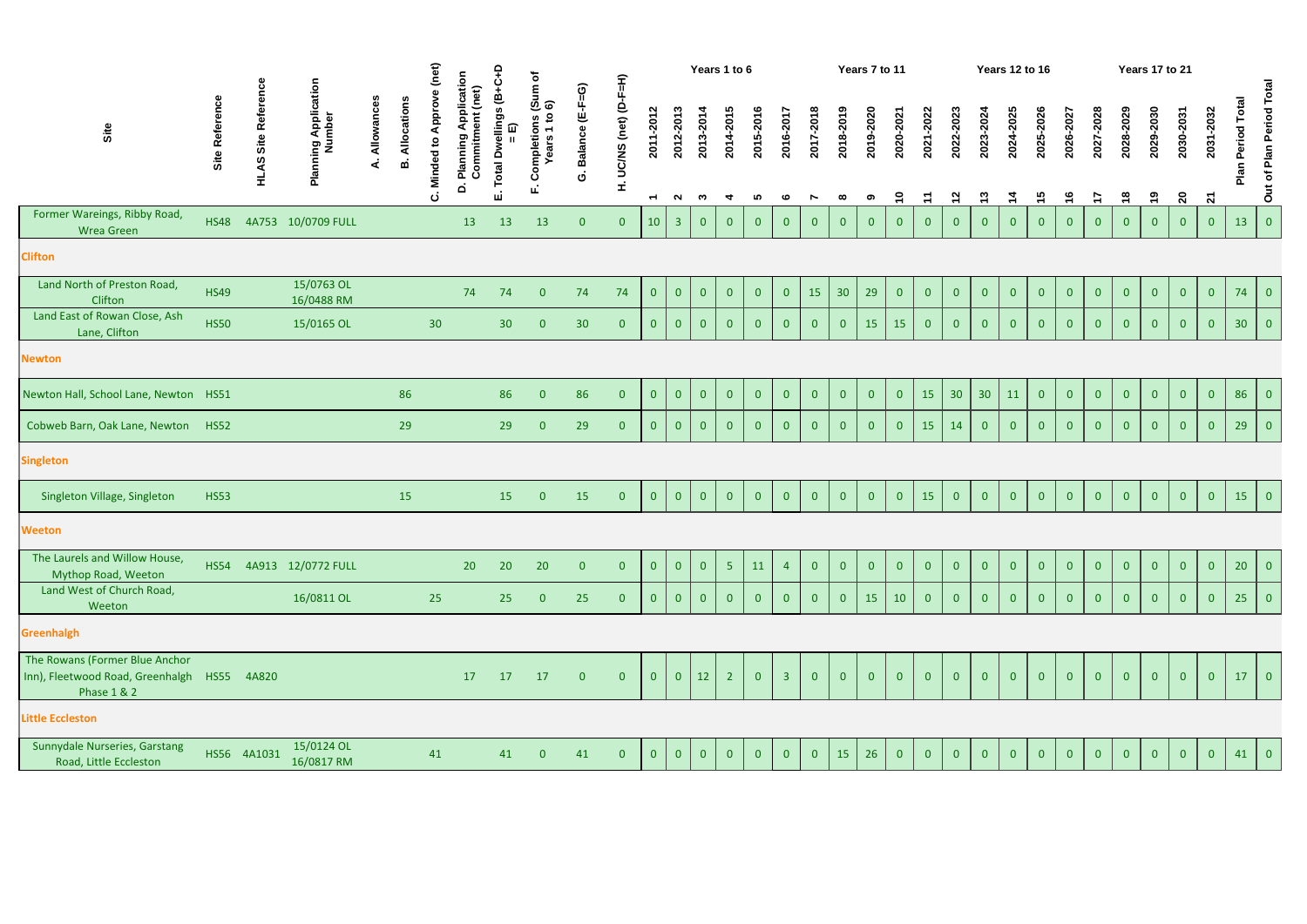|                                                                                              |                | ence                   |                                |                 |                   | (net)                  |                                                     | ۽                                       |                                             |                           |                          |                             |                     |                | Years 1 to 6                      |                |                |                             |                       | Years 7 to 11  |                                   |                         |                           |                            | <b>Years 12 to 16</b>      |                 |                            |                            |                            | Years 17 to 21          |                                      |                           |                 |                          |
|----------------------------------------------------------------------------------------------|----------------|------------------------|--------------------------------|-----------------|-------------------|------------------------|-----------------------------------------------------|-----------------------------------------|---------------------------------------------|---------------------------|--------------------------|-----------------------------|---------------------|----------------|-----------------------------------|----------------|----------------|-----------------------------|-----------------------|----------------|-----------------------------------|-------------------------|---------------------------|----------------------------|----------------------------|-----------------|----------------------------|----------------------------|----------------------------|-------------------------|--------------------------------------|---------------------------|-----------------|--------------------------|
| Site                                                                                         | Site Reference | <b>HLAS Site Refer</b> | Planning Application<br>Number | Allowances<br>∢ | Allocations<br>മ് | Minded to Approve<br>ن | Application<br>(net)<br>Commitment<br>Planning<br>ö | I Dwellings (B+C+<br>= E)<br>Total<br>ш | Completions (Sum of<br>Years 1 to 6)<br>шī. | Balance (E-F=G)<br>ن<br>0 | UC/NS (net) (D-F=H)<br>£ | 2011-2012<br>$\overline{ }$ | 2012-2013<br>$\sim$ | 2013-2014<br>ო | 2014-2015<br>$\blacktriangleleft$ | 2015-2016<br>5 | 2016-2017<br>ဖ | 2017-2018<br>$\overline{ }$ | 2018-2019<br>$\infty$ | 2019-2020<br>ග | 2020-2021<br>$\tilde{\mathbf{r}}$ | 2021-2022<br>$\ddot{r}$ | 2022-2023<br>$\mathbf{z}$ | 2023-2024<br>$\frac{1}{2}$ | 2024-2025<br>$\frac{1}{4}$ | 2025-2026<br>15 | 2026-2027<br>$\frac{6}{1}$ | 2027-2028<br>$\frac{1}{2}$ | 2028-2029<br>$\frac{8}{1}$ | 2029-2030<br><u>ဇ</u> ာ | 2030-2031<br>$\overline{\mathbf{S}}$ | 2031-2032<br>$\mathbf{z}$ | Period Total    | Out of Plan Period Total |
| Former Wareings, Ribby Road,<br><b>Wrea Green</b>                                            | <b>HS48</b>    |                        | 4A753 10/0709 FULL             |                 |                   |                        | 13                                                  | 13                                      | 13                                          | $\overline{0}$            | $\mathbf{0}$             | 10                          | 3 <sup>1</sup>      | $\overline{0}$ | $\overline{0}$                    | $\overline{0}$ | $\overline{0}$ | $\overline{0}$              | $\overline{0}$        | $\overline{0}$ | $\overline{0}$                    | $\mathbf{0}$            | $\mathbf{0}$              | $\overline{0}$             | $\overline{0}$             | $\mathbf{0}$    | $\overline{0}$             | $\overline{0}$             | $\mathbf{0}$               | $\overline{0}$          | $\overline{0}$                       | $\mathbf{0}$              | 13              | $\overline{0}$           |
| <b>Clifton</b>                                                                               |                |                        |                                |                 |                   |                        |                                                     |                                         |                                             |                           |                          |                             |                     |                |                                   |                |                |                             |                       |                |                                   |                         |                           |                            |                            |                 |                            |                            |                            |                         |                                      |                           |                 |                          |
| Land North of Preston Road,<br>Clifton                                                       | <b>HS49</b>    |                        | 15/0763 OL<br>16/0488 RM       |                 |                   |                        | 74                                                  | 74                                      | $\overline{0}$                              | 74                        | 74                       | $\overline{0}$              | $\overline{0}$      | $\overline{0}$ | $\overline{0}$                    | $\overline{0}$ | $\overline{0}$ | 15                          | 30 <sup>°</sup>       | 29             | $\overline{0}$                    | $\overline{0}$          | $\overline{0}$            | $\overline{0}$             | $\overline{0}$             | $\mathbf{0}$    | $\overline{0}$             | $\overline{0}$             | $\overline{0}$             | $\overline{0}$          | $\overline{0}$                       | $\overline{0}$            | 74              | $\overline{0}$           |
| Land East of Rowan Close, Ash<br>Lane, Clifton                                               | <b>HS50</b>    |                        | 15/0165 OL                     |                 |                   | 30 <sup>°</sup>        |                                                     | 30 <sup>°</sup>                         | $\mathbf{0}$                                | 30                        | $\overline{0}$           | $\overline{0}$              | $\overline{0}$      | $\overline{0}$ | $\overline{0}$                    | $\overline{0}$ | $\overline{0}$ | $\overline{0}$              | $\overline{0}$        | 15             | 15                                | $\overline{0}$          | $\overline{0}$            | $\overline{0}$             | $\overline{0}$             | $\overline{0}$  | $\overline{0}$             | $\overline{0}$             | $\overline{0}$             | $\overline{0}$          | $\overline{0}$                       | $\overline{0}$            | 30 <sup>°</sup> | $\overline{0}$           |
| <b>Newton</b>                                                                                |                |                        |                                |                 |                   |                        |                                                     |                                         |                                             |                           |                          |                             |                     |                |                                   |                |                |                             |                       |                |                                   |                         |                           |                            |                            |                 |                            |                            |                            |                         |                                      |                           |                 |                          |
| Newton Hall, School Lane, Newton HS51                                                        |                |                        |                                |                 | 86                |                        |                                                     | 86                                      | $\overline{0}$                              | 86                        | $\overline{0}$           | $\overline{0}$              | $\overline{0}$      | $\overline{0}$ | $\overline{0}$                    | $\overline{0}$ | $\overline{0}$ | $\overline{0}$              | $\overline{0}$        | $\overline{0}$ | $\overline{0}$                    | 15                      | 30                        | 30 <sup>°</sup>            | 11                         | $\overline{0}$  | $\overline{0}$             | $\overline{0}$             | $\overline{0}$             | $\overline{0}$          | $\overline{0}$                       | $\overline{0}$            | 86              | $\overline{0}$           |
| Cobweb Barn, Oak Lane, Newton                                                                | <b>HS52</b>    |                        |                                |                 | 29                |                        |                                                     | 29                                      | $\overline{0}$                              | 29                        | $\overline{0}$           | $\mathbf{0}$                | $\overline{0}$      | $\overline{0}$ | $\overline{0}$                    | $\overline{0}$ | $\overline{0}$ | $\overline{0}$              | $\overline{0}$        | $\overline{0}$ | $\overline{0}$                    | 15                      | 14                        | $\overline{0}$             | $\overline{0}$             | $\mathbf{0}$    | $\mathbf{0}$               | $\overline{0}$             | $\overline{0}$             | $\overline{0}$          | $\mathbf{0}$                         | $\mathbf{0}$              | 29              | $\overline{0}$           |
| <b>Singleton</b>                                                                             |                |                        |                                |                 |                   |                        |                                                     |                                         |                                             |                           |                          |                             |                     |                |                                   |                |                |                             |                       |                |                                   |                         |                           |                            |                            |                 |                            |                            |                            |                         |                                      |                           |                 |                          |
| Singleton Village, Singleton                                                                 | <b>HS53</b>    |                        |                                |                 | 15                |                        |                                                     | 15                                      | $\overline{0}$                              | 15                        | $\overline{0}$           | $\overline{0}$              | $\overline{0}$      | $\overline{0}$ | $\overline{0}$                    | $\overline{0}$ | $\overline{0}$ | $\overline{0}$              | $\overline{0}$        | $\overline{0}$ | $\overline{0}$                    | 15                      | $\overline{0}$            | $\overline{0}$             | $\overline{0}$             | $\overline{0}$  | $\overline{0}$             | $\overline{0}$             | $\overline{0}$             | $\overline{0}$          | $\overline{0}$                       | $\overline{0}$            | 15              | $\overline{0}$           |
| <b>Weeton</b>                                                                                |                |                        |                                |                 |                   |                        |                                                     |                                         |                                             |                           |                          |                             |                     |                |                                   |                |                |                             |                       |                |                                   |                         |                           |                            |                            |                 |                            |                            |                            |                         |                                      |                           |                 |                          |
| The Laurels and Willow House,<br>Mythop Road, Weeton                                         | <b>HS54</b>    |                        | 4A913 12/0772 FULL             |                 |                   |                        | 20                                                  | 20                                      | 20                                          | $\overline{0}$            | $\overline{0}$           | $\overline{0}$              | $\overline{0}$      | $\overline{0}$ | 5 <sub>1</sub>                    | 11             | $\overline{4}$ | $\overline{0}$              | $\overline{0}$        | $\overline{0}$ | $\mathbf{0}$                      | $\overline{0}$          | $\mathbf{0}$              | $\overline{0}$             | $\mathbf{0}$               | $\overline{0}$  | $\overline{0}$             | $\overline{0}$             | $\mathbf{0}$               | $\mathbf{0}$            | $\overline{0}$                       | $\mathbf{0}$              | 20              | $\overline{0}$           |
| Land West of Church Road,<br>Weeton                                                          |                |                        | 16/0811 OL                     |                 |                   | 25                     |                                                     | 25                                      | $\overline{0}$                              | 25                        | $\overline{0}$           | $\overline{0}$              | $\overline{0}$      | $\overline{0}$ | $\mathbf{0}$                      | $\overline{0}$ | $\overline{0}$ | $\overline{0}$              | $\overline{0}$        | 15             | 10                                | $\overline{0}$          | $\overline{0}$            | $\mathbf{0}$               | $\overline{0}$             | $\mathbf{0}$    | $\overline{0}$             | $\overline{0}$             | $\overline{0}$             | $\overline{0}$          | $\mathbf{0}$                         | $\overline{0}$            | 25              | $\vert 0 \vert$          |
| <b>Greenhalgh</b>                                                                            |                |                        |                                |                 |                   |                        |                                                     |                                         |                                             |                           |                          |                             |                     |                |                                   |                |                |                             |                       |                |                                   |                         |                           |                            |                            |                 |                            |                            |                            |                         |                                      |                           |                 |                          |
| The Rowans (Former Blue Anchor<br>Inn), Fleetwood Road, Greenhalgh<br><b>Phase 1 &amp; 2</b> |                | HS55 4A820             |                                |                 |                   |                        | 17                                                  | 17                                      | 17                                          | $\mathbf{0}$              | $\overline{0}$           | $\overline{0}$              | $\overline{0}$      | 12             | 2 <sup>1</sup>                    | $\overline{0}$ | $\overline{3}$ | $\overline{0}$              | $\overline{0}$        | $\overline{0}$ | $\overline{0}$                    | $\overline{0}$          | $\overline{0}$            | $\overline{0}$             | $\overline{0}$             | $\mathbf{0}$    | $\overline{0}$             | $\overline{0}$             | $\mathbf{0}$               | $\overline{0}$          | $\overline{0}$                       | $\overline{0}$            | 17              | $\vert 0 \vert$          |
| <b>Little Eccleston</b>                                                                      |                |                        |                                |                 |                   |                        |                                                     |                                         |                                             |                           |                          |                             |                     |                |                                   |                |                |                             |                       |                |                                   |                         |                           |                            |                            |                 |                            |                            |                            |                         |                                      |                           |                 |                          |
| Sunnydale Nurseries, Garstang<br>Road, Little Eccleston                                      |                | HS56 4A1031            | 15/0124 OL<br>16/0817 RM       |                 |                   | 41                     |                                                     | 41                                      | $\overline{0}$                              | 41                        | $\overline{0}$           | $\overline{0}$              | $\overline{0}$      | $\overline{0}$ | $\mathbf{0}$                      | $\overline{0}$ | $\mathbf{0}$   | $\mathbf{0}$                | 15                    | 26             | $\overline{0}$                    | $\overline{0}$          | $\overline{0}$            | $\overline{0}$             | $\overline{0}$             | $\overline{0}$  | $\overline{0}$             | $\overline{0}$             | $\overline{0}$             | $\overline{0}$          | $\overline{0}$                       | $\overline{0}$            | 41              | $\vert$ 0 $\vert$        |